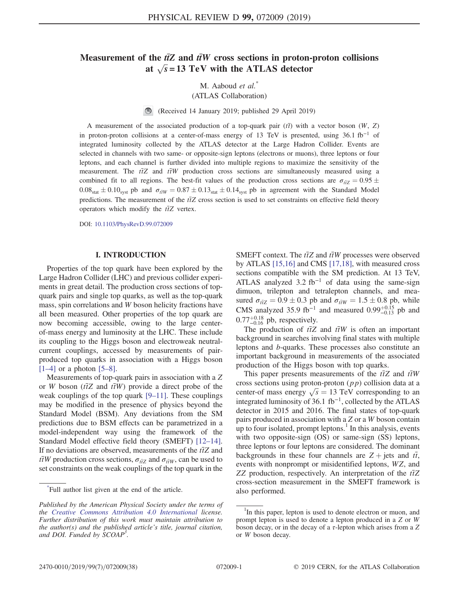# Measurement of the  $t\bar{t}Z$  and  $\bar{t}W$  cross sections in proton-proton collisions at  $\sqrt{s}$  = 13 TeV with the ATLAS detector

M. Aaboud et al.<sup>\*</sup>

(ATLAS Collaboration)

 $\bigcirc$ (Received 14 January 2019; published 29 April 2019)

A measurement of the associated production of a top-quark pair  $(t\bar{t})$  with a vector boson (W, Z) in proton-proton collisions at a center-of-mass energy of 13 TeV is presented, using 36.1 fb<sup>−</sup><sup>1</sup> of integrated luminosity collected by the ATLAS detector at the Large Hadron Collider. Events are selected in channels with two same- or opposite-sign leptons (electrons or muons), three leptons or four leptons, and each channel is further divided into multiple regions to maximize the sensitivity of the measurement. The  $t\bar{t}Z$  and  $t\bar{t}W$  production cross sections are simultaneously measured using a combined fit to all regions. The best-fit values of the production cross sections are  $\sigma_{\bar{t}Z} = 0.95 \pm 0.95$  $0.08<sub>stat</sub> \pm 0.10<sub>syst</sub>$  pb and  $\sigma_{\bar{t}W} = 0.87 \pm 0.13<sub>stat</sub> \pm 0.14<sub>syst</sub>$  pb in agreement with the Standard Model predictions. The measurement of the  $t\bar{t}Z$  cross section is used to set constraints on effective field theory operators which modify the  $t\bar{t}Z$  vertex.

DOI: [10.1103/PhysRevD.99.072009](https://doi.org/10.1103/PhysRevD.99.072009)

#### I. INTRODUCTION

Properties of the top quark have been explored by the Large Hadron Collider (LHC) and previous collider experiments in great detail. The production cross sections of topquark pairs and single top quarks, as well as the top-quark mass, spin correlations and W boson helicity fractions have all been measured. Other properties of the top quark are now becoming accessible, owing to the large centerof-mass energy and luminosity at the LHC. These include its coupling to the Higgs boson and electroweak neutralcurrent couplings, accessed by measurements of pairproduced top quarks in association with a Higgs boson  $[1-4]$  $[1-4]$  or a photon  $[5-8]$ .

Measurements of top-quark pairs in association with a Z or W boson ( $t\bar{t}Z$  and  $t\bar{t}W$ ) provide a direct probe of the weak couplings of the top quark [9–[11\].](#page-21-2) These couplings may be modified in the presence of physics beyond the Standard Model (BSM). Any deviations from the SM predictions due to BSM effects can be parametrized in a model-independent way using the framework of the Standard Model effective field theory (SMEFT) [\[12](#page-21-3)–14]. If no deviations are observed, measurements of the  $t\bar{t}Z$  and  $t\bar{t}W$  production cross sections,  $\sigma_{t\bar{t}Z}$  and  $\sigma_{t\bar{t}W}$ , can be used to set constraints on the weak couplings of the top quark in the

SMEFT context. The  $t\bar{t}Z$  and  $t\bar{t}W$  processes were observed by ATLAS [\[15,16\]](#page-21-4) and CMS [\[17,18\],](#page-22-0) with measured cross sections compatible with the SM prediction. At 13 TeV, ATLAS analyzed 3.2 fb<sup>-1</sup> of data using the same-sign dimuon, trilepton and tetralepton channels, and measured  $\sigma_{\text{t\bar{t}Z}} = 0.9 \pm 0.3$  pb and  $\sigma_{\text{t\bar{t}W}} = 1.5 \pm 0.8$  pb, while CMS analyzed 35.9 fb<sup>-1</sup> and measured  $0.99_{-0.13}^{+0.15}$  pb and  $0.77^{+0.18}_{-0.16}$  pb, respectively.

The production of  $t\bar{t}Z$  and  $t\bar{t}W$  is often an important background in searches involving final states with multiple leptons and b-quarks. These processes also constitute an important background in measurements of the associated production of the Higgs boson with top quarks.

This paper presents measurements of the  $t\bar{t}Z$  and  $t\bar{t}W$ cross sections using proton-proton  $(pp)$  collision data at a center-of mass energy  $\sqrt{s} = 13$  TeV corresponding to an integrated luminosity of 36.1 fb<sup>-1</sup>, collected by the ATLAS detector in 2015 and 2016. The final states of top-quark pairs produced in association with a Z or a W boson contain up to four isolated, prompt leptons. $\frac{1}{1}$  In this analysis, events with two opposite-sign (OS) or same-sign (SS) leptons, three leptons or four leptons are considered. The dominant backgrounds in these four channels are  $Z + \text{jets}$  and  $t\bar{t}$ , events with nonprompt or misidentified leptons, WZ, and ZZ production, respectively. An interpretation of the  $t\bar{t}Z$ cross-section measurement in the SMEFT framework is

<sup>\*</sup>Full author list given at the end of the article. also performed.

Published by the American Physical Society under the terms of the [Creative Commons Attribution 4.0 International](https://creativecommons.org/licenses/by/4.0/) license. Further distribution of this work must maintain attribution to the author(s) and the published article's title, journal citation, and DOI. Funded by SCOAP<sup>3</sup>.

<sup>&</sup>lt;sup>1</sup>In this paper, lepton is used to denote electron or muon, and prompt lepton is used to denote a lepton produced in a Z or W boson decay, or in the decay of a  $\tau$ -lepton which arises from a Z or W boson decay.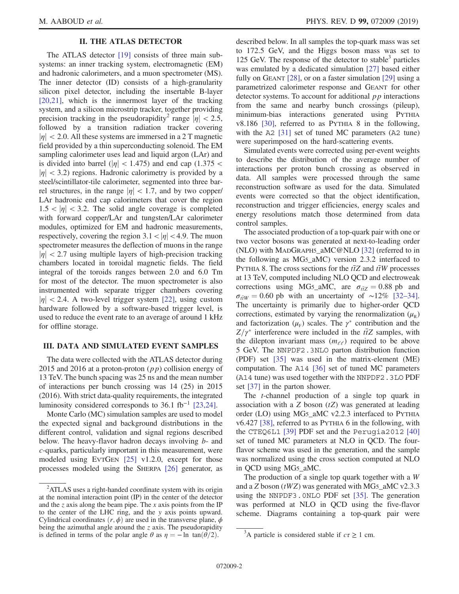# II. THE ATLAS DETECTOR

The ATLAS detector [\[19\]](#page-22-1) consists of three main subsystems: an inner tracking system, electromagnetic (EM) and hadronic calorimeters, and a muon spectrometer (MS). The inner detector (ID) consists of a high-granularity silicon pixel detector, including the insertable B-layer [\[20,21\]](#page-22-2), which is the innermost layer of the tracking system, and a silicon microstrip tracker, together providing precision tracking in the pseudorapidity<sup>2</sup> range  $|\eta| < 2.5$ , followed by a transition radiation tracker covering  $|\eta|$  < 2.0. All these systems are immersed in a 2 T magnetic field provided by a thin superconducting solenoid. The EM sampling calorimeter uses lead and liquid argon (LAr) and is divided into barrel ( $|\eta|$  < 1.475) and end cap (1.375 <  $|\eta|$  < 3.2) regions. Hadronic calorimetry is provided by a steel/scintillator-tile calorimeter, segmented into three barrel structures, in the range  $|\eta|$  < 1.7, and by two copper/ LAr hadronic end cap calorimeters that cover the region  $1.5 < |\eta| < 3.2$ . The solid angle coverage is completed with forward copper/LAr and tungsten/LAr calorimeter modules, optimized for EM and hadronic measurements, respectively, covering the region  $3.1 < |\eta| < 4.9$ . The muon spectrometer measures the deflection of muons in the range  $|\eta|$  < 2.7 using multiple layers of high-precision tracking chambers located in toroidal magnetic fields. The field integral of the toroids ranges between 2.0 and 6.0 Tm for most of the detector. The muon spectrometer is also instrumented with separate trigger chambers covering  $|\eta|$  < 2.4. A two-level trigger system [\[22\]](#page-22-3), using custom hardware followed by a software-based trigger level, is used to reduce the event rate to an average of around 1 kHz for offline storage.

# <span id="page-1-0"></span>III. DATA AND SIMULATED EVENT SAMPLES

The data were collected with the ATLAS detector during 2015 and 2016 at a proton-proton  $(pp)$  collision energy of 13 TeV. The bunch spacing was 25 ns and the mean number of interactions per bunch crossing was 14 (25) in 2015 (2016). With strict data-quality requirements, the integrated luminosity considered corresponds to 36.1 fb<sup>-1</sup> [\[23,24\].](#page-22-4)

Monte Carlo (MC) simulation samples are used to model the expected signal and background distributions in the different control, validation and signal regions described below. The heavy-flavor hadron decays involving *b*- and c-quarks, particularly important in this measurement, were modeled using EVTGEN [\[25\]](#page-22-5) v1.2.0, except for those processes modeled using the SHERPA [\[26\]](#page-22-6) generator, as described below. In all samples the top-quark mass was set to 172.5 GeV, and the Higgs boson mass was set to 125 GeV. The response of the detector to stable<sup>3</sup> particles was emulated by a dedicated simulation [\[27\]](#page-22-7) based either fully on GEANT [\[28\]](#page-22-8), or on a faster simulation [\[29\]](#page-22-9) using a parametrized calorimeter response and GEANT for other detector systems. To account for additional  $p\bar{p}$  interactions from the same and nearby bunch crossings (pileup), minimum-bias interactions generated using PYTHIA v8.186 [\[30\]](#page-22-10), referred to as PYTHIA 8 in the following, with the A2 [\[31\]](#page-22-11) set of tuned MC parameters (A2 tune) were superimposed on the hard-scattering events.

Simulated events were corrected using per-event weights to describe the distribution of the average number of interactions per proton bunch crossing as observed in data. All samples were processed through the same reconstruction software as used for the data. Simulated events were corrected so that the object identification, reconstruction and trigger efficiencies, energy scales and energy resolutions match those determined from data control samples.

The associated production of a top-quark pair with one or two vector bosons was generated at next-to-leading order (NLO) with MADGRAPH5\_aMC@NLO [\[32\]](#page-22-12) (referred to in the following as MG5\_aMC) version 2.3.2 interfaced to PYTHIA 8. The cross sections for the  $t\bar{t}Z$  and  $t\bar{t}W$  processes at 13 TeV, computed including NLO QCD and electroweak corrections using MG5\_aMC, are  $\sigma_{\tilde{t}Z} = 0.88$  pb and  $\sigma_{\tilde{t}WW} = 0.60$  pb with an uncertainty of ∼12% [\[32](#page-22-12)–34]. The uncertainty is primarily due to higher-order QCD corrections, estimated by varying the renormalization  $(\mu_{R})$ and factorization  $(\mu_F)$  scales. The  $\gamma^*$  contribution and the  $Z/\gamma^*$  interference were included in the  $t\bar{t}Z$  samples, with the dilepton invariant mass  $(m_{\ell\ell})$  required to be above 5 GeV. The NNPDF2.3NLO parton distribution function (PDF) set [\[35\]](#page-22-13) was used in the matrix-element (ME) computation. The A14 [\[36\]](#page-22-14) set of tuned MC parameters (A14 tune) was used together with the NNPDF2.3LO PDF set [\[37\]](#page-22-15) in the parton shower.

The t-channel production of a single top quark in association with a  $Z$  boson  $(tZ)$  was generated at leading order (LO) using MG5\_aMC v2.2.3 interfaced to PYTHIA v6.427 [\[38\],](#page-22-16) referred to as PYTHIA 6 in the following, with the CTEQ6L1 [\[39\]](#page-22-17) PDF set and the Perugia2012 [\[40\]](#page-22-18) set of tuned MC parameters at NLO in QCD. The fourflavor scheme was used in the generation, and the sample was normalized using the cross section computed at NLO in QCD using MG5\_aMC.

The production of a single top quark together with a W and a Z boson ( $tWZ$ ) was generated with MG5\_aMC v2.3.3 using the NNPDF3.0NLO PDF set [\[35\].](#page-22-13) The generation was performed at NLO in QCD using the five-flavor scheme. Diagrams containing a top-quark pair were

<sup>&</sup>lt;sup>2</sup>ATLAS uses a right-handed coordinate system with its origin at the nominal interaction point (IP) in the center of the detector and the z axis along the beam pipe. The x axis points from the IP to the center of the LHC ring, and the y axis points upward. Cylindrical coordinates  $(r, \phi)$  are used in the transverse plane,  $\phi$ being the azimuthal angle around the  $z$  axis. The pseudorapidity is defined in terms of the polar angle  $\theta$  as  $\eta = -\ln \tan(\theta/2)$ .

<sup>&</sup>lt;sup>3</sup>A particle is considered stable if  $c\tau \ge 1$  cm.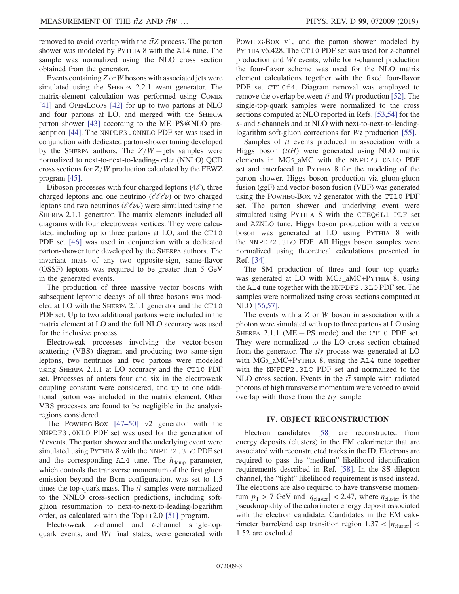removed to avoid overlap with the  $t\bar{t}Z$  process. The parton shower was modeled by PYTHIA 8 with the A14 tune. The sample was normalized using the NLO cross section obtained from the generator.

Events containing  $Z$  or  $W$  bosons with associated jets were simulated using the SHERPA 2.2.1 event generator. The matrix-element calculation was performed using COMIX [\[41\]](#page-22-19) and OPENLOOPS [\[42\]](#page-22-20) for up to two partons at NLO and four partons at LO, and merged with the SHERPA parton shower [\[43\]](#page-22-21) according to the ME+PS@NLO prescription [\[44\]](#page-22-22). The NNPDF3.0NNLO PDF set was used in conjunction with dedicated parton-shower tuning developed by the SHERPA authors. The  $Z/W +$  jets samples were normalized to next-to-next-to-leading-order (NNLO) QCD cross sections for  $Z/W$  production calculated by the FEWZ program [\[45\].](#page-22-23)

Diboson processes with four charged leptons  $(4\ell)$ , three charged leptons and one neutrino ( $\ell\ell\ell\nu$ ) or two charged leptons and two neutrinos ( $\ell \ell \nu$ ) were simulated using the SHERPA 2.1.1 generator. The matrix elements included all diagrams with four electroweak vertices. They were calculated including up to three partons at LO, and the CT10 PDF set [\[46\]](#page-22-24) was used in conjunction with a dedicated parton-shower tune developed by the SHERPA authors. The invariant mass of any two opposite-sign, same-flavor (OSSF) leptons was required to be greater than 5 GeV in the generated events.

The production of three massive vector bosons with subsequent leptonic decays of all three bosons was modeled at LO with the SHERPA 2.1.1 generator and the CT10 PDF set. Up to two additional partons were included in the matrix element at LO and the full NLO accuracy was used for the inclusive process.

Electroweak processes involving the vector-boson scattering (VBS) diagram and producing two same-sign leptons, two neutrinos and two partons were modeled using SHERPA 2.1.1 at LO accuracy and the CT10 PDF set. Processes of orders four and six in the electroweak coupling constant were considered, and up to one additional parton was included in the matrix element. Other VBS processes are found to be negligible in the analysis regions considered.

The POWHEG-BOX [\[47](#page-22-25)–50] v2 generator with the NNPDF3.0NLO PDF set was used for the generation of  $t\bar{t}$  events. The parton shower and the underlying event were simulated using PYTHIA 8 with the NNPDF2.3LO PDF set and the corresponding A14 tune. The  $h_{\text{damp}}$  parameter, which controls the transverse momentum of the first gluon emission beyond the Born configuration, was set to 1.5 times the top-quark mass. The  $t\bar{t}$  samples were normalized to the NNLO cross-section predictions, including softgluon resummation to next-to-next-to-leading-logarithm order, as calculated with the Top++2.0 [\[51\]](#page-22-26) program.

Electroweak s-channel and t-channel single-topquark events, and Wt final states, were generated with POWHEG-BOX v1, and the parton shower modeled by PYTHIA v6.428. The CT10 PDF set was used for <sup>s</sup>-channel production and Wt events, while for t-channel production the four-flavor scheme was used for the NLO matrix element calculations together with the fixed four-flavor PDF set CT10f4. Diagram removal was employed to remove the overlap between  $t\bar{t}$  and Wt production [\[52\]](#page-22-27). The single-top-quark samples were normalized to the cross sections computed at NLO reported in Refs. [\[53,54\]](#page-23-0) for the s- and t-channels and at NLO with next-to-next-to-leading-logarithm soft-gluon corrections for Wt production [\[55\]](#page-23-1).

Samples of  $t\bar{t}$  events produced in association with a Higgs boson  $(t\bar{t}H)$  were generated using NLO matrix elements in MG5\_aMC with the NNPDF3.0NLO PDF set and interfaced to PYTHIA 8 for the modeling of the parton shower. Higgs boson production via gluon-gluon fusion (ggF) and vector-boson fusion (VBF) was generated using the POWHEG-BOX v2 generator with the CT10 PDF set. The parton shower and underlying event were simulated using PYTHIA 8 with the CTEQ6L1 PDF set and AZNLO tune. Higgs boson production with a vector boson was generated at LO using PYTHIA 8 with the NNPDF2.3LO PDF. All Higgs boson samples were normalized using theoretical calculations presented in Ref. [\[34\].](#page-22-28)

The SM production of three and four top quarks was generated at LO with MG5\_aMC+PYTHIA 8, using the A14 tune together with the NNPDF2.3LO PDF set. The samples were normalized using cross sections computed at NLO [\[56,57\]](#page-23-2).

The events with a Z or W boson in association with a photon were simulated with up to three partons at LO using SHERPA 2.1.1 ( $ME + PS$  mode) and the CT10 PDF set. They were normalized to the LO cross section obtained from the generator. The  $t\bar{t}\gamma$  process was generated at LO with MG5\_aMC+PYTHIA 8, using the A14 tune together with the NNPDF2.3LO PDF set and normalized to the NLO cross section. Events in the  $t\bar{t}$  sample with radiated photons of high transverse momentum were vetoed to avoid overlap with those from the  $t\bar{t}\gamma$  sample.

## IV. OBJECT RECONSTRUCTION

<span id="page-2-0"></span>Electron candidates [\[58\]](#page-23-3) are reconstructed from energy deposits (clusters) in the EM calorimeter that are associated with reconstructed tracks in the ID. Electrons are required to pass the "medium" likelihood identification requirements described in Ref. [\[58\]](#page-23-3). In the SS dilepton channel, the "tight" likelihood requirement is used instead. The electrons are also required to have transverse momentum  $p_T > 7$  GeV and  $|\eta_{\text{cluster}}| < 2.47$ , where  $\eta_{\text{cluster}}$  is the pseudorapidity of the calorimeter energy deposit associated with the electron candidate. Candidates in the EM calorimeter barrel/end cap transition region  $1.37 < |\eta_{\text{cluster}}|$ 1.52 are excluded.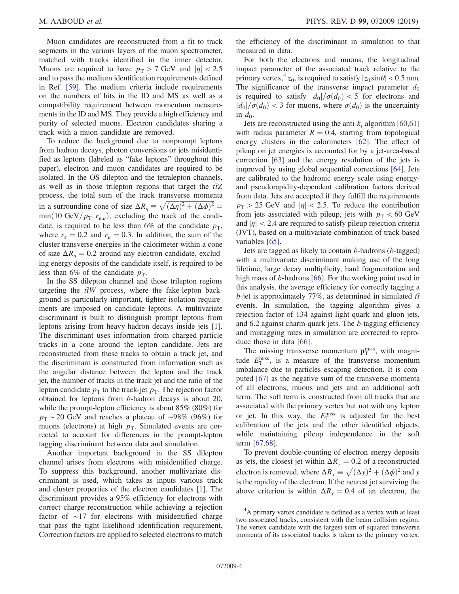Muon candidates are reconstructed from a fit to track segments in the various layers of the muon spectrometer, matched with tracks identified in the inner detector. Muons are required to have  $p_T > 7$  GeV and  $|\eta| < 2.5$ and to pass the medium identification requirements defined in Ref. [\[59\]](#page-23-4). The medium criteria include requirements on the numbers of hits in the ID and MS as well as a compatibility requirement between momentum measurements in the ID and MS. They provide a high efficiency and purity of selected muons. Electron candidates sharing a track with a muon candidate are removed.

To reduce the background due to nonprompt leptons from hadron decays, photon conversions or jets misidentified as leptons (labeled as "fake leptons" throughout this paper), electron and muon candidates are required to be isolated. In the OS dilepton and the tetralepton channels, as well as in those trilepton regions that target the  $t\bar{t}Z$ process, the total sum of the track transverse momenta in a surrounding cone of size  $\Delta R_\eta \equiv \sqrt{(\Delta \eta)^2 + (\Delta \phi)^2} =$  $min(10 \text{ GeV}/p_{\text{T}}, r_{e,\mu})$ , excluding the track of the candidate, is required to be less than 6% of the candidate  $p<sub>T</sub>$ , where  $r_e = 0.2$  and  $r_\mu = 0.3$ . In addition, the sum of the cluster transverse energies in the calorimeter within a cone of size  $\Delta R_n = 0.2$  around any electron candidate, excluding energy deposits of the candidate itself, is required to be less than 6% of the candidate  $p_T$ .

In the SS dilepton channel and those trilepton regions targeting the  $t\bar{t}W$  process, where the fake-lepton background is particularly important, tighter isolation requirements are imposed on candidate leptons. A multivariate discriminant is built to distinguish prompt leptons from leptons arising from heavy-hadron decays inside jets [\[1\]](#page-21-0). The discriminant uses information from charged-particle tracks in a cone around the lepton candidate. Jets are reconstructed from these tracks to obtain a track jet, and the discriminant is constructed from information such as the angular distance between the lepton and the track jet, the number of tracks in the track jet and the ratio of the lepton candidate  $p_T$  to the track-jet  $p_T$ . The rejection factor obtained for leptons from b-hadron decays is about 20, while the prompt-lepton efficiency is about 85% (80%) for  $p_T \sim 20$  GeV and reaches a plateau of ~98% (96%) for muons (electrons) at high  $p<sub>T</sub>$ . Simulated events are corrected to account for differences in the prompt-lepton tagging discriminant between data and simulation.

Another important background in the SS dilepton channel arises from electrons with misidentified charge. To suppress this background, another multivariate discriminant is used, which takes as inputs various track and cluster properties of the electron candidates [\[1\]](#page-21-0). The discriminant provides a 95% efficiency for electrons with correct charge reconstruction while achieving a rejection factor of ∼17 for electrons with misidentified charge that pass the tight likelihood identification requirement. Correction factors are applied to selected electrons to match the efficiency of the discriminant in simulation to that measured in data.

For both the electrons and muons, the longitudinal impact parameter of the associated track relative to the primary vertex,  $z_0$ , is required to satisfy  $|z_0 \sin \theta| < 0.5$  mm. The significance of the transverse impact parameter  $d_0$ is required to satisfy  $|d_0|/\sigma(d_0) < 5$  for electrons and  $|d_0|/\sigma(d_0)$  < 3 for muons, where  $\sigma(d_0)$  is the uncertainty in  $d_0$ .

Jets are reconstructed using the anti- $k_t$  algorithm [\[60,61\]](#page-23-5) with radius parameter  $R = 0.4$ , starting from topological energy clusters in the calorimeters [\[62\]](#page-23-6). The effect of pileup on jet energies is accounted for by a jet-area-based correction [\[63\]](#page-23-7) and the energy resolution of the jets is improved by using global sequential corrections [\[64\].](#page-23-8) Jets are calibrated to the hadronic energy scale using energyand pseudorapidity-dependent calibration factors derived from data. Jets are accepted if they fulfill the requirements  $p_{\rm T} > 25$  GeV and  $|\eta| < 2.5$ . To reduce the contribution from jets associated with pileup, jets with  $p_T < 60$  GeV and  $|\eta|$  < 2.4 are required to satisfy pileup rejection criteria (JVT), based on a multivariate combination of track-based variables [\[65\]](#page-23-9).

Jets are tagged as likely to contain b-hadrons (b-tagged) with a multivariate discriminant making use of the long lifetime, large decay multiplicity, hard fragmentation and high mass of *b*-hadrons [\[66\]](#page-23-10). For the working point used in this analysis, the average efficiency for correctly tagging a b-jet is approximately 77%, as determined in simulated  $t\bar{t}$ events. In simulation, the tagging algorithm gives a rejection factor of 134 against light-quark and gluon jets, and 6.2 against charm-quark jets. The b-tagging efficiency and mistagging rates in simulation are corrected to reproduce those in data [\[66\].](#page-23-10)

The missing transverse momentum  $\mathbf{p}_{\text{T}}^{\text{miss}}$ , with magnitude  $E_{\rm T}^{\rm miss}$ , is a measure of the transverse momentum imbalance due to particles escaping detection. It is computed [\[67\]](#page-23-11) as the negative sum of the transverse momenta of all electrons, muons and jets and an additional soft term. The soft term is constructed from all tracks that are associated with the primary vertex but not with any lepton or jet. In this way, the  $E_{\rm T}^{\rm miss}$  is adjusted for the best calibration of the jets and the other identified objects, while maintaining pileup independence in the soft term [\[67,68\].](#page-23-11)

To prevent double-counting of electron energy deposits as jets, the closest jet within  $\Delta R_{v} = 0.2$  of a reconstructed electron is removed, where  $\Delta R_y \equiv \sqrt{(\Delta y)^2 + (\Delta \phi)^2}$  and y is the rapidity of the electron. If the nearest jet surviving the above criterion is within  $\Delta R_{v} = 0.4$  of an electron, the

<sup>&</sup>lt;sup>4</sup>A primary vertex candidate is defined as a vertex with at least two associated tracks, consistent with the beam collision region. The vertex candidate with the largest sum of squared transverse momenta of its associated tracks is taken as the primary vertex.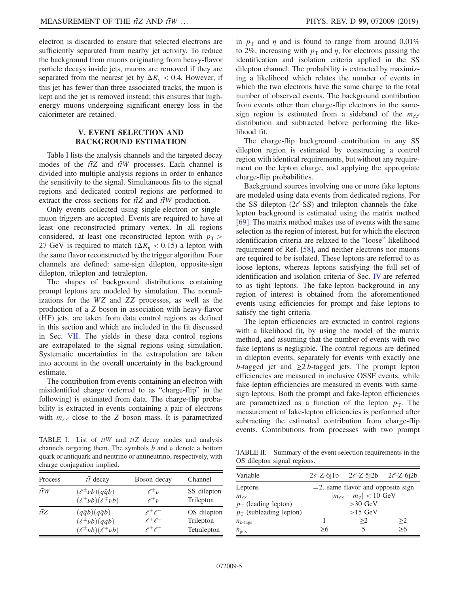electron is discarded to ensure that selected electrons are sufficiently separated from nearby jet activity. To reduce the background from muons originating from heavy-flavor particle decays inside jets, muons are removed if they are separated from the nearest jet by  $\Delta R$ <sub>y</sub> < 0.4. However, if this jet has fewer than three associated tracks, the muon is kept and the jet is removed instead; this ensures that highenergy muons undergoing significant energy loss in the calorimeter are retained.

# V. EVENT SELECTION AND BACKGROUND ESTIMATION

<span id="page-4-2"></span>Table [I](#page-4-0) lists the analysis channels and the targeted decay modes of the  $t\bar{t}Z$  and  $t\bar{t}W$  processes. Each channel is divided into multiple analysis regions in order to enhance the sensitivity to the signal. Simultaneous fits to the signal regions and dedicated control regions are performed to extract the cross sections for  $t\bar{t}Z$  and  $t\bar{t}W$  production.

Only events collected using single-electron or singlemuon triggers are accepted. Events are required to have at least one reconstructed primary vertex. In all regions considered, at least one reconstructed lepton with  $p_T$  > 27 GeV is required to match ( $\Delta R_n < 0.15$ ) a lepton with the same flavor reconstructed by the trigger algorithm. Four channels are defined: same-sign dilepton, opposite-sign dilepton, trilepton and tetralepton.

The shapes of background distributions containing prompt leptons are modeled by simulation. The normalizations for the WZ and ZZ processes, as well as the production of a Z boson in association with heavy-flavor (HF) jets, are taken from data control regions as defined in this section and which are included in the fit discussed in Sec. [VII](#page-16-0). The yields in these data control regions are extrapolated to the signal regions using simulation. Systematic uncertainties in the extrapolation are taken into account in the overall uncertainty in the background estimate.

The contribution from events containing an electron with misidentified charge (referred to as "charge-flip" in the following) is estimated from data. The charge-flip probability is extracted in events containing a pair of electrons with  $m_{\ell\ell}$  close to the Z boson mass. It is parametrized

<span id="page-4-0"></span>TABLE I. List of  $t\bar{t}W$  and  $t\bar{t}Z$  decay modes and analysis channels targeting them. The symbols  $b$  and  $\nu$  denote a bottom quark or antiquark and neutrino or antineutrino, respectively, with charge conjugation implied.

| Process          | $t\bar{t}$ decay                       | Boson decay      | Channel     |
|------------------|----------------------------------------|------------------|-------------|
| $t\overline{t}W$ | $(\ell^{\pm} \nu b)(q\bar{q}b)$        | $\ell^{\pm} \nu$ | SS dilepton |
|                  | $(\ell^{\pm} \nu b)(\ell^{\mp} \nu b)$ | $\ell^{\pm}$ v   | Trilepton   |
| $t\overline{t}Z$ | $(q\bar{q}b)(q\bar{q}b)$               | $e^+e^-$         | OS dilepton |
|                  | $(\ell^{\pm} \nu b)(q\bar{q}b)$        | $e^+e^-$         | Trilepton   |
|                  | $(\ell^{\pm} \nu b)(\ell^{\mp} \nu b)$ | $e^+e^-$         | Tetralepton |

in  $p_T$  and  $\eta$  and is found to range from around 0.01% to 2%, increasing with  $p_T$  and  $\eta$ , for electrons passing the identification and isolation criteria applied in the SS dilepton channel. The probability is extracted by maximizing a likelihood which relates the number of events in which the two electrons have the same charge to the total number of observed events. The background contribution from events other than charge-flip electrons in the samesign region is estimated from a sideband of the  $m_{\ell\ell}$ distribution and subtracted before performing the likelihood fit.

The charge-flip background contribution in any SS dilepton region is estimated by constructing a control region with identical requirements, but without any requirement on the lepton charge, and applying the appropriate charge-flip probabilities.

Background sources involving one or more fake leptons are modeled using data events from dedicated regions. For the SS dilepton  $(2\ell$ -SS) and trilepton channels the fakelepton background is estimated using the matrix method [\[69\]](#page-23-12). The matrix method makes use of events with the same selection as the region of interest, but for which the electron identification criteria are relaxed to the "loose" likelihood requirement of Ref. [\[58\]](#page-23-3), and neither electrons nor muons are required to be isolated. These leptons are referred to as loose leptons, whereas leptons satisfying the full set of identification and isolation criteria of Sec. [IV](#page-2-0) are referred to as tight leptons. The fake-lepton background in any region of interest is obtained from the aforementioned events using efficiencies for prompt and fake leptons to satisfy the tight criteria.

The lepton efficiencies are extracted in control regions with a likelihood fit, by using the model of the matrix method, and assuming that the number of events with two fake leptons is negligible. The control regions are defined in dilepton events, separately for events with exactly one b-tagged jet and  $\geq$ 2 b-tagged jets. The prompt lepton efficiencies are measured in inclusive OSSF events, while fake-lepton efficiencies are measured in events with samesign leptons. Both the prompt and fake-lepton efficiencies are parametrized as a function of the lepton  $p<sub>T</sub>$ . The measurement of fake-lepton efficiencies is performed after subtracting the estimated contribution from charge-flip events. Contributions from processes with two prompt

<span id="page-4-1"></span>TABLE II. Summary of the event selection requirements in the OS dilepton signal regions.

| Variable                  |                                 | $2\ell$ -Z-61b $2\ell$ -Z-512b $2\ell$ -Z-612b |    |  |
|---------------------------|---------------------------------|------------------------------------------------|----|--|
| Leptons                   |                                 | $=$ 2, same flavor and opposite sign           |    |  |
| $m_{\ell,\ell}$           | $ m_{\ell\ell} - m_Z  < 10$ GeV |                                                |    |  |
| $p_T$ (leading lepton)    | $>30$ GeV                       |                                                |    |  |
| $p_T$ (subleading lepton) |                                 | $>15$ GeV                                      |    |  |
| $n_{b\text{-tags}}$       |                                 | >2                                             | >2 |  |
| $n_{\text{jets}}$         |                                 |                                                | >6 |  |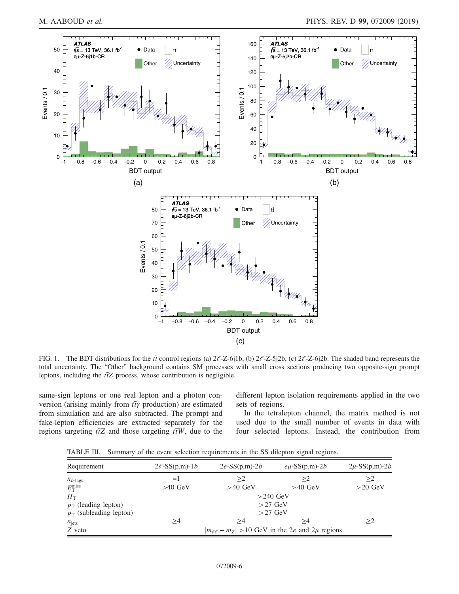<span id="page-5-0"></span>

FIG. 1. The BDT distributions for the  $t\bar{t}$  control regions (a)  $2\ell$ -Z-6j1b, (b)  $2\ell$ -Z-5j2b, (c)  $2\ell$ -Z-6j2b. The shaded band represents the total uncertainty. The "Other" background contains SM processes with small cross sections producing two opposite-sign prompt leptons, including the  $t\bar{t}Z$  process, whose contribution is negligible.

same-sign leptons or one real lepton and a photon conversion (arising mainly from  $t\bar{t}\gamma$  production) are estimated from simulation and are also subtracted. The prompt and fake-lepton efficiencies are extracted separately for the regions targeting  $t\bar{t}Z$  and those targeting  $t\bar{t}W$ , due to the different lepton isolation requirements applied in the two sets of regions.

In the tetralepton channel, the matrix method is not used due to the small number of events in data with four selected leptons. Instead, the contribution from

<span id="page-5-1"></span>TABLE III. Summary of the event selection requirements in the SS dilepton signal regions.

| Requirement               | $2\ell$ -SS(p,m)-1b | $2e$ -SS $(p,m)$ - $2b$                               | $e\mu$ -SS(p,m)-2 <i>b</i> | $2\mu$ -SS(p,m)-2 <i>b</i> |  |  |  |
|---------------------------|---------------------|-------------------------------------------------------|----------------------------|----------------------------|--|--|--|
| $n_{b\text{-tags}}$       | $=$ $\vert$         | >2                                                    | >2                         | >2                         |  |  |  |
| $E_{\rm T}^{\rm miss}$    | $>40$ GeV           | $>40$ GeV                                             | $>40$ GeV                  | $>20$ GeV                  |  |  |  |
| $H_{\rm T}$               |                     | $>240$ GeV                                            |                            |                            |  |  |  |
| $p_T$ (leading lepton)    | $>27$ GeV           |                                                       |                            |                            |  |  |  |
| $p_T$ (subleading lepton) |                     |                                                       | $>27$ GeV                  |                            |  |  |  |
| $n_{\text{jets}}$         | >4                  | >4                                                    | >4                         | >2                         |  |  |  |
| Z veto                    |                     | $ m_{e\ell} - m_Z  > 10$ GeV in the 2e and 2µ regions |                            |                            |  |  |  |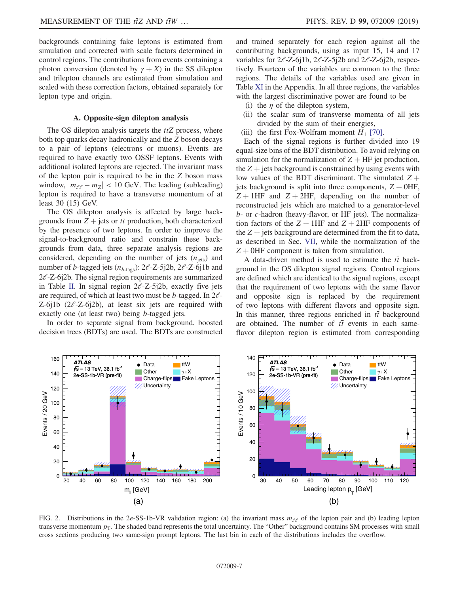backgrounds containing fake leptons is estimated from simulation and corrected with scale factors determined in control regions. The contributions from events containing a photon conversion (denoted by  $\gamma + X$ ) in the SS dilepton and trilepton channels are estimated from simulation and scaled with these correction factors, obtained separately for lepton type and origin.

#### A. Opposite-sign dilepton analysis

<span id="page-6-1"></span>The OS dilepton analysis targets the  $t\bar{t}Z$  process, where both top quarks decay hadronically and the Z boson decays to a pair of leptons (electrons or muons). Events are required to have exactly two OSSF leptons. Events with additional isolated leptons are rejected. The invariant mass of the lepton pair is required to be in the Z boson mass window,  $|m_{\ell\ell} - m_Z| < 10$  GeV. The leading (subleading) lepton is required to have a transverse momentum of at least 30 (15) GeV.

The OS dilepton analysis is affected by large backgrounds from  $Z$  + jets or  $t\bar{t}$  production, both characterized by the presence of two leptons. In order to improve the signal-to-background ratio and constrain these backgrounds from data, three separate analysis regions are considered, depending on the number of jets  $(n_{\text{jets}})$  and number of b-tagged jets  $(n_{b\text{-tags}}): 2\ell$ -Z-5j2b, 2 $\ell$ -Z-6j1b and  $2\ell$ -Z-6j2b. The signal region requirements are summarized in Table [II.](#page-4-1) In signal region  $2\ell$ -Z-5j2b, exactly five jets are required, of which at least two must be *b*-tagged. In  $2l$ -Z-6j1b  $(2\ell$ -Z-6j2b), at least six jets are required with exactly one (at least two) being b-tagged jets.

In order to separate signal from background, boosted decision trees (BDTs) are used. The BDTs are constructed and trained separately for each region against all the contributing backgrounds, using as input 15, 14 and 17 variables for  $2\ell$ -Z-6j1b,  $2\ell$ -Z-5j2b and  $2\ell$ -Z-6j2b, respectively. Fourteen of the variables are common to the three regions. The details of the variables used are given in Table [XI](#page-21-5) in the Appendix. In all three regions, the variables with the largest discriminative power are found to be

- (i) the  $\eta$  of the dilepton system,
- (ii) the scalar sum of transverse momenta of all jets divided by the sum of their energies,
- (iii) the first Fox-Wolfram moment  $H_1$  [\[70\].](#page-23-13)

Each of the signal regions is further divided into 19 equal-size bins of the BDT distribution. To avoid relying on simulation for the normalization of  $Z + HF$  jet production, the  $Z +$  jets background is constrained by using events with low values of the BDT discriminant. The simulated  $Z +$ jets background is split into three components,  $Z + 0HF$ ,  $Z + 1HF$  and  $Z + 2HF$ , depending on the number of reconstructed jets which are matched to a generator-level b- or c-hadron (heavy-flavor, or HF jets). The normalization factors of the  $Z + 1HF$  and  $Z + 2HF$  components of the  $Z +$  jets background are determined from the fit to data, as described in Sec. [VII,](#page-16-0) while the normalization of the  $Z + 0$ HF component is taken from simulation.

A data-driven method is used to estimate the  $t\bar{t}$  background in the OS dilepton signal regions. Control regions are defined which are identical to the signal regions, except that the requirement of two leptons with the same flavor and opposite sign is replaced by the requirement of two leptons with different flavors and opposite sign. In this manner, three regions enriched in  $t\bar{t}$  background are obtained. The number of  $t\bar{t}$  events in each sameflavor dilepton region is estimated from corresponding

<span id="page-6-0"></span>

FIG. 2. Distributions in the 2e-SS-1b-VR validation region: (a) the invariant mass  $m_{e\ell}$  of the lepton pair and (b) leading lepton transverse momentum  $p<sub>T</sub>$ . The shaded band represents the total uncertainty. The "Other" background contains SM processes with small cross sections producing two same-sign prompt leptons. The last bin in each of the distributions includes the overflow.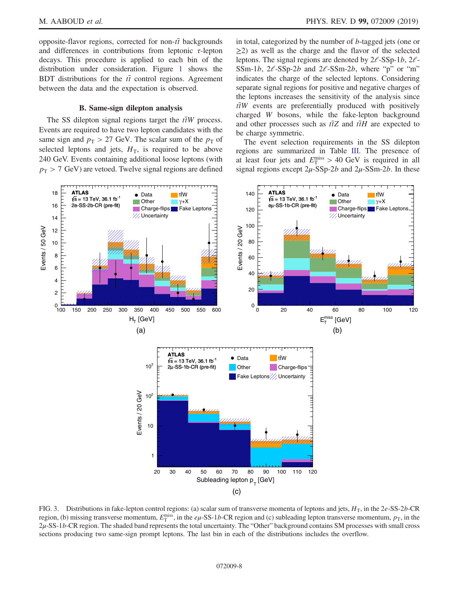opposite-flavor regions, corrected for non- $t\bar{t}$  backgrounds and differences in contributions from leptonic  $\tau$ -lepton decays. This procedure is applied to each bin of the distribution under consideration. Figure [1](#page-5-0) shows the BDT distributions for the  $t\bar{t}$  control regions. Agreement between the data and the expectation is observed.

### B. Same-sign dilepton analysis

The SS dilepton signal regions target the  $t\bar{t}W$  process. Events are required to have two lepton candidates with the same sign and  $p_T > 27$  GeV. The scalar sum of the  $p_T$  of selected leptons and jets,  $H<sub>T</sub>$ , is required to be above 240 GeV. Events containing additional loose leptons (with  $p_T > 7$  GeV) are vetoed. Twelve signal regions are defined in total, categorized by the number of b-tagged jets (one or  $\geq$ 2) as well as the charge and the flavor of the selected leptons. The signal regions are denoted by  $2\ell$ -SSp-1*b*,  $2\ell$ -SSm-1b,  $2\ell$ -SSp-2b and  $2\ell$ -SSm-2b, where "p" or "m" indicates the charge of the selected leptons. Considering separate signal regions for positive and negative charges of the leptons increases the sensitivity of the analysis since  $t\bar{t}W$  events are preferentially produced with positively charged W bosons, while the fake-lepton background and other processes such as  $t\bar{t}Z$  and  $t\bar{t}H$  are expected to be charge symmetric.

The event selection requirements in the SS dilepton regions are summarized in Table [III.](#page-5-1) The presence of at least four jets and  $E_T^{\text{miss}} > 40 \text{ GeV}$  is required in all signal regions except  $2\mu$ -SSp-2b and  $2\mu$ -SSm-2b. In these

<span id="page-7-0"></span>

FIG. 3. Distributions in fake-lepton control regions: (a) scalar sum of transverse momenta of leptons and jets,  $H_T$ , in the 2e-SS-2b-CR region, (b) missing transverse momentum,  $E_T^{\text{miss}}$ , in the  $e\mu$ -SS-1b-CR region and (c) subleading lepton transverse momentum,  $p_T$ , in the  $2\mu$ -SS-1b-CR region. The shaded band represents the total uncertainty. The "Other" background contains SM processes with small cross sections producing two same-sign prompt leptons. The last bin in each of the distributions includes the overflow.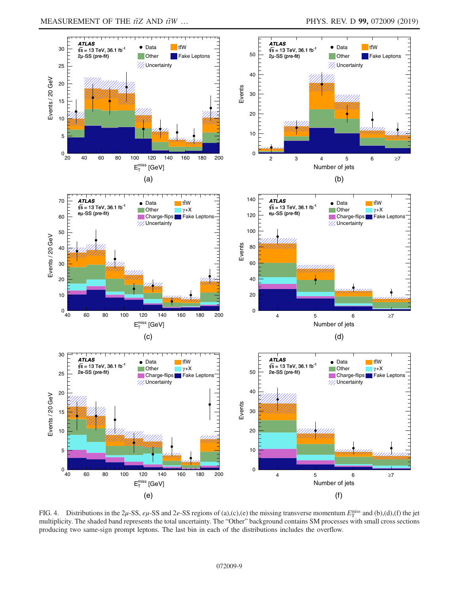<span id="page-8-0"></span>

FIG. 4. Distributions in the 2 $\mu$ -SS,  $e\mu$ -SS and 2 $e$ -SS regions of (a),(c),(e) the missing transverse momentum  $E_T^{\text{miss}}$  and (b),(d),(f) the jet multiplicity. The shaded band represents the total uncertainty. The "Other" background contains SM processes with small cross sections producing two same-sign prompt leptons. The last bin in each of the distributions includes the overflow.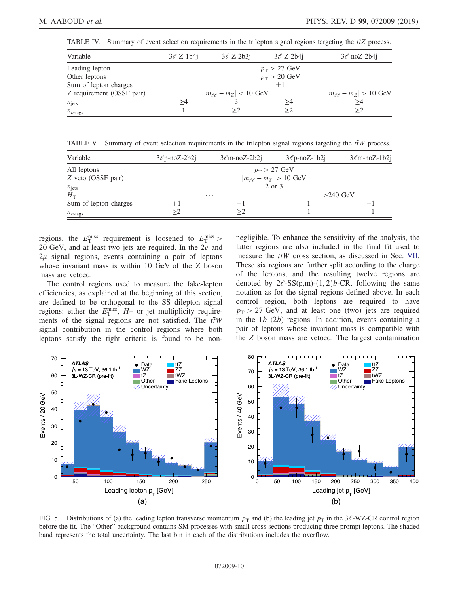<span id="page-9-0"></span>TABLE IV. Summary of event selection requirements in the trilepton signal regions targeting the  $t\bar{t}Z$  process.

| Variable                  | $3\ell$ -Z-1b4j | $3\ell$ -Z-2b3i                 | $3\ell$ -Z-2b4j              | $3\ell$ -noZ-2b4j               |
|---------------------------|-----------------|---------------------------------|------------------------------|---------------------------------|
| Leading lepton            |                 |                                 | $p_{\rm T} > 27 \text{ GeV}$ |                                 |
| Other leptons             |                 |                                 | $p_T > 20$ GeV               |                                 |
| Sum of lepton charges     |                 |                                 | $+1$                         |                                 |
| Z requirement (OSSF pair) |                 | $ m_{\ell\ell} - m_Z $ < 10 GeV |                              | $ m_{\ell\ell} - m_Z  > 10$ GeV |
| $n_{\text{jets}}$         | ≥4              |                                 | >4                           | $\geq 4$                        |
| $n_{b\text{-tags}}$       |                 | >2                              | >2                           | >2                              |

<span id="page-9-1"></span>TABLE V. Summary of event selection requirements in the trilepton signal regions targeting the  $t\bar{t}W$  process.

| Variable              | $3\ell p$ -noZ-2b2j | $3\ell$ m-noZ-2b2j | $3\ell$ p-noZ-1b2i                      | $3\ell$ m-noZ-1b2j |
|-----------------------|---------------------|--------------------|-----------------------------------------|--------------------|
| All leptons           |                     |                    | $p_{\rm T} > 27 \text{ GeV}$            |                    |
| Z veto (OSSF pair)    |                     |                    | $ m_{\ell\ell} - m_Z  > 10 \text{ GeV}$ |                    |
| $n_{\text{jets}}$     |                     |                    | 2 or 3                                  |                    |
| $H_{\rm T}$           |                     | $\cdots$           |                                         | $>240$ GeV         |
| Sum of lepton charges | $+1$                | — I                | $+1$                                    | $-1$               |
| $n_{b$ -tags          | >2                  | >2                 |                                         |                    |

regions, the  $E_{\rm T}^{\rm miss}$  requirement is loosened to  $E_{\rm T}^{\rm miss}$ 20 GeV, and at least two jets are required. In the 2e and  $2\mu$  signal regions, events containing a pair of leptons whose invariant mass is within 10 GeV of the Z boson mass are vetoed.

The control regions used to measure the fake-lepton efficiencies, as explained at the beginning of this section, are defined to be orthogonal to the SS dilepton signal regions: either the  $E_{\rm T}^{\rm miss}$ ,  $H_{\rm T}$  or jet multiplicity requirements of the signal regions are not satisfied. The  $t\bar{t}W$ signal contribution in the control regions where both leptons satisfy the tight criteria is found to be nonnegligible. To enhance the sensitivity of the analysis, the latter regions are also included in the final fit used to measure the  $t\bar{t}W$  cross section, as discussed in Sec. [VII](#page-16-0). These six regions are further split according to the charge of the leptons, and the resulting twelve regions are denoted by  $2e$ -SS(p,m)-(1,2)b-CR, following the same notation as for the signal regions defined above. In each control region, both leptons are required to have  $p_T > 27$  GeV, and at least one (two) jets are required in the  $1b(2b)$  regions. In addition, events containing a pair of leptons whose invariant mass is compatible with the Z boson mass are vetoed. The largest contamination

<span id="page-9-2"></span>

FIG. 5. Distributions of (a) the leading lepton transverse momentum  $p<sub>T</sub>$  and (b) the leading jet  $p<sub>T</sub>$  in the 3 $\ell$ -WZ-CR control region before the fit. The "Other" background contains SM processes with small cross sections producing three prompt leptons. The shaded band represents the total uncertainty. The last bin in each of the distributions includes the overflow.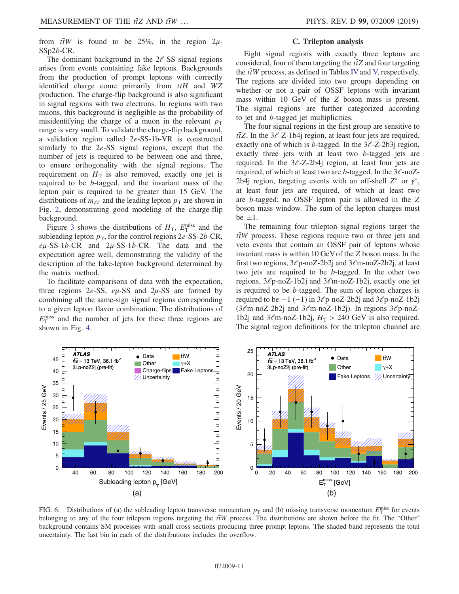from  $\bar{t}$ W is found to be 25%, in the region 2 $\mu$ -SSp2b-CR.

The dominant background in the  $2\ell$ -SS signal regions arises from events containing fake leptons. Backgrounds from the production of prompt leptons with correctly identified charge come primarily from  $t\bar{t}H$  and  $WZ$ production. The charge-flip background is also significant in signal regions with two electrons. In regions with two muons, this background is negligible as the probability of misidentifying the charge of a muon in the relevant  $p_T$ range is very small. To validate the charge-flip background, a validation region called 2e-SS-1b-VR is constructed similarly to the 2e-SS signal regions, except that the number of jets is required to be between one and three, to ensure orthogonality with the signal regions. The requirement on  $H<sub>T</sub>$  is also removed, exactly one jet is required to be b-tagged, and the invariant mass of the lepton pair is required to be greater than 15 GeV. The distributions of  $m_{\ell\ell}$  and the leading lepton  $p_{\rm T}$  are shown in Fig. [2,](#page-6-0) demonstrating good modeling of the charge-flip background.

Figure [3](#page-7-0) shows the distributions of  $H_T$ ,  $E_T^{\text{miss}}$  and the subleading lepton  $p_T$ , for the control regions 2e-SS-2b-CR,  $e\mu$ -SS-1b-CR and  $2\mu$ -SS-1b-CR. The data and the expectation agree well, demonstrating the validity of the description of the fake-lepton background determined by the matrix method.

To facilitate comparisons of data with the expectation, three regions 2e-SS,  $e\mu$ -SS and  $2\mu$ -SS are formed by combining all the same-sign signal regions corresponding to a given lepton flavor combination. The distributions of  $E_{\rm T}^{\rm miss}$  and the number of jets for these three regions are shown in Fig. [4.](#page-8-0)

### C. Trilepton analysis

Eight signal regions with exactly three leptons are considered, four of them targeting the  $t\bar{t}Z$  and four targeting the  $t\bar{t}W$  process, as defined in Tables [IV](#page-9-0) and [V,](#page-9-1) respectively. The regions are divided into two groups depending on whether or not a pair of OSSF leptons with invariant mass within 10 GeV of the Z boson mass is present. The signal regions are further categorized according to jet and b-tagged jet multiplicities.

The four signal regions in the first group are sensitive to  $t\bar{t}Z$ . In the 3 $\ell$ -Z-1b4j region, at least four jets are required, exactly one of which is *b*-tagged. In the  $3\ell$ -Z-2b3j region, exactly three jets with at least two b-tagged jets are required. In the  $3\ell$ -Z-2b4j region, at least four jets are required, of which at least two are b-tagged. In the  $3\ell$ -noZ-2b4j region, targeting events with an off-shell  $Z^*$  or  $\gamma^*$ , at least four jets are required, of which at least two are b-tagged; no OSSF lepton pair is allowed in the Z boson mass window. The sum of the lepton charges must  $be \pm 1.$ 

The remaining four trilepton signal regions target the  $t\bar{t}W$  process. These regions require two or three jets and veto events that contain an OSSF pair of leptons whose invariant mass is within 10 GeVof the Z boson mass. In the first two regions,  $3\ell p$ -noZ-2b2j and  $3\ell m$ -noZ-2b2j, at least two jets are required to be b-tagged. In the other two regions,  $3\ell p$ -noZ-1b2j and  $3\ell m$ -noZ-1b2j, exactly one jet is required to be b-tagged. The sum of lepton charges is required to be +1 (−1) in  $3\ell p$ -noZ-2b2j and  $3\ell p$ -noZ-1b2j  $(3\ell \text{m-noZ-2b2j}$  and  $3\ell \text{m-noZ-1b2j})$ . In regions  $3\ell \text{p-noZ-1b2j}$ 1b2j and  $3\ell$ m-noZ-1b2j,  $H_T > 240$  GeV is also required. The signal region definitions for the trilepton channel are

<span id="page-10-0"></span>

FIG. 6. Distributions of (a) the subleading lepton transverse momentum  $p_T$  and (b) missing transverse momentum  $E_T^{\text{miss}}$  for events belonging to any of the four trilepton regions targeting the  $t\bar{t}W$  process. The distributions are shown before the fit. The "Other" background contains SM processes with small cross sections producing three prompt leptons. The shaded band represents the total uncertainty. The last bin in each of the distributions includes the overflow.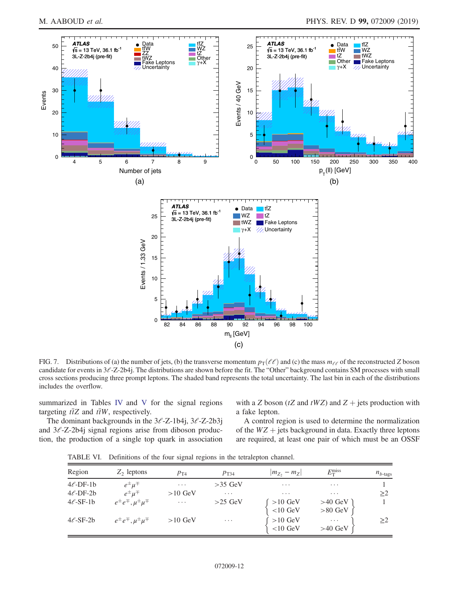<span id="page-11-0"></span>

FIG. 7. Distributions of (a) the number of jets, (b) the transverse momentum  $p_T(\ell\ell)$  and (c) the mass  $m_{\ell\ell}$  of the reconstructed Z boson candidate for events in  $3\ell$ -Z-2b4j. The distributions are shown before the fit. The "Other" background contains SM processes with small cross sections producing three prompt leptons. The shaded band represents the total uncertainty. The last bin in each of the distributions includes the overflow.

summarized in Tables [IV](#page-9-0) and [V](#page-9-1) for the signal regions targeting  $t\bar{t}Z$  and  $t\bar{t}W$ , respectively.

with a Z boson ( $tZ$  and  $tWZ$ ) and  $Z +$  jets production with a fake lepton.

The dominant backgrounds in the  $3\ell$ -Z-1b4j,  $3\ell$ -Z-2b3j and  $3\ell$ -Z-2b4j signal regions arise from diboson production, the production of a single top quark in association

A control region is used to determine the normalization of the  $WZ$  + jets background in data. Exactly three leptons are required, at least one pair of which must be an OSSF

<span id="page-11-1"></span>TABLE VI. Definitions of the four signal regions in the tetralepton channel.

| Region         | $Z_2$ leptons                           | $p_{T4}$  | $p_{T34}$ | $ m_{Z_2} - m_{Z} $     | $E_{\rm T}^{\rm miss}$          | $n_{b$ -tags |
|----------------|-----------------------------------------|-----------|-----------|-------------------------|---------------------------------|--------------|
| $4\ell$ -DF-1b | $e^{\pm} \mu^{\mp}$                     | $\cdots$  | $>35$ GeV | $\cdots$                | $\cdots$                        |              |
| $4\ell$ -DF-2b | $e^{\pm} \mu^{\mp}$                     | $>10$ GeV | $\cdots$  | $\cdots$                | $\cdots$                        | >2           |
| $4\ell$ -SF-1b | $e^{\pm}e^{\mp}$ , $\mu^{\pm}\mu^{\mp}$ | $\cdots$  | $>25$ GeV | $>10$ GeV<br>$<$ 10 GeV | $>40$ GeV<br>$>80~\mathrm{GeV}$ |              |
| $4\ell$ -SF-2b | $e^{\pm}e^{\mp}$ , $\mu^{\pm}\mu^{\mp}$ | $>10$ GeV | $\cdots$  | $>10$ GeV<br>$<$ 10 GeV | $\cdots$<br>$>40$ GeV           | >2           |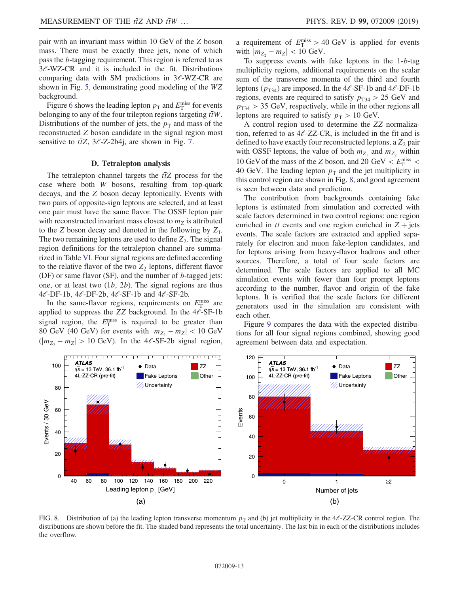pair with an invariant mass within 10 GeV of the Z boson mass. There must be exactly three jets, none of which pass the b-tagging requirement. This region is referred to as  $3\ell$ -WZ-CR and it is included in the fit. Distributions comparing data with SM predictions in  $3\ell$ -WZ-CR are shown in Fig. [5](#page-9-2), demonstrating good modeling of the WZ background.

Figure [6](#page-10-0) shows the leading lepton  $p_T$  and  $E_T^{\text{miss}}$  for events belonging to any of the four trilepton regions targeting  $t\bar{t}W$ . Distributions of the number of jets, the  $p_T$  and mass of the reconstructed Z boson candidate in the signal region most sensitive to  $t\bar{t}Z$ ,  $3\ell$ -Z-2b4j, are shown in Fig. [7](#page-11-0).

#### D. Tetralepton analysis

The tetralepton channel targets the  $t\bar{t}Z$  process for the case where both W bosons, resulting from top-quark decays, and the Z boson decay leptonically. Events with two pairs of opposite-sign leptons are selected, and at least one pair must have the same flavor. The OSSF lepton pair with reconstructed invariant mass closest to  $m<sub>z</sub>$  is attributed to the  $Z$  boson decay and denoted in the following by  $Z_1$ . The two remaining leptons are used to define  $Z_2$ . The signal region definitions for the tetralepton channel are summarized in Table [VI](#page-11-1). Four signal regions are defined according to the relative flavor of the two  $Z_2$  leptons, different flavor (DF) or same flavor (SF), and the number of  $b$ -tagged jets: one, or at least two  $(1b, 2b)$ . The signal regions are thus  $4\ell$ -DF-1b,  $4\ell$ -DF-2b,  $4\ell$ -SF-1b and  $4\ell$ -SF-2b.

In the same-flavor regions, requirements on  $E_{\rm T}^{\rm miss}$  are applied to suppress the ZZ background. In the  $4\ell$ -SF-1b signal region, the  $E_{\rm T}^{\rm miss}$  is required to be greater than 80 GeV (40 GeV) for events with  $|m_{Z_2} - m_Z| < 10$  GeV  $(|m_{Z_2} - m_Z| > 10$  GeV). In the 4 $\ell$ -SF-2b signal region,

a requirement of  $E_{\rm T}^{\rm miss} > 40~{\rm GeV}$  is applied for events with  $|m_{Z_2} - m_Z| < 10$  GeV.

To suppress events with fake leptons in the 1-b-tag multiplicity regions, additional requirements on the scalar sum of the transverse momenta of the third and fourth leptons ( $p_{T34}$ ) are imposed. In the 4 $\ell$ -SF-1b and 4 $\ell$ -DF-1b regions, events are required to satisfy  $p_{T34} > 25$  GeV and  $p_{T34} > 35$  GeV, respectively, while in the other regions all leptons are required to satisfy  $p_T > 10$  GeV.

A control region used to determine the ZZ normalization, referred to as  $4\ell$ -ZZ-CR, is included in the fit and is defined to have exactly four reconstructed leptons, a  $Z_2$  pair with OSSF leptons, the value of both  $m_{Z_1}$  and  $m_{Z_2}$  within 10 GeV of the mass of the Z boson, and 20 GeV  $\lt E_T^{\text{miss}}$   $\lt$ 40 GeV. The leading lepton  $p_T$  and the jet multiplicity in this control region are shown in Fig. [8](#page-12-0), and good agreement is seen between data and prediction.

The contribution from backgrounds containing fake leptons is estimated from simulation and corrected with scale factors determined in two control regions: one region enriched in  $t\bar{t}$  events and one region enriched in  $Z$  + jets events. The scale factors are extracted and applied separately for electron and muon fake-lepton candidates, and for leptons arising from heavy-flavor hadrons and other sources. Therefore, a total of four scale factors are determined. The scale factors are applied to all MC simulation events with fewer than four prompt leptons according to the number, flavor and origin of the fake leptons. It is verified that the scale factors for different generators used in the simulation are consistent with each other.

Figure [9](#page-13-0) compares the data with the expected distributions for all four signal regions combined, showing good agreement between data and expectation.

<span id="page-12-0"></span>

FIG. 8. Distribution of (a) the leading lepton transverse momentum  $p<sub>T</sub>$  and (b) jet multiplicity in the 4 $\ell$ -ZZ-CR control region. The distributions are shown before the fit. The shaded band represents the total uncertainty. The last bin in each of the distributions includes the overflow.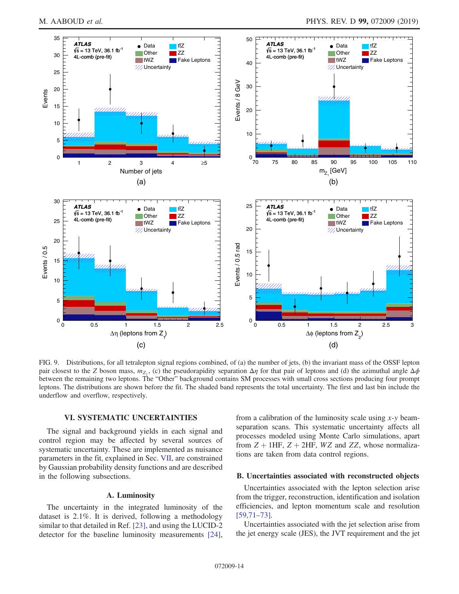<span id="page-13-0"></span>

FIG. 9. Distributions, for all tetralepton signal regions combined, of (a) the number of jets, (b) the invariant mass of the OSSF lepton pair closest to the Z boson mass,  $m_Z$ , (c) the pseudorapidity separation  $\Delta \eta$  for that pair of leptons and (d) the azimuthal angle  $\Delta \phi$ between the remaining two leptons. The "Other" background contains SM processes with small cross sections producing four prompt leptons. The distributions are shown before the fit. The shaded band represents the total uncertainty. The first and last bin include the underflow and overflow, respectively.

# VI. SYSTEMATIC UNCERTAINTIES

The signal and background yields in each signal and control region may be affected by several sources of systematic uncertainty. These are implemented as nuisance parameters in the fit, explained in Sec. [VII,](#page-16-0) are constrained by Gaussian probability density functions and are described in the following subsections.

# A. Luminosity

The uncertainty in the integrated luminosity of the dataset is 2.1%. It is derived, following a methodology similar to that detailed in Ref. [\[23\]](#page-22-4), and using the LUCID-2 detector for the baseline luminosity measurements [\[24\]](#page-22-29), from a calibration of the luminosity scale using  $x-y$  beamseparation scans. This systematic uncertainty affects all processes modeled using Monte Carlo simulations, apart from  $Z + 1$ HF,  $Z + 2$ HF, WZ and ZZ, whose normalizations are taken from data control regions.

### B. Uncertainties associated with reconstructed objects

Uncertainties associated with the lepton selection arise from the trigger, reconstruction, identification and isolation efficiencies, and lepton momentum scale and resolution [\[59,71](#page-23-4)–73].

Uncertainties associated with the jet selection arise from the jet energy scale (JES), the JVT requirement and the jet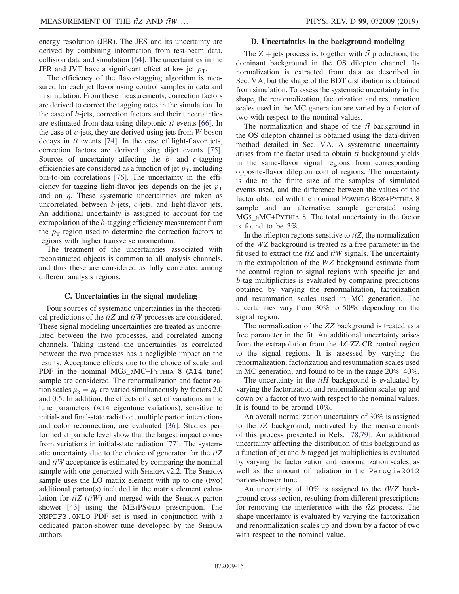energy resolution (JER). The JES and its uncertainty are derived by combining information from test-beam data, collision data and simulation [\[64\].](#page-23-8) The uncertainties in the JER and JVT have a significant effect at low jet  $p_T$ .

The efficiency of the flavor-tagging algorithm is measured for each jet flavor using control samples in data and in simulation. From these measurements, correction factors are derived to correct the tagging rates in the simulation. In the case of b-jets, correction factors and their uncertainties are estimated from data using dileptonic  $t\bar{t}$  events [\[66\]](#page-23-10). In the case of  $c$ -jets, they are derived using jets from  $W$  boson decays in  $t\bar{t}$  events [\[74\]](#page-23-14). In the case of light-flavor jets, correction factors are derived using dijet events [\[75\]](#page-23-15). Sources of uncertainty affecting the  $b$ - and  $c$ -tagging efficiencies are considered as a function of jet  $p<sub>T</sub>$ , including bin-to-bin correlations [\[76\]](#page-23-16). The uncertainty in the efficiency for tagging light-flavor jets depends on the jet  $p_T$ and on  $\eta$ . These systematic uncertainties are taken as uncorrelated between b-jets, c-jets, and light-flavor jets. An additional uncertainty is assigned to account for the extrapolation of the b-tagging efficiency measurement from the  $p_T$  region used to determine the correction factors to regions with higher transverse momentum.

The treatment of the uncertainties associated with reconstructed objects is common to all analysis channels, and thus these are considered as fully correlated among different analysis regions.

#### C. Uncertainties in the signal modeling

Four sources of systematic uncertainties in the theoretical predictions of the  $t\bar{t}Z$  and  $t\bar{t}W$  processes are considered. These signal modeling uncertainties are treated as uncorrelated between the two processes, and correlated among channels. Taking instead the uncertainties as correlated between the two processes has a negligible impact on the results. Acceptance effects due to the choice of scale and PDF in the nominal MG5\_aMC+PYTHIA 8 (A14 tune) sample are considered. The renormalization and factorization scales  $\mu_{\rm R} = \mu_{\rm F}$  are varied simultaneously by factors 2.0 and 0.5. In addition, the effects of a set of variations in the tune parameters (A14 eigentune variations), sensitive to initial- and final-state radiation, multiple parton interactions and color reconnection, are evaluated [\[36\].](#page-22-14) Studies performed at particle level show that the largest impact comes from variations in initial-state radiation [\[77\].](#page-23-17) The systematic uncertainty due to the choice of generator for the  $t\bar{t}Z$ and  $t\bar{t}W$  acceptance is estimated by comparing the nominal sample with one generated with SHERPA v2.2. The SHERPA sample uses the LO matrix element with up to one (two) additional parton(s) included in the matrix element calculation for  $t\bar{t}Z$  ( $t\bar{t}W$ ) and merged with the SHERPA parton shower [\[43\]](#page-22-21) using the ME+PS@LO prescription. The NNPDF3.0NLO PDF set is used in conjunction with a dedicated parton-shower tune developed by the SHERPA authors.

### D. Uncertainties in the background modeling

The  $Z + \text{jets process}$  is, together with  $t\bar{t}$  production, the dominant background in the OS dilepton channel. Its normalization is extracted from data as described in Sec. [VA](#page-6-1), but the shape of the BDT distribution is obtained from simulation. To assess the systematic uncertainty in the shape, the renormalization, factorization and resummation scales used in the MC generation are varied by a factor of two with respect to the nominal values.

The normalization and shape of the  $t\bar{t}$  background in the OS dilepton channel is obtained using the data-driven method detailed in Sec. [VA.](#page-6-1) A systematic uncertainty arises from the factor used to obtain  $t\bar{t}$  background yields in the same-flavor signal regions from corresponding opposite-flavor dilepton control regions. The uncertainty is due to the finite size of the samples of simulated events used, and the difference between the values of the factor obtained with the nominal POWHEG-BOX+PYTHIA 8 sample and an alternative sample generated using MG5\_aMC+PYTHIA 8. The total uncertainty in the factor is found to be 3%.

In the trilepton regions sensitive to  $t\bar{t}Z$ , the normalization of the WZ background is treated as a free parameter in the fit used to extract the  $t\bar{t}Z$  and  $t\bar{t}W$  signals. The uncertainty in the extrapolation of the WZ background estimate from the control region to signal regions with specific jet and b-tag multiplicities is evaluated by comparing predictions obtained by varying the renormalization, factorization and resummation scales used in MC generation. The uncertainties vary from 30% to 50%, depending on the signal region.

The normalization of the ZZ background is treated as a free parameter in the fit. An additional uncertainty arises from the extrapolation from the  $4\ell$ -ZZ-CR control region to the signal regions. It is assessed by varying the renormalization, factorization and resummation scales used in MC generation, and found to be in the range 20%–40%.

The uncertainty in the  $t\bar{t}H$  background is evaluated by varying the factorization and renormalization scales up and down by a factor of two with respect to the nominal values. It is found to be around 10%.

An overall normalization uncertainty of 30% is assigned to the tZ background, motivated by the measurements of this process presented in Refs. [\[78,79\].](#page-23-18) An additional uncertainty affecting the distribution of this background as a function of jet and b-tagged jet multiplicities is evaluated by varying the factorization and renormalization scales, as well as the amount of radiation in the Perugia2012 parton-shower tune.

An uncertainty of  $10\%$  is assigned to the  $tWZ$  background cross section, resulting from different prescriptions for removing the interference with the  $t\bar{t}Z$  process. The shape uncertainty is evaluated by varying the factorization and renormalization scales up and down by a factor of two with respect to the nominal value.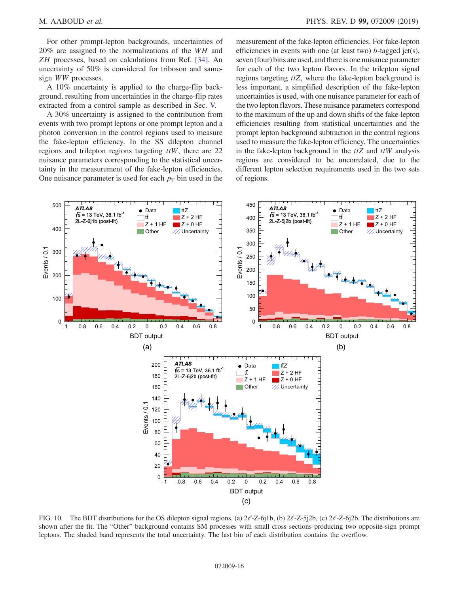For other prompt-lepton backgrounds, uncertainties of 20% are assigned to the normalizations of the WH and ZH processes, based on calculations from Ref. [\[34\]](#page-22-28). An uncertainty of 50% is considered for triboson and samesign WW processes.

A 10% uncertainty is applied to the charge-flip background, resulting from uncertainties in the charge-flip rates extracted from a control sample as described in Sec. [V.](#page-4-2)

A 30% uncertainty is assigned to the contribution from events with two prompt leptons or one prompt lepton and a photon conversion in the control regions used to measure the fake-lepton efficiency. In the SS dilepton channel regions and trilepton regions targeting  $t\bar{t}W$ , there are 22 nuisance parameters corresponding to the statistical uncertainty in the measurement of the fake-lepton efficiencies. One nuisance parameter is used for each  $p<sub>T</sub>$  bin used in the measurement of the fake-lepton efficiencies. For fake-lepton efficiencies in events with one (at least two)  $b$ -tagged jet(s), seven (four) bins are used, and there is one nuisance parameter for each of the two lepton flavors. In the trilepton signal regions targeting  $t\bar{t}Z$ , where the fake-lepton background is less important, a simplified description of the fake-lepton uncertainties is used, with one nuisance parameter for each of the two lepton flavors. These nuisance parameters correspond to the maximum of the up and down shifts of the fake-lepton efficiencies resulting from statistical uncertainties and the prompt lepton background subtraction in the control regions used to measure the fake-lepton efficiency. The uncertainties in the fake-lepton background in the  $t\bar{t}Z$  and  $t\bar{t}W$  analysis regions are considered to be uncorrelated, due to the different lepton selection requirements used in the two sets of regions.

<span id="page-15-0"></span>

FIG. 10. The BDT distributions for the OS dilepton signal regions, (a)  $2\ell$ -Z-6j1b, (b)  $2\ell$ -Z-5j2b, (c)  $2\ell$ -Z-6j2b. The distributions are shown after the fit. The "Other" background contains SM processes with small cross sections producing two opposite-sign prompt leptons. The shaded band represents the total uncertainty. The last bin of each distribution contains the overflow.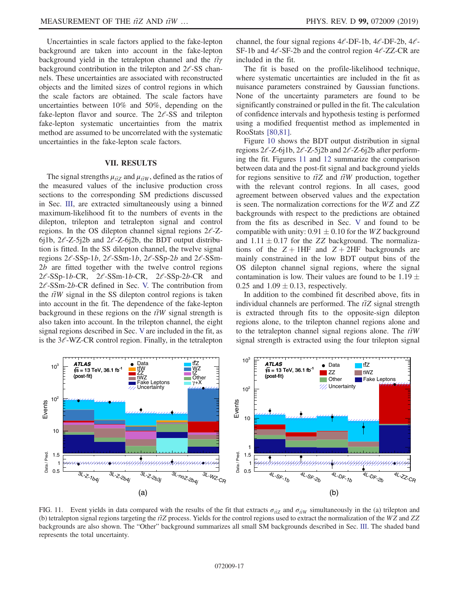Uncertainties in scale factors applied to the fake-lepton background are taken into account in the fake-lepton background yield in the tetralepton channel and the  $t\bar{t}\gamma$ background contribution in the trilepton and  $2\ell$ -SS channels. These uncertainties are associated with reconstructed objects and the limited sizes of control regions in which the scale factors are obtained. The scale factors have uncertainties between 10% and 50%, depending on the fake-lepton flavor and source. The  $2\ell$ -SS and trilepton fake-lepton systematic uncertainties from the matrix method are assumed to be uncorrelated with the systematic uncertainties in the fake-lepton scale factors.

### VII. RESULTS

<span id="page-16-0"></span>The signal strengths  $\mu_{t\bar{t}Z}$  and  $\mu_{t\bar{t}W}$ , defined as the ratios of the measured values of the inclusive production cross sections to the corresponding SM predictions discussed in Sec. [III](#page-1-0), are extracted simultaneously using a binned maximum-likelihood fit to the numbers of events in the dilepton, trilepton and tetralepton signal and control regions. In the OS dilepton channel signal regions  $2\ell$ -Z-6j1b,  $2\ell$ -Z-5j2b and  $2\ell$ -Z-6j2b, the BDT output distribution is fitted. In the SS dilepton channel, the twelve signal regions  $2\ell$ -SSp-1*b*,  $2\ell$ -SSm-1*b*,  $2\ell$ -SSp-2*b* and  $2\ell$ -SSm-2b are fitted together with the twelve control regions  $2\ell$ -SSp-1b-CR,  $2\ell$ -SSm-1b-CR,  $2\ell$ -SSp-2b-CR and  $2\ell$ -SSm-2b-CR defined in Sec. [V.](#page-4-2) The contribution from the  $t\bar{t}W$  signal in the SS dilepton control regions is taken into account in the fit. The dependence of the fake-lepton background in these regions on the  $t\bar{t}W$  signal strength is also taken into account. In the trilepton channel, the eight signal regions described in Sec. [V](#page-4-2) are included in the fit, as is the  $3\ell$ -WZ-CR control region. Finally, in the tetralepton channel, the four signal regions  $4l$ -DF-1b,  $4l$ -DF-2b,  $4l$ -SF-1b and  $4\ell$ -SF-2b and the control region  $4\ell$ -ZZ-CR are included in the fit.

The fit is based on the profile-likelihood technique, where systematic uncertainties are included in the fit as nuisance parameters constrained by Gaussian functions. None of the uncertainty parameters are found to be significantly constrained or pulled in the fit. The calculation of confidence intervals and hypothesis testing is performed using a modified frequentist method as implemented in RooStats [\[80,81\].](#page-23-19)

Figure [10](#page-15-0) shows the BDT output distribution in signal regions  $2\ell$ -Z-6j1b,  $2\ell$ -Z-5j2b and  $2\ell$ -Z-6j2b after performing the fit. Figures [11](#page-16-1) and [12](#page-17-0) summarize the comparison between data and the post-fit signal and background yields for regions sensitive to  $t\bar{t}Z$  and  $t\bar{t}W$  production, together with the relevant control regions. In all cases, good agreement between observed values and the expectation is seen. The normalization corrections for the WZ and ZZ backgrounds with respect to the predictions are obtained from the fits as described in Sec. [V](#page-4-2) and found to be compatible with unity:  $0.91 \pm 0.10$  for the WZ background and  $1.11 \pm 0.17$  for the ZZ background. The normalizations of the  $Z + 1HF$  and  $Z + 2HF$  backgrounds are mainly constrained in the low BDT output bins of the OS dilepton channel signal regions, where the signal contamination is low. Their values are found to be  $1.19 \pm 0.05$ 0.25 and  $1.09 \pm 0.13$ , respectively.

In addition to the combined fit described above, fits in individual channels are performed. The  $t\bar{t}Z$  signal strength is extracted through fits to the opposite-sign dilepton regions alone, to the trilepton channel regions alone and to the tetralepton channel signal regions alone. The  $\bar{t}$ W signal strength is extracted using the four trilepton signal

<span id="page-16-1"></span>

FIG. 11. Event yields in data compared with the results of the fit that extracts  $\sigma_{\tilde{t}Z}$  and  $\sigma_{\tilde{t}W}$  simultaneously in the (a) trilepton and (b) tetralepton signal regions targeting the  $t\bar{t}Z$  process. Yields for the control regions used to extract the normalization of the WZ and ZZ backgrounds are also shown. The "Other" background summarizes all small SM backgrounds described in Sec. [III.](#page-1-0) The shaded band represents the total uncertainty.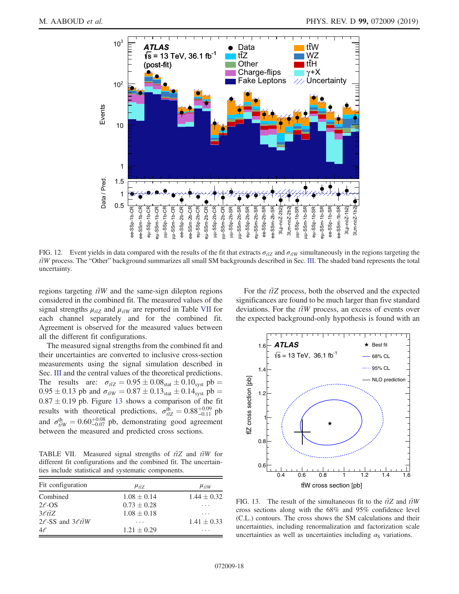<span id="page-17-0"></span>

FIG. 12. Event yields in data compared with the results of the fit that extracts  $\sigma_{\bar{\alpha}Z}$  and  $\sigma_{\bar{\alpha}W}$  simultaneously in the regions targeting the  $t\bar{t}W$  process. The "Other" background summarizes all small SM backgrounds described in Sec. [III](#page-1-0). The shaded band represents the total uncertainty.

regions targeting  $t\bar{t}W$  and the same-sign dilepton regions considered in the combined fit. The measured values of the signal strengths  $\mu_{\tilde{H}Z}$  and  $\mu_{\tilde{H}W}$  are reported in Table [VII](#page-17-1) for each channel separately and for the combined fit. Agreement is observed for the measured values between all the different fit configurations.

The measured signal strengths from the combined fit and their uncertainties are converted to inclusive cross-section measurements using the signal simulation described in Sec. [III](#page-1-0) and the central values of the theoretical predictions. The results are:  $\sigma_{\text{fZ}} = 0.95 \pm 0.08_{\text{stat}} \pm 0.10_{\text{syst}}$  pb =  $0.95 \pm 0.13$  pb and  $\sigma_{\bar{t}W} = 0.87 \pm 0.13_{stat} \pm 0.14_{syst}$  pb =  $0.87 \pm 0.19$  pb. Figure [13](#page-17-2) shows a comparison of the fit results with theoretical predictions,  $\sigma_{\text{tZ}}^{\text{th}} = 0.88\substack{+0.09 \\ -0.11}$  pb and  $\sigma_{\text{trW}}^{\text{th}} = 0.60_{-0.07}^{+0.08}$  pb, demonstrating good agreement between the measured and predicted cross sections.

<span id="page-17-1"></span>TABLE VII. Measured signal strengths of  $t\bar{t}Z$  and  $t\bar{t}W$  for different fit configurations and the combined fit. The uncertainties include statistical and systematic components.

| Fit configuration                  | $\mu_{\bar{t}7}$ | $\mu_{\bar{t}W}$ |
|------------------------------------|------------------|------------------|
| Combined                           | $1.08 \pm 0.14$  | $1.44 \pm 0.32$  |
| $2\ell$ -OS                        | $0.73 \pm 0.28$  | .                |
| $3\ell t\bar{t}Z$                  | $1.08 \pm 0.18$  | .                |
| $2\ell$ -SS and $3\ell t \bar{t}W$ | .                | $1.41 \pm 0.33$  |
| $4\ell$                            | $1.21 \pm 0.29$  | .                |

For the  $t\bar{t}Z$  process, both the observed and the expected significances are found to be much larger than five standard deviations. For the  $t\bar{t}W$  process, an excess of events over the expected background-only hypothesis is found with an

<span id="page-17-2"></span>

FIG. 13. The result of the simultaneous fit to the  $t\bar{t}Z$  and  $t\bar{t}W$ cross sections along with the 68% and 95% confidence level (C.L.) contours. The cross shows the SM calculations and their uncertainties, including renormalization and factorization scale uncertainties as well as uncertainties including  $\alpha_{\rm S}$  variations.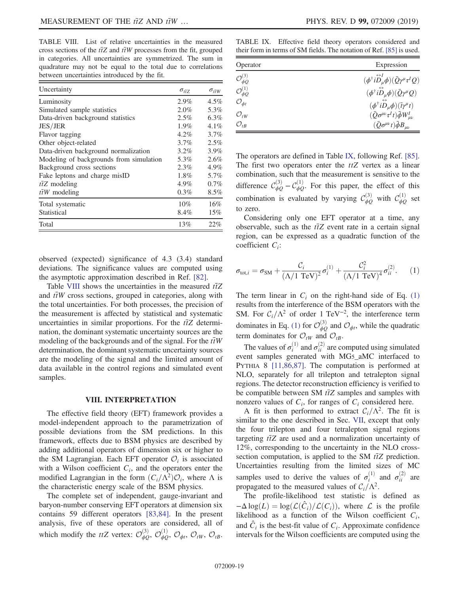<span id="page-18-0"></span>TABLE VIII. List of relative uncertainties in the measured cross sections of the  $t\bar{t}Z$  and  $t\bar{t}W$  processes from the fit, grouped in categories. All uncertainties are symmetrized. The sum in quadrature may not be equal to the total due to correlations between uncertainties introduced by the fit.

| Uncertainty                             | $\sigma_{t\bar{t}Z}$ | $\sigma_{\bar{t}\bar{t}W}$ |
|-----------------------------------------|----------------------|----------------------------|
| Luminosity                              | $2.9\%$              | $4.5\%$                    |
| Simulated sample statistics             | 2.0%                 | 5.3%                       |
| Data-driven background statistics       | $2.5\%$              | 6.3%                       |
| JES/JER                                 | $1.9\%$              | $4.1\%$                    |
| Flavor tagging                          | $4.2\%$              | $3.7\%$                    |
| Other object-related                    | 3.7%                 | $2.5\%$                    |
| Data-driven background normalization    | $3.2\%$              | $3.9\%$                    |
| Modeling of backgrounds from simulation | 5.3%                 | 2.6%                       |
| Background cross sections               | $2.3\%$              | 4.9%                       |
| Fake leptons and charge misID           | $1.8\%$              | 5.7%                       |
| $t\bar{t}Z$ modeling                    | 4.9%                 | $0.7\%$                    |
| $t\bar{t}W$ modeling                    | 0.3%                 | $8.5\%$                    |
| Total systematic                        | $10\%$               | 16%                        |
| Statistical                             | 8.4%                 | 15%                        |
| Total                                   | 13%                  | 22%                        |

observed (expected) significance of 4.3 (3.4) standard deviations. The significance values are computed using the asymptotic approximation described in Ref. [\[82\]](#page-23-20).

Table [VIII](#page-18-0) shows the uncertainties in the measured  $t\bar{t}Z$ and  $t\bar{t}W$  cross sections, grouped in categories, along with the total uncertainties. For both processes, the precision of the measurement is affected by statistical and systematic uncertainties in similar proportions. For the  $t\bar{t}Z$  determination, the dominant systematic uncertainty sources are the modeling of the backgrounds and of the signal. For the  $\bar{t}$ W determination, the dominant systematic uncertainty sources are the modeling of the signal and the limited amount of data available in the control regions and simulated event samples.

#### VIII. INTERPRETATION

The effective field theory (EFT) framework provides a model-independent approach to the parametrization of possible deviations from the SM predictions. In this framework, effects due to BSM physics are described by adding additional operators of dimension six or higher to the SM Lagrangian. Each EFT operator  $\mathcal{O}_i$  is associated with a Wilson coefficient  $C_i$ , and the operators enter the modified Lagrangian in the form  $(C_i/\Lambda^2)\mathcal{O}_i$ , where  $\Lambda$  is the characteristic energy scale of the BSM physics.

The complete set of independent, gauge-invariant and baryon-number conserving EFT operators at dimension six contains 59 different operators [\[83,84\]](#page-23-21). In the present analysis, five of these operators are considered, all of which modify the *ttZ* vertex:  $\mathcal{O}_{\phi Q}^{(3)}$ ,  $\mathcal{O}_{\phi Q}^{(1)}$ ,  $\mathcal{O}_{\phi q}$ ,  $\mathcal{O}_{tW}$ ,  $\mathcal{O}_{tB}$ .

<span id="page-18-1"></span>TABLE IX. Effective field theory operators considered and their form in terms of SM fields. The notation of Ref. [\[85\]](#page-23-22) is used.

| Operator                              | Expression                                                                                    |
|---------------------------------------|-----------------------------------------------------------------------------------------------|
| $\mathcal{O}_{\phi\mathcal{Q}}^{(3)}$ | $(\phi^{\dagger}i\overset{\leftrightarrow}{D}_{u}^{I}\phi)(\bar{Q}\gamma^{\mu}\tau^{I}Q)$     |
| $\mathcal{O}_{\phi Q}^{(1)}$          | $(\phi^\dagger i\overset{\leftrightarrow}{D}_\mu \phi)(\bar{Q}\gamma^\mu Q)$                  |
| $\mathcal{O}_{\phi t}$                | $(\phi^{\dagger} i \overset{\leftrightarrow}{D}_{\mu} \phi)(\overline{\iota} \gamma^{\mu} t)$ |
| $\mathcal{O}_{tW}$                    | $(\bar{Q}\sigma^{\mu\nu}\tau^I t)\tilde{\phi}W^I_{\mu\nu}$                                    |
| $\mathcal{O}_{tB}$                    | $(\bar{Q}\sigma^{\mu\nu}t)\tilde{\phi}B_{\mu\nu}$                                             |

The operators are defined in Table [IX,](#page-18-1) following Ref. [\[85\]](#page-23-22). The first two operators enter the  $ttZ$  vertex as a linear combination, such that the measurement is sensitive to the difference  $\mathcal{C}_{\phi Q}^{(3)} - \mathcal{C}_{\phi Q}^{(1)}$ . For this paper, the effect of this combination is evaluated by varying  $\mathcal{C}_{\phi Q}^{(3)}$  with  $\mathcal{C}_{\phi Q}^{(1)}$  set to zero.

<span id="page-18-2"></span>Considering only one EFT operator at a time, any observable, such as the  $t\bar{t}Z$  event rate in a certain signal region, can be expressed as a quadratic function of the coefficient  $C_i$ :

$$
\sigma_{\text{tot},i} = \sigma_{\text{SM}} + \frac{\mathcal{C}_i}{(\Lambda/1 \text{ TeV})^2} \sigma_i^{(1)} + \frac{\mathcal{C}_i^2}{(\Lambda/1 \text{ TeV})^4} \sigma_{ii}^{(2)}.
$$
 (1)

The term linear in  $C_i$  on the right-hand side of Eq. [\(1\)](#page-18-2) results from the interference of the BSM operators with the SM. For  $C_i/\Lambda^2$  of order 1 TeV<sup>-2</sup>, the interference term dominates in Eq. [\(1\)](#page-18-2) for  $\mathcal{O}_{\phi Q}^{(3)}$  and  $\mathcal{O}_{\phi t}$ , while the quadratic term dominates for  $\mathcal{O}_{tW}$  and  $\mathcal{O}_{tB}$ .

The values of  $\sigma_i^{(1)}$  and  $\sigma_{ii}^{(2)}$  are computed using simulated event samples generated with MG5\_aMC interfaced to PYTHIA 8 [\[11,86,87\].](#page-21-6) The computation is performed at NLO, separately for all trilepton and tetralepton signal regions. The detector reconstruction efficiency is verified to be compatible between SM  $t\bar{t}Z$  samples and samples with nonzero values of  $C_i$ , for ranges of  $C_i$  considered here.

A fit is then performed to extract  $C_i/\Lambda^2$ . The fit is similar to the one described in Sec. [VII](#page-16-0), except that only the four trilepton and four tetralepton signal regions targeting  $t\bar{t}Z$  are used and a normalization uncertainty of 12%, corresponding to the uncertainty in the NLO crosssection computation, is applied to the SM  $t\bar{t}Z$  prediction. Uncertainties resulting from the limited sizes of MC samples used to derive the values of  $\sigma_i^{(1)}$  and  $\sigma_{ii}^{(2)}$  are propagated to the measured values of  $C_i/\Lambda^2$ .

The profile-likelihood test statistic is defined as  $-\Delta \log(L) = \log(\mathcal{L}(\hat{C}_i)/\mathcal{L}(C_i))$ , where  $\mathcal L$  is the profile likelihood as a function of the Wilson coefficient  $C_i$ , and  $\hat{C}_i$  is the best-fit value of  $C_i$ . Approximate confidence intervals for the Wilson coefficients are computed using the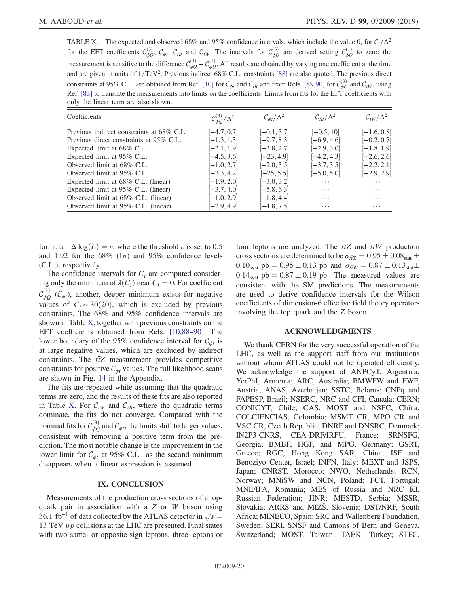<span id="page-19-0"></span>TABLE X. The expected and observed 68% and 95% confidence intervals, which include the value 0, for  $C_i/\Lambda^2$ for the EFT coefficients  $C_{\phi Q}^{(3)}$ ,  $C_{\phi t}$ ,  $C_{tB}$  and  $C_{tW}$ . The intervals for  $C_{\phi Q}^{(3)}$  are derived setting  $C_{\phi Q}^{(1)}$  to zero; the measurement is sensitive to the difference  $C_{\phi Q}^{(3)} - C_{\phi Q}^{(1)}$ . All results are obtained by varying one coefficient at the time and are given in units of  $1/TeV^2$ . Previous indirect 68% C.L. constraints [\[88\]](#page-23-23) are also quoted. The previous direct constraints at 95% C.L. are obtained from Ref. [\[10\]](#page-21-7) for  $C_{\phi t}$  and  $C_{tB}$  and from Refs. [\[89,90\]](#page-24-0) for  $C_{\phi Q}^{(3)}$  and  $C_{tW}$ , using Ref. [\[83\]](#page-23-21) to translate the measurements into limits on the coefficients. Limits from fits for the EFT coefficients with only the linear term are also shown.

| Coefficients                              | $\mathcal{C}_{\phi O}^{(3)}/\Lambda^2$ | $\mathcal{C}_{\phi t}/\Lambda^2$ | $\mathcal{C}_{tR}/\Lambda^2$ | $\mathcal{C}_{tW}/\Lambda^2$ |
|-------------------------------------------|----------------------------------------|----------------------------------|------------------------------|------------------------------|
| Previous indirect constraints at 68% C.L. | $[-4.7, 0.7]$                          | $[-0.1, 3.7]$                    | $[-0.5, 10]$                 | $[-1.6, 0.8]$                |
| Previous direct constraints at 95% C.L.   | $[-1.3, 1.3]$                          | $[-9.7, 8.3]$                    | $[-6.9, 4.6]$                | $[-0.2, 0.7]$                |
| Expected limit at 68% C.L.                | $[-2.1, 1.9]$                          | $[-3.8, 2.7]$                    | $[-2.9, 3.0]$                | $[-1.8, 1.9]$                |
| Expected limit at 95% C.L.                | $[-4.5, 3.6]$                          | $[-23, 4.9]$                     | $[-4.2, 4.3]$                | $[-2.6, 2.6]$                |
| Observed limit at 68% C.L.                | $[-1.0, 2.7]$                          | $[-2.0, 3.5]$                    | $[-3.7, 3.5]$                | $[-2.2, 2.1]$                |
| Observed limit at 95% C.L.                | $[-3.3, 4.2]$                          | $[-25, 5.5]$                     | $[-5.0, 5.0]$                | $[-2.9, 2.9]$                |
| Expected limit at 68% C.L. (linear)       | $-1.9, 2.0$                            | $[-3.0, 3.2]$                    | .                            | .                            |
| Expected limit at 95% C.L. (linear)       | $[-3.7, 4.0]$                          | $[-5.8, 6.3]$                    | $\cdot$ $\cdot$ $\cdot$      | $\cdots$                     |
| Observed limit at 68% C.L. (linear)       | $[-1.0, 2.9]$                          | $[-1.8, 4.4]$                    | .                            | .                            |
| Observed limit at 95% C.L. (linear)       | $-2.9, 4.9$                            | $-4.8, 7.5$                      | $\cdot$ $\cdot$ $\cdot$      | $\cdot$ $\cdot$ $\cdot$      |

formula  $-\Delta \log(L) = \varepsilon$ , where the threshold  $\varepsilon$  is set to 0.5 and 1.92 for the 68% ( $1\sigma$ ) and 95% confidence levels (C.L.), respectively.

The confidence intervals for  $C_i$  are computed considering only the minimum of  $\lambda(C_i)$  near  $C_i = 0$ . For coefficient  $\mathcal{C}_{\phi Q}^{(3)}$  ( $\mathcal{C}_{\phi t}$ ), another, deeper minimum exists for negative values of  $C_i \sim 30(20)$ , which is excluded by previous constraints. The 68% and 95% confidence intervals are shown in Table [X](#page-19-0), together with previous constraints on the EFT coefficients obtained from Refs. [\[10,88](#page-21-7)–90]. The lower boundary of the 95% confidence interval for  $C_{\phi t}$  is at large negative values, which are excluded by indirect constraints. The  $t\bar{t}Z$  measurement provides competitive constraints for positive  $C_{\phi t}$  values. The full likelihood scans are shown in Fig. [14](#page-20-0) in the Appendix.

The fits are repeated while assuming that the quadratic terms are zero, and the results of these fits are also reported in Table [X](#page-19-0). For  $C<sub>tW</sub>$  and  $C<sub>tB</sub>$ , where the quadratic terms dominate, the fits do not converge. Compared with the nominal fits for  $\mathcal{C}_{\phi Q}^{(3)}$  and  $\mathcal{C}_{\phi t}$ , the limits shift to larger values, consistent with removing a positive term from the prediction. The most notable change is the improvement in the lower limit for  $C_{\phi t}$  at 95% C.L., as the second minimum disappears when a linear expression is assumed.

# IX. CONCLUSION

Measurements of the production cross sections of a topquark pair in association with a Z or W boson using 36.1 fb<sup>-1</sup> of data collected by the ATLAS detector in  $\sqrt{s} =$ 13 TeV  $pp$  collisions at the LHC are presented. Final states with two same- or opposite-sign leptons, three leptons or four leptons are analyzed. The  $t\bar{t}Z$  and  $t\bar{t}W$  production cross sections are determined to be  $\sigma_{t\bar{t}Z} = 0.95 \pm 0.08_{\text{stat}} \pm 0.08_{\text{stat}}$  $0.10_{\text{syst}}$  pb =  $0.95 \pm 0.13$  pb and  $\sigma_{\bar{t}W} = 0.87 \pm 0.13_{\text{stat}} \pm 1.0$  $0.14<sub>syst</sub>$  pb =  $0.87 \pm 0.19$  pb. The measured values are consistent with the SM predictions. The measurements are used to derive confidence intervals for the Wilson coefficients of dimension-6 effective field theory operators involving the top quark and the Z boson.

## ACKNOWLEDGMENTS

We thank CERN for the very successful operation of the LHC, as well as the support staff from our institutions without whom ATLAS could not be operated efficiently. We acknowledge the support of ANPCyT, Argentina; YerPhI, Armenia; ARC, Australia; BMWFW and FWF, Austria; ANAS, Azerbaijan; SSTC, Belarus; CNPq and FAPESP, Brazil; NSERC, NRC and CFI, Canada; CERN; CONICYT, Chile; CAS, MOST and NSFC, China; COLCIENCIAS, Colombia; MSMT CR, MPO CR and VSC CR, Czech Republic; DNRF and DNSRC, Denmark; IN2P3-CNRS, CEA-DRF/IRFU, France; SRNSFG, Georgia; BMBF, HGF, and MPG, Germany; GSRT, Greece; RGC, Hong Kong SAR, China; ISF and Benoziyo Center, Israel; INFN, Italy; MEXT and JSPS, Japan; CNRST, Morocco; NWO, Netherlands; RCN, Norway; MNiSW and NCN, Poland; FCT, Portugal; MNE/IFA, Romania; MES of Russia and NRC KI, Russian Federation; JINR; MESTD, Serbia; MSSR, Slovakia; ARRS and MIZŠ, Slovenia; DST/NRF, South Africa; MINECO, Spain; SRC and Wallenberg Foundation, Sweden; SERI, SNSF and Cantons of Bern and Geneva, Switzerland; MOST, Taiwan; TAEK, Turkey; STFC,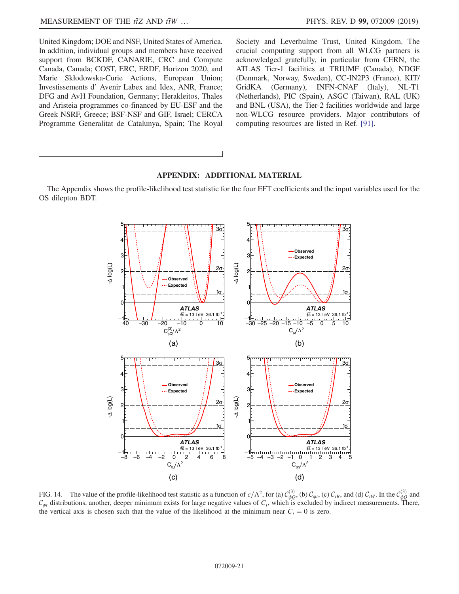United Kingdom; DOE and NSF, United States of America. In addition, individual groups and members have received support from BCKDF, CANARIE, CRC and Compute Canada, Canada; COST, ERC, ERDF, Horizon 2020, and Marie Skłodowska-Curie Actions, European Union; Investissements d' Avenir Labex and Idex, ANR, France; DFG and AvH Foundation, Germany; Herakleitos, Thales and Aristeia programmes co-financed by EU-ESF and the Greek NSRF, Greece; BSF-NSF and GIF, Israel; CERCA Programme Generalitat de Catalunya, Spain; The Royal Society and Leverhulme Trust, United Kingdom. The crucial computing support from all WLCG partners is acknowledged gratefully, in particular from CERN, the ATLAS Tier-1 facilities at TRIUMF (Canada), NDGF (Denmark, Norway, Sweden), CC-IN2P3 (France), KIT/ GridKA (Germany), INFN-CNAF (Italy), NL-T1 (Netherlands), PIC (Spain), ASGC (Taiwan), RAL (UK) and BNL (USA), the Tier-2 facilities worldwide and large non-WLCG resource providers. Major contributors of computing resources are listed in Ref. [\[91\].](#page-24-1)

# APPENDIX: ADDITIONAL MATERIAL

<span id="page-20-0"></span>The Appendix shows the profile-likelihood test statistic for the four EFT coefficients and the input variables used for the OS dilepton BDT.



FIG. 14. The value of the profile-likelihood test statistic as a function of  $c/\Lambda^2$ , for (a)  $C_{\phi Q}^{(3)}$ , (b)  $C_{\phi t}$ , (c)  $C_{tB}$ , and (d)  $C_{tW}$ . In the  $C_{\phi Q}^{(3)}$  and  $C_{\phi t}$  distributions, another, deeper minimum exists for large negative values of  $C_i$ , which is excluded by indirect measurements. There, the vertical axis is chosen such that the value of the likelihood at the minimum near  $C_i = 0$  is zero.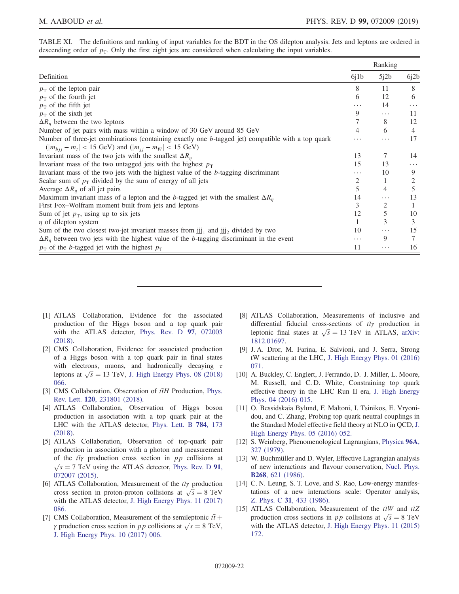<span id="page-21-5"></span>TABLE XI. The definitions and ranking of input variables for the BDT in the OS dilepton analysis. Jets and leptons are ordered in descending order of  $p<sub>T</sub>$ . Only the first eight jets are considered when calculating the input variables.

|                                                                                                                                                                    | Ranking |          |          |
|--------------------------------------------------------------------------------------------------------------------------------------------------------------------|---------|----------|----------|
| Definition                                                                                                                                                         | 6i1b    | 5j2b     | 6j2b     |
| $p_T$ of the lepton pair                                                                                                                                           | 8       | 11       | 8        |
| $p_T$ of the fourth jet                                                                                                                                            | 6       | 12       | 6        |
| $p_T$ of the fifth jet                                                                                                                                             | .       | 14       | $\cdots$ |
| $p_T$ of the sixth jet                                                                                                                                             | 9       | .        | 11       |
| $\Delta R_n$ between the two leptons                                                                                                                               | 7       | 8        | 12       |
| Number of jet pairs with mass within a window of 30 GeV around 85 GeV                                                                                              | 4       | 6        | 4        |
| Number of three-jet combinations (containing exactly one b-tagged jet) compatible with a top quark<br>$( m_{bii} - m_t  < 15$ GeV) and $( m_{ii} - m_W  < 15$ GeV) | .       | .        | 17       |
| Invariant mass of the two jets with the smallest $\Delta R_n$                                                                                                      | 13      | 7        | 14       |
| Invariant mass of the two untagged jets with the highest $p_T$                                                                                                     | 15      | 13       | .        |
| Invariant mass of the two jets with the highest value of the $b$ -tagging discriminant                                                                             | .       | 10       | 9        |
| Scalar sum of $p_T$ divided by the sum of energy of all jets                                                                                                       | 2       |          | 2        |
| Average $\Delta R_n$ of all jet pairs                                                                                                                              | 5       | 4        | 5        |
| Maximum invariant mass of a lepton and the b-tagged jet with the smallest $\Delta R_n$                                                                             | 14      | .        | 13       |
| First Fox-Wolfram moment built from jets and leptons                                                                                                               | 3       | 2        |          |
| Sum of jet $p_T$ , using up to six jets                                                                                                                            | 12      | 5        | 10       |
| $\eta$ of dilepton system                                                                                                                                          |         | 3        | 3        |
| Sum of the two closest two-jet invariant masses from $jij_1$ and $jij_2$ divided by two                                                                            | 10      | .        | 15       |
| $\Delta R_n$ between two jets with the highest value of the b-tagging discriminant in the event                                                                    | .       | 9        |          |
| $p_T$ of the <i>b</i> -tagged jet with the highest $p_T$                                                                                                           | 11      | $\cdots$ | 16       |

- <span id="page-21-0"></span>[1] ATLAS Collaboration, Evidence for the associated production of the Higgs boson and a top quark pair with the ATLAS detector, [Phys. Rev. D](https://doi.org/10.1103/PhysRevD.97.072003) **97**, 072003 [\(2018\).](https://doi.org/10.1103/PhysRevD.97.072003)
- [2] CMS Collaboration, Evidence for associated production of a Higgs boson with a top quark pair in final states with electrons, muons, and hadronically decaying  $\tau$ leptons at  $\sqrt{s} = 13$  TeV, [J. High Energy Phys. 08 \(2018\)](https://doi.org/10.1007/JHEP08(2018)066) [066.](https://doi.org/10.1007/JHEP08(2018)066)
- [3] CMS Collaboration, Observation of  $t\bar{t}H$  Production, [Phys.](https://doi.org/10.1103/PhysRevLett.120.231801) Rev. Lett. 120[, 231801 \(2018\).](https://doi.org/10.1103/PhysRevLett.120.231801)
- [4] ATLAS Collaboration, Observation of Higgs boson production in association with a top quark pair at the LHC with the ATLAS detector, [Phys. Lett. B](https://doi.org/10.1016/j.physletb.2018.07.035) 784, 173 [\(2018\).](https://doi.org/10.1016/j.physletb.2018.07.035)
- <span id="page-21-1"></span>[5] ATLAS Collaboration, Observation of top-quark pair production in association with a photon and measurement of the  $t\bar{t}\gamma$  production cross section in pp collisions at  $\sqrt{s}$  = 7 TeV using the ATLAS detector, [Phys. Rev. D](https://doi.org/10.1103/PhysRevD.91.072007) 91, [072007 \(2015\).](https://doi.org/10.1103/PhysRevD.91.072007)
- [6] ATLAS Collaboration, Measurement of the  $t\bar{t}\gamma$  production cross section in proton-proton collisions at  $\sqrt{s} = 8$  TeV with the ATLAS detector, [J. High Energy Phys. 11 \(2017\)](https://doi.org/10.1007/JHEP11(2017)086) [086.](https://doi.org/10.1007/JHEP11(2017)086)
- [7] CMS Collaboration, Measurement of the semileptonic  $t\bar{t}$  + γ production cross section in *pp* collisions at  $\sqrt{s} = 8$  TeV, [J. High Energy Phys. 10 \(2017\) 006.](https://doi.org/10.1007/JHEP10(2017)006)
- [8] ATLAS Collaboration, Measurements of inclusive and differential fiducial cross-sections of  $t\bar{t}\gamma$  production in leptonic final states at  $\sqrt{s} = 13$  TeV in ATLAS, [arXiv:](http://arXiv.org/abs/1812.01697) [1812.01697.](http://arXiv.org/abs/1812.01697)
- <span id="page-21-2"></span>[9] J. A. Dror, M. Farina, E. Salvioni, and J. Serra, Strong tW scattering at the LHC, [J. High Energy Phys. 01 \(2016\)](https://doi.org/10.1007/JHEP01(2016)071) [071.](https://doi.org/10.1007/JHEP01(2016)071)
- <span id="page-21-7"></span>[10] A. Buckley, C. Englert, J. Ferrando, D. J. Miller, L. Moore, M. Russell, and C. D. White, Constraining top quark effective theory in the LHC Run II era, [J. High Energy](https://doi.org/10.1007/JHEP04(2016)015) [Phys. 04 \(2016\) 015.](https://doi.org/10.1007/JHEP04(2016)015)
- <span id="page-21-6"></span>[11] O. Bessidskaia Bylund, F. Maltoni, I. Tsinikos, E. Vryonidou, and C. Zhang, Probing top quark neutral couplings in the Standard Model effective field theory at NLO in QCD, [J.](https://doi.org/10.1007/JHEP05(2016)052) [High Energy Phys. 05 \(2016\) 052.](https://doi.org/10.1007/JHEP05(2016)052)
- <span id="page-21-3"></span>[12] S. Weinberg, Phenomenological Lagrangians, [Physica](https://doi.org/10.1016/0378-4371(79)90223-1) 96A, [327 \(1979\)](https://doi.org/10.1016/0378-4371(79)90223-1).
- [13] W. Buchmüller and D. Wyler, Effective Lagrangian analysis of new interactions and flavour conservation, [Nucl. Phys.](https://doi.org/10.1016/0550-3213(86)90262-2) B268[, 621 \(1986\).](https://doi.org/10.1016/0550-3213(86)90262-2)
- [14] C. N. Leung, S. T. Love, and S. Rao, Low-energy manifestations of a new interactions scale: Operator analysis, Z. Phys. C 31[, 433 \(1986\).](https://doi.org/10.1007/BF01588041)
- <span id="page-21-4"></span>[15] ATLAS Collaboration, Measurement of the  $t\bar{t}W$  and  $t\bar{t}Z$ production cross sections in *pp* collisions at  $\sqrt{s} = 8$  TeV with the ATLAS detector, [J. High Energy Phys. 11 \(2015\)](https://doi.org/10.1007/JHEP11(2015)172) [172.](https://doi.org/10.1007/JHEP11(2015)172)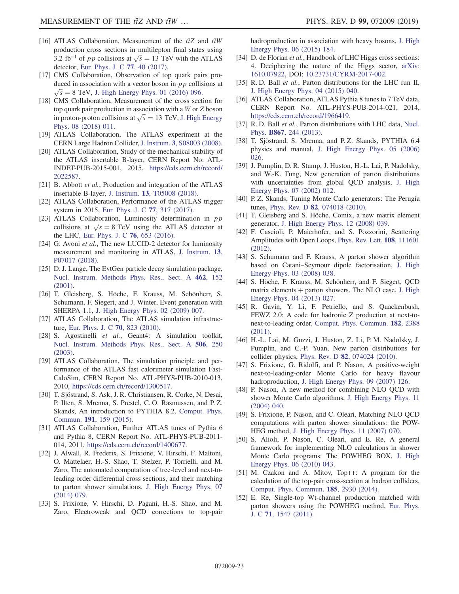- [16] ATLAS Collaboration, Measurement of the  $t\bar{t}Z$  and  $t\bar{t}W$ production cross sections in multilepton final states using 3.2 fb<sup>-1</sup> of pp collisions at  $\sqrt{s} = 13$  TeV with the ATLAS detector, [Eur. Phys. J. C](https://doi.org/10.1140/epjc/s10052-016-4574-y) 77, 40 (2017).
- <span id="page-22-0"></span>[17] CMS Collaboration, Observation of top quark pairs produced in association with a vector boson in  $p p$  collisions at  $\sqrt{s}$  = 8 TeV, [J. High Energy Phys. 01 \(2016\) 096.](https://doi.org/10.1007/JHEP01(2016)096)
- [18] CMS Collaboration, Measurement of the cross section for top quark pair production in association with a W or Z boson in proton-proton collisions at  $\sqrt{s} = 13$  TeV, [J. High Energy](https://doi.org/10.1007/JHEP08(2018)011) [Phys. 08 \(2018\) 011.](https://doi.org/10.1007/JHEP08(2018)011)
- <span id="page-22-1"></span>[19] ATLAS Collaboration, The ATLAS experiment at the CERN Large Hadron Collider, J. Instrum. 3[, S08003 \(2008\).](https://doi.org/10.1088/1748-0221/3/08/S08003)
- <span id="page-22-2"></span>[20] ATLAS Collaboration, Study of the mechanical stability of the ATLAS insertable B-layer, CERN Report No. ATL-INDET-PUB-2015-001, 2015, [https://cds.cern.ch/record/](https://cds.cern.ch/record/2022587) [2022587](https://cds.cern.ch/record/2022587).
- [21] B. Abbott et al., Production and integration of the ATLAS insertable B-layer, J. Instrum. 13[, T05008 \(2018\).](https://doi.org/10.1088/1748-0221/13/05/T05008)
- <span id="page-22-3"></span>[22] ATLAS Collaboration, Performance of the ATLAS trigger system in 2015, [Eur. Phys. J. C](https://doi.org/10.1140/epjc/s10052-017-4852-3) 77, 317 (2017).
- <span id="page-22-4"></span>[23] ATLAS Collaboration, Luminosity determination in pp collisions at  $\sqrt{s} = 8$  TeV using the ATLAS detector at the LHC, [Eur. Phys. J. C](https://doi.org/10.1140/epjc/s10052-016-4466-1) 76, 653 (2016).
- <span id="page-22-29"></span>[24] G. Avoni et al., The new LUCID-2 detector for luminosity measurement and monitoring in ATLAS, [J. Instrum.](https://doi.org/10.1088/1748-0221/13/07/P07017) 13, [P07017 \(2018\)](https://doi.org/10.1088/1748-0221/13/07/P07017).
- <span id="page-22-5"></span>[25] D. J. Lange, The EvtGen particle decay simulation package, [Nucl. Instrum. Methods Phys. Res., Sect. A](https://doi.org/10.1016/S0168-9002(01)00089-4) 462, 152 [\(2001\).](https://doi.org/10.1016/S0168-9002(01)00089-4)
- <span id="page-22-6"></span>[26] T. Gleisberg, S. Höche, F. Krauss, M. Schönherr, S. Schumann, F. Siegert, and J. Winter, Event generation with SHERPA 1.1, [J. High Energy Phys. 02 \(2009\) 007.](https://doi.org/10.1088/1126-6708/2009/02/007)
- <span id="page-22-7"></span>[27] ATLAS Collaboration, The ATLAS simulation infrastructure, [Eur. Phys. J. C](https://doi.org/10.1140/epjc/s10052-010-1429-9) 70, 823 (2010).
- <span id="page-22-8"></span>[28] S. Agostinelli et al., Geant4: A simulation toolkit, [Nucl. Instrum. Methods Phys. Res., Sect. A](https://doi.org/10.1016/S0168-9002(03)01368-8) 506, 250 [\(2003\).](https://doi.org/10.1016/S0168-9002(03)01368-8)
- <span id="page-22-9"></span>[29] ATLAS Collaboration, The simulation principle and performance of the ATLAS fast calorimeter simulation Fast-CaloSim, CERN Report No. ATL-PHYS-PUB-2010-013, 2010, <https://cds.cern.ch/record/1300517>.
- <span id="page-22-10"></span>[30] T. Sjöstrand, S. Ask, J. R. Christiansen, R. Corke, N. Desai, P. Ilten, S. Mrenna, S. Prestel, C. O. Rasmussen, and P. Z. Skands, An introduction to PYTHIA 8.2, [Comput. Phys.](https://doi.org/10.1016/j.cpc.2015.01.024) Commun. 191[, 159 \(2015\)](https://doi.org/10.1016/j.cpc.2015.01.024).
- <span id="page-22-11"></span>[31] ATLAS Collaboration, Further ATLAS tunes of Pythia 6 and Pythia 8, CERN Report No. ATL-PHYS-PUB-2011- 014, 2011, <https://cds.cern.ch/record/1400677>.
- <span id="page-22-12"></span>[32] J. Alwall, R. Frederix, S. Frixione, V. Hirschi, F. Maltoni, O. Mattelaer, H.-S. Shao, T. Stelzer, P. Torrielli, and M. Zaro, The automated computation of tree-level and next-toleading order differential cross sections, and their matching to parton shower simulations, [J. High Energy Phys. 07](https://doi.org/10.1007/JHEP07(2014)079) [\(2014\) 079.](https://doi.org/10.1007/JHEP07(2014)079)
- [33] S. Frixione, V. Hirschi, D. Pagani, H.-S. Shao, and M. Zaro, Electroweak and QCD corrections to top-pair

hadroproduction in association with heavy bosons, [J. High](https://doi.org/10.1007/JHEP06(2015)184) [Energy Phys. 06 \(2015\) 184.](https://doi.org/10.1007/JHEP06(2015)184)

- <span id="page-22-28"></span>[34] D. de Florian et al., Handbook of LHC Higgs cross sections: 4. Deciphering the nature of the Higgs sector, [arXiv:](http://arXiv.org/abs/1610.07922) [1610.07922,](http://arXiv.org/abs/1610.07922) DOI: [10.23731/CYRM-2017-002.](https://doi.org/10.23731/CYRM-2017-002)
- <span id="page-22-13"></span>[35] R. D. Ball et al., Parton distributions for the LHC run II, [J. High Energy Phys. 04 \(2015\) 040.](https://doi.org/10.1007/JHEP04(2015)040)
- <span id="page-22-14"></span>[36] ATLAS Collaboration, ATLAS Pythia 8 tunes to 7 TeV data, CERN Report No. ATL-PHYS-PUB-2014-021, 2014, [https://cds.cern.ch/record/1966419.](https://cds.cern.ch/record/1966419)
- <span id="page-22-15"></span>[37] R. D. Ball et al., Parton distributions with LHC data, [Nucl.](https://doi.org/10.1016/j.nuclphysb.2012.10.003) Phys. B867[, 244 \(2013\).](https://doi.org/10.1016/j.nuclphysb.2012.10.003)
- <span id="page-22-16"></span>[38] T. Sjöstrand, S. Mrenna, and P. Z. Skands, PYTHIA 6.4 physics and manual, [J. High Energy Phys. 05 \(2006\)](https://doi.org/10.1088/1126-6708/2006/05/026) [026.](https://doi.org/10.1088/1126-6708/2006/05/026)
- <span id="page-22-17"></span>[39] J. Pumplin, D. R. Stump, J. Huston, H.-L. Lai, P. Nadolsky, and W.-K. Tung, New generation of parton distributions with uncertainties from global QCD analysis, [J. High](https://doi.org/10.1088/1126-6708/2002/07/012) [Energy Phys. 07 \(2002\) 012.](https://doi.org/10.1088/1126-6708/2002/07/012)
- <span id="page-22-18"></span>[40] P. Z. Skands, Tuning Monte Carlo generators: The Perugia tunes, Phys. Rev. D 82[, 074018 \(2010\)](https://doi.org/10.1103/PhysRevD.82.074018).
- <span id="page-22-19"></span>[41] T. Gleisberg and S. Höche, Comix, a new matrix element generator, [J. High Energy Phys. 12 \(2008\) 039.](https://doi.org/10.1088/1126-6708/2008/12/039)
- <span id="page-22-20"></span>[42] F. Cascioli, P. Maierhöfer, and S. Pozzorini, Scattering Amplitudes with Open Loops, [Phys. Rev. Lett.](https://doi.org/10.1103/PhysRevLett.108.111601) 108, 111601 [\(2012\).](https://doi.org/10.1103/PhysRevLett.108.111601)
- <span id="page-22-21"></span>[43] S. Schumann and F. Krauss, A parton shower algorithm based on Catani–Seymour dipole factorisation, [J. High](https://doi.org/10.1088/1126-6708/2008/03/038) [Energy Phys. 03 \(2008\) 038.](https://doi.org/10.1088/1126-6708/2008/03/038)
- <span id="page-22-22"></span>[44] S. Höche, F. Krauss, M. Schönherr, and F. Siegert, QCD matrix elements  $+$  parton showers. The NLO case, [J. High](https://doi.org/10.1007/JHEP04(2013)027) [Energy Phys. 04 \(2013\) 027.](https://doi.org/10.1007/JHEP04(2013)027)
- <span id="page-22-23"></span>[45] R. Gavin, Y. Li, F. Petriello, and S. Quackenbush, FEWZ 2.0: A code for hadronic Z production at next-tonext-to-leading order, [Comput. Phys. Commun.](https://doi.org/10.1016/j.cpc.2011.06.008) 182, 2388 [\(2011\).](https://doi.org/10.1016/j.cpc.2011.06.008)
- <span id="page-22-24"></span>[46] H.-L. Lai, M. Guzzi, J. Huston, Z. Li, P. M. Nadolsky, J. Pumplin, and C.-P. Yuan, New parton distributions for collider physics, Phys. Rev. D 82[, 074024 \(2010\)](https://doi.org/10.1103/PhysRevD.82.074024).
- <span id="page-22-25"></span>[47] S. Frixione, G. Ridolfi, and P. Nason, A positive-weight next-to-leading-order Monte Carlo for heavy flavour hadroproduction, [J. High Energy Phys. 09 \(2007\) 126.](https://doi.org/10.1088/1126-6708/2007/09/126)
- [48] P. Nason, A new method for combining NLO QCD with shower Monte Carlo algorithms, [J. High Energy Phys. 11](https://doi.org/10.1088/1126-6708/2004/11/040) [\(2004\) 040.](https://doi.org/10.1088/1126-6708/2004/11/040)
- [49] S. Frixione, P. Nason, and C. Oleari, Matching NLO QCD computations with parton shower simulations: the POW-HEG method, [J. High Energy Phys. 11 \(2007\) 070.](https://doi.org/10.1088/1126-6708/2007/11/070)
- [50] S. Alioli, P. Nason, C. Oleari, and E. Re, A general framework for implementing NLO calculations in shower Monte Carlo programs: The POWHEG BOX, [J. High](https://doi.org/10.1007/JHEP06(2010)043) [Energy Phys. 06 \(2010\) 043.](https://doi.org/10.1007/JHEP06(2010)043)
- <span id="page-22-26"></span>[51] M. Czakon and A. Mitov, Top++: A program for the calculation of the top-pair cross-section at hadron colliders, [Comput. Phys. Commun.](https://doi.org/10.1016/j.cpc.2014.06.021) 185, 2930 (2014).
- <span id="page-22-27"></span>[52] E. Re, Single-top Wt-channel production matched with parton showers using the POWHEG method, [Eur. Phys.](https://doi.org/10.1140/epjc/s10052-011-1547-z) J. C 71[, 1547 \(2011\)](https://doi.org/10.1140/epjc/s10052-011-1547-z).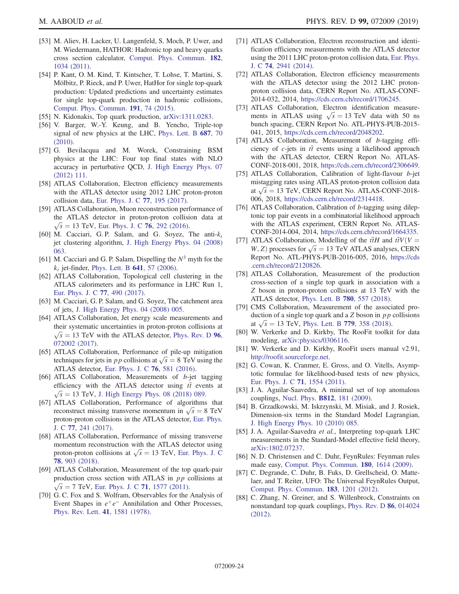- <span id="page-23-0"></span>[53] M. Aliev, H. Lacker, U. Langenfeld, S. Moch, P. Uwer, and M. Wiedermann, HATHOR: Hadronic top and heavy quarks cross section calculator, [Comput. Phys. Commun.](https://doi.org/10.1016/j.cpc.2010.12.040) 182, [1034 \(2011\)](https://doi.org/10.1016/j.cpc.2010.12.040).
- [54] P. Kant, O. M. Kind, T. Kintscher, T. Lohse, T. Martini, S. Mölbitz, P. Rieck, and P. Uwer, HatHor for single top-quark production: Updated predictions and uncertainty estimates for single top-quark production in hadronic collisions, [Comput. Phys. Commun.](https://doi.org/10.1016/j.cpc.2015.02.001) 191, 74 (2015).
- <span id="page-23-2"></span><span id="page-23-1"></span>[55] N. Kidonakis, Top quark production, [arXiv:1311.0283](http://arXiv.org/abs/1311.0283).
- [56] V. Barger, W.-Y. Keung, and B. Yencho, Triple-top signal of new physics at the LHC, [Phys. Lett. B](https://doi.org/10.1016/j.physletb.2010.03.001) 687, 70 [\(2010\).](https://doi.org/10.1016/j.physletb.2010.03.001)
- [57] G. Bevilacqua and M. Worek, Constraining BSM physics at the LHC: Four top final states with NLO accuracy in perturbative QCD, [J. High Energy Phys. 07](https://doi.org/10.1007/JHEP07(2012)111) [\(2012\) 111.](https://doi.org/10.1007/JHEP07(2012)111)
- <span id="page-23-3"></span>[58] ATLAS Collaboration, Electron efficiency measurements with the ATLAS detector using 2012 LHC proton-proton collision data, [Eur. Phys. J. C](https://doi.org/10.1140/epjc/s10052-017-4756-2) 77, 195 (2017).
- <span id="page-23-4"></span>[59] ATLAS Collaboration, Muon reconstruction performance of the ATLAS detector in proton-proton collision data at  $\sqrt{s}$  = 13 TeV, [Eur. Phys. J. C](https://doi.org/10.1140/epjc/s10052-016-4120-y) 76, 292 (2016).
- <span id="page-23-5"></span>[60] M. Cacciari, G. P. Salam, and G. Soyez, The anti- $k_t$ jet clustering algorithm, [J. High Energy Phys. 04 \(2008\)](https://doi.org/10.1088/1126-6708/2008/04/063) [063.](https://doi.org/10.1088/1126-6708/2008/04/063)
- [61] M. Cacciari and G. P. Salam, Dispelling the  $N^3$  myth for the  $k_t$  jet-finder, [Phys. Lett. B](https://doi.org/10.1016/j.physletb.2006.08.037) 641, 57 (2006).
- <span id="page-23-6"></span>[62] ATLAS Collaboration, Topological cell clustering in the ATLAS calorimeters and its performance in LHC Run 1, [Eur. Phys. J. C](https://doi.org/10.1140/epjc/s10052-017-5004-5) 77, 490 (2017).
- <span id="page-23-7"></span>[63] M. Cacciari, G. P. Salam, and G. Soyez, The catchment area of jets, [J. High Energy Phys. 04 \(2008\) 005.](https://doi.org/10.1088/1126-6708/2008/04/005)
- <span id="page-23-8"></span>[64] ATLAS Collaboration, Jet energy scale measurements and their systematic uncertainties in proton-proton collisions at  $\sqrt{s}$  = 13 TeV with the ATLAS detector, [Phys. Rev. D](https://doi.org/10.1103/PhysRevD.96.072002) 96, [072002 \(2017\).](https://doi.org/10.1103/PhysRevD.96.072002)
- <span id="page-23-9"></span>[65] ATLAS Collaboration, Performance of pile-up mitigation techniques for jets in *pp* collisions at  $\sqrt{s} = 8$  TeV using the ATLAS detector, [Eur. Phys. J. C](https://doi.org/10.1140/epjc/s10052-016-4395-z) 76, 581 (2016).
- <span id="page-23-10"></span>[66] ATLAS Collaboration, Measurements of b-jet tagging efficiency with the ATLAS detector using  $t\bar{t}$  events at  $\sqrt{s} = 13$  TeV, [J. High Energy Phys. 08 \(2018\) 089.](https://doi.org/10.1007/JHEP08(2018)089)
- <span id="page-23-11"></span>[67] ATLAS Collaboration, Performance of algorithms that reconstruct missing transverse momentum in  $\sqrt{s} = 8$  TeV proton-proton collisions in the ATLAS detector, [Eur. Phys.](https://doi.org/10.1140/epjc/s10052-017-4780-2) J. C 77[, 241 \(2017\).](https://doi.org/10.1140/epjc/s10052-017-4780-2)
- [68] ATLAS Collaboration, Performance of missing transverse momentum reconstruction with the ATLAS detector using proton-proton collisions at  $\sqrt{s} = 13$  TeV, [Eur. Phys. J. C](https://doi.org/10.1140/epjc/s10052-018-6288-9) 78[, 903 \(2018\).](https://doi.org/10.1140/epjc/s10052-018-6288-9)
- <span id="page-23-12"></span>[69] ATLAS Collaboration, Measurement of the top quark-pair production cross section with ATLAS in pp collisions at  $\sqrt{s} = 7$  TeV, [Eur. Phys. J. C](https://doi.org/10.1140/epjc/s10052-011-1577-6) 71, 1577 (2011).
- <span id="page-23-13"></span>[70] G. C. Fox and S. Wolfram, Observables for the Analysis of Event Shapes in  $e^+e^-$  Annihilation and Other Processes, [Phys. Rev. Lett.](https://doi.org/10.1103/PhysRevLett.41.1581) 41, 1581 (1978).
- [71] ATLAS Collaboration, Electron reconstruction and identification efficiency measurements with the ATLAS detector using the 2011 LHC proton-proton collision data, [Eur. Phys.](https://doi.org/10.1140/epjc/s10052-014-2941-0) J. C 74[, 2941 \(2014\)](https://doi.org/10.1140/epjc/s10052-014-2941-0).
- [72] ATLAS Collaboration, Electron efficiency measurements with the ATLAS detector using the 2012 LHC protonproton collision data, CERN Report No. ATLAS-CONF-2014-032, 2014, <https://cds.cern.ch/record/1706245>.
- [73] ATLAS Collaboration, Electron identification measurements in ATLAS using  $\sqrt{s} = 13$  TeV data with 50 ns bunch spacing, CERN Report No. ATL-PHYS-PUB-2015- 041, 2015, <https://cds.cern.ch/record/2048202>.
- <span id="page-23-14"></span>[74] ATLAS Collaboration, Measurement of b-tagging efficiency of  $c$ -jets in  $t\bar{t}$  events using a likelihood approach with the ATLAS detector, CERN Report No. ATLAS-CONF-2018-001, 2018, [https://cds.cern.ch/record/2306649.](https://cds.cern.ch/record/2306649)
- <span id="page-23-15"></span>[75] ATLAS Collaboration, Calibration of light-flavour b-jet mistagging rates using ATLAS proton-proton collision data at  $\sqrt{s}$  = 13 TeV, CERN Report No. ATLAS-CONF-2018-006, 2018, <https://cds.cern.ch/record/2314418>.
- <span id="page-23-16"></span>[76] ATLAS Collaboration, Calibration of b-tagging using dileptonic top pair events in a combinatorial likelihood approach with the ATLAS experiment, CERN Report No. ATLAS-CONF-2014-004, 2014, [https://cds.cern.ch/record/1664335.](https://cds.cern.ch/record/1664335)
- <span id="page-23-17"></span>[77] ATLAS Collaboration, Modelling of the  $t\bar{t}H$  and  $t\bar{t}V(V =$  $W$ , Z) processes for  $\sqrt{s} = 13$  TeV ATLAS analyses, CERN Report No. ATL-PHYS-PUB-2016-005, 2016, [https://cds](https://cds.cern.ch/record/2120826) [.cern.ch/record/2120826.](https://cds.cern.ch/record/2120826)
- <span id="page-23-18"></span>[78] ATLAS Collaboration, Measurement of the production cross-section of a single top quark in association with a Z boson in proton-proton collisions at 13 TeV with the ATLAS detector, [Phys. Lett. B](https://doi.org/10.1016/j.physletb.2018.03.023) 780, 557 (2018).
- [79] CMS Collaboration, Measurement of the associated production of a single top quark and a  $Z$  boson in  $pp$  collisions at  $\sqrt{s}$  = 13 TeV, [Phys. Lett. B](https://doi.org/10.1016/j.physletb.2018.02.025) 779, 358 (2018).
- <span id="page-23-19"></span>[80] W. Verkerke and D. Kirkby, The RooFit toolkit for data modeling, [arXiv:physics/0306116](http://arXiv.org/abs/physics/0306116).
- [81] W. Verkerke and D. Kirkby, RooFit users manual v2.91, <http://roofit.sourceforge.net>.
- <span id="page-23-20"></span>[82] G. Cowan, K. Cranmer, E. Gross, and O. Vitells, Asymptotic formulae for likelihood-based tests of new physics, [Eur. Phys. J. C](https://doi.org/10.1140/epjc/s10052-011-1554-0) 71, 1554 (2011).
- <span id="page-23-21"></span>[83] J. A. Aguilar-Saavedra, A minimal set of top anomalous couplings, Nucl. Phys. B812[, 181 \(2009\)](https://doi.org/10.1016/j.nuclphysb.2008.12.012).
- [84] B. Grzadkowski, M. Iskrzynski, M. Misiak, and J. Rosiek, Dimension-six terms in the Standard Model Lagrangian, [J. High Energy Phys. 10 \(2010\) 085.](https://doi.org/10.1007/JHEP10(2010)085)
- <span id="page-23-22"></span>[85] J. A. Aguilar-Saavedra et al., Interpreting top-quark LHC measurements in the Standard-Model effective field theory, [arXiv:1802.07237.](http://arXiv.org/abs/1802.07237)
- [86] N. D. Christensen and C. Duhr, FeynRules: Feynman rules made easy, [Comput. Phys. Commun.](https://doi.org/10.1016/j.cpc.2009.02.018) 180, 1614 (2009).
- [87] C. Degrande, C. Duhr, B. Fuks, D. Grellscheid, O. Mattelaer, and T. Reiter, UFO: The Universal FeynRules Output, [Comput. Phys. Commun.](https://doi.org/10.1016/j.cpc.2012.01.022) 183, 1201 (2012).
- <span id="page-23-23"></span>[88] C. Zhang, N. Greiner, and S. Willenbrock, Constraints on nonstandard top quark couplings, [Phys. Rev. D](https://doi.org/10.1103/PhysRevD.86.014024) 86, 014024 [\(2012\).](https://doi.org/10.1103/PhysRevD.86.014024)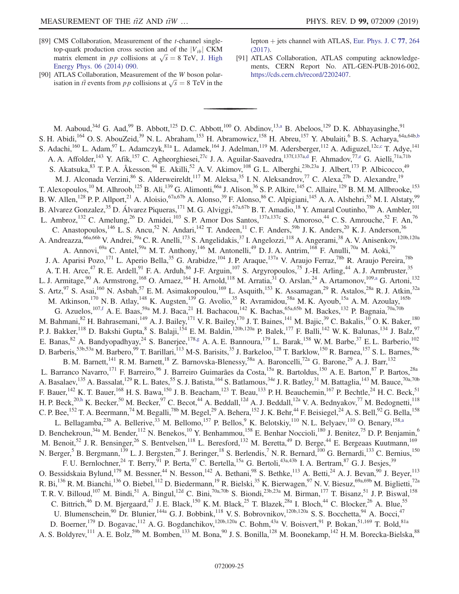- <span id="page-24-0"></span>[89] CMS Collaboration, Measurement of the *t*-channel singletop-quark production cross section and of the  $|V_{tb}|$  CKM matrix element in *pp* collisions at  $\sqrt{s} = 8 \text{ TeV}$ , [J. High](https://doi.org/10.1007/JHEP06(2014)090) [Energy Phys. 06 \(2014\) 090.](https://doi.org/10.1007/JHEP06(2014)090)
- [90] ATLAS Collaboration, Measurement of the W boson polarisation in  $t\bar{t}$  events from pp collisions at  $\sqrt{s} = 8$  TeV in the

lepton  $+$  jets channel with ATLAS, [Eur. Phys. J. C](https://doi.org/10.1140/epjc/s10052-017-4819-4) 77, 264 [\(2017\).](https://doi.org/10.1140/epjc/s10052-017-4819-4)

<span id="page-24-1"></span>[91] ATLAS Collaboration, ATLAS computing acknowledgements, CERN Report No. ATL-GEN-PUB-2016-002, [https://cds.cern.ch/record/2202407.](https://cds.cern.ch/record/2202407)

<span id="page-24-8"></span><span id="page-24-7"></span><span id="page-24-6"></span><span id="page-24-5"></span><span id="page-24-4"></span><span id="page-24-3"></span><span id="page-24-2"></span>M. Aaboud, <sup>34d</sup> G. Aad, <sup>99</sup> B. Abbott, <sup>125</sup> D. C. Abbott, <sup>100</sup> O. Abdinov, <sup>13[,a](#page-36-0)</sup> B. Abeloos, <sup>129</sup> D. K. Abhayasinghe, <sup>91</sup> S. H. Abidi,<sup>164</sup> O. S. AbouZeid,<sup>39</sup> N. L. Abraham,<sup>153</sup> H. Abramowicz,<sup>158</sup> H. Abreu,<sup>157</sup> Y. Abulaiti,<sup>6</sup> B. S. Acharya,<sup>64a,64b[,b](#page-36-1)</sup> S. Adachi,<sup>160</sup> L. Adam,<sup>97</sup> L. Adamczyk,<sup>81a</sup> L. Adamek,<sup>164</sup> J. Adelman,<sup>119</sup> M. Adersberger,<sup>112</sup> A. Adiguzel,<sup>12[c,c](#page-36-2)</sup> T. Adye,<sup>141</sup> A. A. Affolder,<sup>143</sup> Y. Afik,<sup>157</sup> C. Agheorghiesei,<sup>27c</sup> J. A. Aguilar-Saavedra,<sup>137f,137a[,d](#page-36-3)</sup> F. Ahmadov,<sup>7[7,e](#page-36-4)</sup> G. Aielli,<sup>71a,71b</sup> S. Akatsuka,  $83$  T. P. A. Åkesson,  $94$  E. Akilli,  $52$  A. V. Akimov,  $108$  G. L. Alberghi,  $23b,23a$  J. Albert,  $173$  P. Albicocco,  $49$ M. J. Alconada Verzini,<sup>86</sup> S. Alderweireldt,<sup>117</sup> M. Aleksa,<sup>35</sup> I. N. Aleksandrov,<sup>77</sup> C. Alexa,<sup>27b</sup> D. Alexandre,<sup>19</sup> T. Alexopoulos,<sup>10</sup> M. Alhroob,<sup>125</sup> B. Ali,<sup>139</sup> G. Alimonti,<sup>66a</sup> J. Alison,<sup>36</sup> S. P. Alkire,<sup>145</sup> C. Allaire,<sup>129</sup> B. M. M. Allbrooke,<sup>153</sup> B. W. Allen,<sup>128</sup> P. P. Allport,<sup>21</sup> A. Aloisio,<sup>67a,67b</sup> A. Alonso,<sup>39</sup> F. Alonso,<sup>86</sup> C. Alpigiani,<sup>145</sup> A. A. Alshehri,<sup>55</sup> M. I. Alstaty,<sup>99</sup> B. Alvarez Gonzalez,<sup>35</sup> D. Álvarez Piqueras,<sup>171</sup> M. G. Alviggi,<sup>67a,67b</sup> B. T. Amadio,<sup>18</sup> Y. Amaral Coutinho,<sup>78b</sup> A. Ambler,<sup>101</sup> L. Ambroz,<sup>132</sup> C. Amelung,<sup>26</sup> D. Amidei,<sup>103</sup> S. P. Amor Dos Santos,<sup>137a,137c</sup> S. Amoroso,<sup>44</sup> C. S. Amrouche,<sup>52</sup> F. An,<sup>76</sup> C. Anastopoulos,<sup>146</sup> L. S. Ancu,<sup>52</sup> N. Andari,<sup>142</sup> T. Andeen,<sup>11</sup> C. F. Anders,<sup>59b</sup> J. K. Anders,<sup>20</sup> K. J. Anderson,<sup>36</sup> A. Andreazza,<sup>66a,66b</sup> V. Andrei,<sup>59a</sup> C. R. Anelli,<sup>173</sup> S. Angelidakis,<sup>37</sup> I. Angelozzi,<sup>118</sup> A. Angerami,<sup>38</sup> A. V. Anisenkov,<sup>120b,120a</sup> A. Annovi,  $^{69a}$  C. Antel,  $^{59a}$  M. T. Anthony,  $^{146}$  M. Antonelli,  $^{49}$  D. J. A. Antrim,  $^{168}$  F. Anulli,  $^{70a}$  M. Aoki,  $^{79}$ J. A. Aparisi Pozo,<sup>171</sup> L. Aperio Bella,<sup>35</sup> G. Arabidze,<sup>104</sup> J. P. Araque,<sup>137a</sup> V. Araujo Ferraz,<sup>78b</sup> R. Araujo Pereira,<sup>78b</sup> A. T. H. Arce,<sup>47</sup> R. E. Ardell,<sup>91</sup> F. A. Arduh,<sup>86</sup> J-F. Arguin,<sup>107</sup> S. Argyropoulos,<sup>75</sup> J.-H. Arling,<sup>44</sup> A. J. Armbruster,<sup>35</sup> L. J. Armitage,<sup>90</sup> A. Armstrong,<sup>168</sup> O. Arnaez,<sup>164</sup> H. Arnold,<sup>118</sup> M. Arratia,<sup>31</sup> O. Arslan,<sup>24</sup> A. Artamonov,<sup>109[,a](#page-36-0)</sup> G. Artoni,<sup>132</sup> S. Artz,<sup>97</sup> S. Asai,<sup>160</sup> N. Asbah,<sup>57</sup> E. M. Asimakopoulou,<sup>169</sup> L. Asquith,<sup>153</sup> K. Assamagan,<sup>29</sup> R. Astalos,<sup>28a</sup> R. J. Atkin,<sup>32a</sup> M. Atkinson,<sup>170</sup> N. B. Atlay,<sup>148</sup> K. Augsten,<sup>139</sup> G. Avolio,<sup>35</sup> R. Avramidou,<sup>58a</sup> M. K. Ayoub,<sup>15a</sup> A. M. Azoulay,<sup>165b</sup> G. Azuelos,  $^{107,f}$  $^{107,f}$  $^{107,f}$  A. E. Baas,  $^{59a}$  M. J. Baca,  $^{21}$  H. Bachacou,  $^{142}$  K. Bachas,  $^{65a,65b}$  M. Backes,  $^{132}$  P. Bagnaia,  $^{70a,70b}$ M. Bahmani,<sup>82</sup> H. Bahrasemani,<sup>149</sup> A. J. Bailey,<sup>171</sup> V. R. Bailey,<sup>170</sup> J. T. Baines,<sup>141</sup> M. Bajic,<sup>39</sup> C. Bakalis,<sup>10</sup> O. K. Baker,<sup>180</sup> P. J. Bakker,<sup>118</sup> D. Bakshi Gupta, <sup>8</sup> S. Balaji, <sup>154</sup> E. M. Baldin, <sup>120b,120a</sup> P. Balek, <sup>177</sup> F. Balli, <sup>142</sup> W. K. Balunas, <sup>134</sup> J. Balz, <sup>97</sup> E. Banas,  $82$  A. Bandyopadhyay,  $24$  S. Banerjee,  $178.9$  A. A. E. Bannoura,  $179$  L. Barak,  $158$  W. M. Barbe,  $37$  E. L. Barberio,  $102$ D. Barberis,<sup>53b,53a</sup> M. Barbero,<sup>99</sup> T. Barillari,<sup>113</sup> M-S. Barisits,<sup>35</sup> J. Barkeloo,<sup>128</sup> T. Barklow,<sup>150</sup> R. Barnea,<sup>157</sup> S. L. Barnes,<sup>58c</sup> B. M. Barnett,<sup>141</sup> R. M. Barnett,<sup>18</sup> Z. Barnovska-Blenessy,<sup>58a</sup> A. Baroncelli,<sup>72a</sup> G. Barone,<sup>29</sup> A. J. Barr,<sup>132</sup> L. Barranco Navarro,<sup>171</sup> F. Barreiro,<sup>96</sup> J. Barreiro Guimarães da Costa,<sup>15a</sup> R. Bartoldus,<sup>150</sup> A. E. Barton,<sup>87</sup> P. Bartos,<sup>28a</sup> A. Basalaev, <sup>135</sup> A. Bassalat, <sup>129</sup> R. L. Bates, <sup>55</sup> S. J. Batista, <sup>164</sup> S. Batlamous, <sup>34e</sup> J. R. Batley, <sup>31</sup> M. Battaglia, <sup>143</sup> M. Bauce, <sup>70a, 70b</sup> F. Bauer,<sup>142</sup> K. T. Bauer,<sup>168</sup> H. S. Bawa,<sup>150</sup> J. B. Beacham,<sup>123</sup> T. Beau,<sup>133</sup> P. H. Beauchemin,<sup>167</sup> P. Bechtle,<sup>24</sup> H. C. Beck,<sup>51</sup> H. P. Beck,<sup>2[0,h](#page-36-7)</sup> K. Becker,<sup>50</sup> M. Becker,<sup>97</sup> C. Becot,<sup>44</sup> A. Beddall,<sup>12d</sup> A. J. Beddall,<sup>12a</sup> V. A. Bednyakov,<sup>77</sup> M. Bedognetti,<sup>118</sup> C. P. Bee, <sup>152</sup> T. A. Beermann,<sup>74</sup> M. Begalli,<sup>78b</sup> M. Begel,<sup>29</sup> A. Behera,<sup>152</sup> J. K. Behr,<sup>44</sup> F. Beisiegel,<sup>24</sup> A. S. Bell,<sup>92</sup> G. Bella,<sup>158</sup> L. Bellagamba,  $^{23b}$  A. Bellerive,  $^{33}$  M. Bellomo,  $^{157}$  P. Bellos, K. Belotskiy,  $^{110}$  N. L. Belyaev,  $^{110}$  O. Benary,  $^{158,a}$  $^{158,a}$  $^{158,a}$ D. Benchekroun,<sup>34a</sup> M. Bender,<sup>112</sup> N. Benekos,<sup>10</sup> Y. Benhammou,<sup>158</sup> E. Benhar Noccioli,<sup>180</sup> J. Benitez,<sup>75</sup> D. P. Benjamin,<sup>6</sup> M. Benoit,<sup>52</sup> J. R. Bensinger,<sup>26</sup> S. Bentvelsen,<sup>118</sup> L. Beresford,<sup>132</sup> M. Beretta,<sup>49</sup> D. Berge,<sup>44</sup> E. Bergeaas Kuutmann,<sup>169</sup> N. Berger,<sup>5</sup> B. Bergmann,<sup>139</sup> L. J. Bergsten,<sup>26</sup> J. Beringer,<sup>18</sup> S. Berlendis,<sup>7</sup> N. R. Bernard,<sup>100</sup> G. Bernardi,<sup>133</sup> C. Bernius,<sup>150</sup> F. U. Bernlochner,  $^{24}$  T. Berry,  $^{91}$  P. Berta,  $^{97}$  C. Bertella,  $^{15a}$  G. Bertoli,  $^{43a,43b}$  I. A. Bertram,  $^{87}$  G. J. Besjes,  $^{39}$ O. Bessidskaia Bylund,<sup>179</sup> M. Bessner,<sup>44</sup> N. Besson,<sup>142</sup> A. Bethani,<sup>98</sup> S. Bethke,<sup>113</sup> A. Betti,<sup>24</sup> A. J. Bevan,<sup>90</sup> J. Beyer,<sup>113</sup> R. Bi,<sup>136</sup> R. M. Bianchi,<sup>136</sup> O. Biebel,<sup>112</sup> D. Biedermann,<sup>19</sup> R. Bielski,<sup>35</sup> K. Bierwagen,<sup>97</sup> N. V. Biesuz,<sup>69a,69b</sup> M. Biglietti,<sup>72a</sup> T. R. V. Billoud,<sup>107</sup> M. Bindi,<sup>51</sup> A. Bingul,<sup>12d</sup> C. Bini,<sup>70a,70b</sup> S. Biondi,<sup>23b,23a</sup> M. Birman,<sup>177</sup> T. Bisanz,<sup>51</sup> J. P. Biswal,<sup>158</sup> C. Bittrich,<sup>46</sup> D. M. Bjergaard,<sup>47</sup> J. E. Black,<sup>150</sup> K. M. Black,<sup>25</sup> T. Blazek,<sup>28a</sup> I. Bloch,<sup>44</sup> C. Blocker,<sup>26</sup> A. Blue,<sup>55</sup> U. Blumenschein,<sup>90</sup> Dr. Blunier,<sup>144a</sup> G. J. Bobbink,<sup>118</sup> V. S. Bobrovnikov,<sup>120b,120a</sup> S. S. Bocchetta,<sup>94</sup> A. Bocci,<sup>47</sup> D. Boerner,<sup>179</sup> D. Bogavac,<sup>112</sup> A. G. Bogdanchikov,<sup>120b,120a</sup> C. Bohm,<sup>43a</sup> V. Boisvert,<sup>91</sup> P. Bokan,<sup>51,169</sup> T. Bold,<sup>81a</sup> A. S. Boldyrev,<sup>111</sup> A. E. Bolz,<sup>59b</sup> M. Bomben,<sup>133</sup> M. Bona,<sup>90</sup> J. S. Bonilla,<sup>128</sup> M. Boonekamp,<sup>142</sup> H. M. Borecka-Bielska,<sup>88</sup>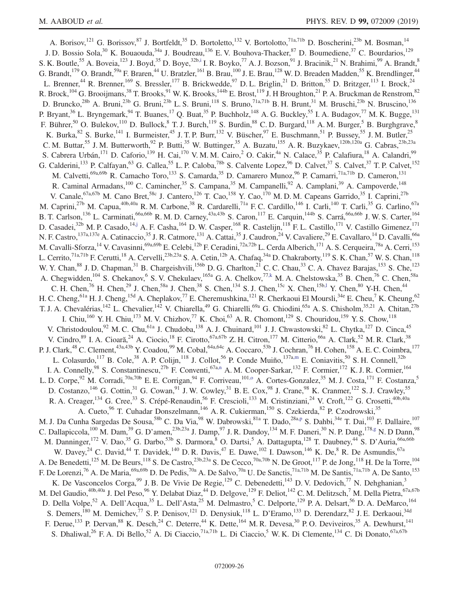<span id="page-25-7"></span><span id="page-25-6"></span><span id="page-25-5"></span><span id="page-25-4"></span><span id="page-25-3"></span><span id="page-25-2"></span><span id="page-25-1"></span><span id="page-25-0"></span>A. Borisov,<sup>121</sup> G. Borissov,<sup>87</sup> J. Bortfeldt,<sup>35</sup> D. Bortoletto,<sup>132</sup> V. Bortolotto,<sup>71a,71b</sup> D. Boscherini,<sup>23b</sup> M. Bosman,<sup>14</sup> J. D. Bossio Sola,<sup>30</sup> K. Bouaouda,<sup>34a</sup> J. Boudreau,<sup>136</sup> E. V. Bouhova-Thacker,<sup>87</sup> D. Boumediene,<sup>37</sup> C. Bourdarios,<sup>129</sup> S. K. Boutle,<sup>55</sup> A. Boveia,<sup>123</sup> J. Boyd,<sup>35</sup> D. Boye,<sup>32[b,i](#page-36-8)</sup> I. R. Boyko,<sup>77</sup> A. J. Bozson,<sup>91</sup> J. Bracinik,<sup>21</sup> N. Brahimi,<sup>99</sup> A. Brandt,<sup>8</sup> G. Brandt,<sup>179</sup> O. Brandt,<sup>59a</sup> F. Braren,<sup>44</sup> U. Bratzler,<sup>161</sup> B. Brau,<sup>100</sup> J. E. Brau,<sup>128</sup> W. D. Breaden Madden,<sup>55</sup> K. Brendlinger,<sup>44</sup> L. Brenner,<sup>44</sup> R. Brenner,<sup>169</sup> S. Bressler,<sup>177</sup> B. Brickwedde,<sup>97</sup> D. L. Briglin,<sup>21</sup> D. Britton,<sup>55</sup> D. Britzger,<sup>113</sup> I. Brock,<sup>24</sup> R. Brock,  $^{104}$  G. Brooijmans,  $^{38}$  T. Brooks,  $^{91}$  W. K. Brooks,  $^{144b}$  E. Brost,  $^{119}$  J. H Broughton,  $^{21}$  P. A. Bruckman de Renstrom,  $^{82}$ D. Bruncko,<sup>28b</sup> A. Bruni,<sup>23b</sup> G. Bruni,<sup>23b</sup> L. S. Bruni,<sup>118</sup> S. Bruno,<sup>71a,71b</sup> B. H. Brunt,<sup>31</sup> M. Bruschi,<sup>23b</sup> N. Bruscino,<sup>136</sup> P. Bryant,<sup>36</sup> L. Bryngemark,<sup>94</sup> T. Buanes,<sup>17</sup> Q. Buat,<sup>35</sup> P. Buchholz,<sup>148</sup> A. G. Buckley,<sup>55</sup> I. A. Budagov,<sup>77</sup> M. K. Bugge,<sup>131</sup> F. Bührer,<sup>50</sup> O. Bulekov,<sup>110</sup> D. Bullock,<sup>8</sup> T. J. Burch,<sup>119</sup> S. Burdin,<sup>88</sup> C. D. Burgard,<sup>118</sup> A. M. Burger,<sup>5</sup> B. Burghgrave,<sup>8</sup> K. Burka,  $82$  S. Burke,  $141$  I. Burmeister,  $45$  J. T. P. Burr,  $132$  V. Büscher,  $97$  E. Buschmann,  $51$  P. Bussey,  $55$  J. M. Butler,  $25$ C. M. Buttar,<sup>55</sup> J. M. Butterworth,<sup>92</sup> P. Butti,<sup>35</sup> W. Buttinger,<sup>35</sup> A. Buzatu,<sup>155</sup> A. R. Buzykaev,<sup>120b,120a</sup> G. Cabras,<sup>23b,23a</sup> S. Cabrera Urbán,<sup>171</sup> D. Caforio,<sup>139</sup> H. Cai,<sup>170</sup> V. M. M. Cairo,<sup>2</sup> O. Cakir,<sup>4a</sup> N. Calace,<sup>35</sup> P. Calafiura,<sup>18</sup> A. Calandri,<sup>99</sup> G. Calderini,<sup>133</sup> P. Calfayan,<sup>63</sup> G. Callea,<sup>55</sup> L. P. Caloba,<sup>78b</sup> S. Calvente Lopez,<sup>96</sup> D. Calvet,<sup>37</sup> S. Calvet,<sup>37</sup> T. P. Calvet,<sup>152</sup> M. Calvetti,<sup>69a,69b</sup> R. Camacho Toro,<sup>133</sup> S. Camarda,<sup>35</sup> D. Camarero Munoz,<sup>96</sup> P. Camarri,<sup>71a,71b</sup> D. Cameron,<sup>131</sup> R. Caminal Armadans,<sup>100</sup> C. Camincher,<sup>35</sup> S. Campana,<sup>35</sup> M. Campanelli,<sup>92</sup> A. Camplani,<sup>39</sup> A. Campoverde,<sup>148</sup> V. Canale, <sup>67a, 67b</sup> M. Cano Bret, <sup>58c</sup> J. Cantero, <sup>126</sup> T. Cao, <sup>158</sup> Y. Cao, <sup>170</sup> M. D. M. Capeans Garrido, <sup>35</sup> I. Caprini, <sup>27b</sup> M. Caprini,<sup>27b</sup> M. Capua,<sup>40b,40a</sup> R. M. Carbone,<sup>38</sup> R. Cardarelli,<sup>71a</sup> F. C. Cardillo,<sup>146</sup> I. Carli,<sup>140</sup> T. Carli,<sup>35</sup> G. Carlino,<sup>67a</sup> B. T. Carlson,<sup>136</sup> L. Carminati,<sup>66a,66b</sup> R. M. D. Carney,<sup>43a,43b</sup> S. Caron,<sup>117</sup> E. Carquin,<sup>144b</sup> S. Carrá,<sup>66a,66b</sup> J. W. S. Carter,<sup>164</sup> D. Casadei,<sup>32b</sup> M. P. Casado,<sup>1[4,j](#page-36-9)</sup> A. F. Casha,<sup>164</sup> D. W. Casper,<sup>168</sup> R. Castelijn,<sup>118</sup> F. L. Castillo,<sup>171</sup> V. Castillo Gimenez,<sup>171</sup> N. F. Castro,<sup>137a,137e</sup> A. Catinaccio,<sup>35</sup> J. R. Catmore,<sup>131</sup> A. Cattai,<sup>35</sup> J. Caudron,<sup>24</sup> V. Cavaliere,<sup>29</sup> E. Cavallaro,<sup>14</sup> D. Cavalli,<sup>66a</sup> M. Cavalli-Sforza, <sup>14</sup> V. Cavasinni, <sup>69a,69b</sup> E. Celebi, <sup>12b</sup> F. Ceradini, <sup>72a,72b</sup> L. Cerda Alberich, <sup>171</sup> A. S. Cerqueira, <sup>78a</sup> A. Cerri, <sup>153</sup> L. Cerrito,<sup>71a,71b</sup> F. Cerutti,<sup>18</sup> A. Cervelli,<sup>23b,23a</sup> S. A. Cetin,<sup>12b</sup> A. Chafaq,<sup>34a</sup> D. Chakraborty,<sup>119</sup> S. K. Chan,<sup>57</sup> W. S. Chan,<sup>118</sup> W. Y. Chan, <sup>88</sup> J. D. Chapman, <sup>31</sup> B. Chargeishvili, <sup>156b</sup> D. G. Charlton, <sup>21</sup> C. C. Chau, <sup>33</sup> C. A. Chavez Barajas, <sup>153</sup> S. Che, <sup>123</sup> A. Chegwidden,<sup>104</sup> S. Chekanov,<sup>6</sup> S. V. Chekulaev,<sup>165a</sup> G. A. Chelkov,<sup>7[7,k](#page-36-10)</sup> M. A. Chelstowska,<sup>35</sup> B. Chen,<sup>76</sup> C. Chen,<sup>58a</sup> C. H. Chen,<sup>76</sup> H. Chen,<sup>29</sup> J. Chen,<sup>58a</sup> J. Chen,<sup>38</sup> S. Chen,<sup>134</sup> S. J. Chen,<sup>15c</sup> X. Chen,<sup>15b[,l](#page-36-11)</sup> Y. Chen,<sup>80</sup> Y-H. Chen,<sup>44</sup> H. C. Cheng, <sup>61a</sup> H. J. Cheng, <sup>15d</sup> A. Cheplakov,<sup>77</sup> E. Cheremushkina, <sup>121</sup> R. Cherkaoui El Moursli, <sup>34e</sup> E. Cheu, <sup>7</sup> K. Cheung, <sup>62</sup> T. J. A. Chevalérias,<sup>142</sup> L. Chevalier,<sup>142</sup> V. Chiarella,<sup>49</sup> G. Chiarelli,<sup>69a</sup> G. Chiodini,<sup>65a</sup> A. S. Chisholm,<sup>35,21</sup> A. Chitan,<sup>27b</sup> I. Chiu,<sup>160</sup> Y. H. Chiu,<sup>173</sup> M. V. Chizhov,<sup>77</sup> K. Choi,<sup>63</sup> A. R. Chomont,<sup>129</sup> S. Chouridou,<sup>159</sup> Y. S. Chow,<sup>118</sup> V. Christodoulou,<sup>92</sup> M. C. Chu,<sup>61a</sup> J. Chudoba,<sup>138</sup> A. J. Chuinard,<sup>101</sup> J. J. Chwastowski,<sup>82</sup> L. Chytka,<sup>127</sup> D. Cinca,<sup>45</sup> V. Cindro, <sup>89</sup> I. A. Cioară, <sup>24</sup> A. Ciocio, <sup>18</sup> F. Cirotto, <sup>67a,67b</sup> Z. H. Citron, <sup>177</sup> M. Citterio, <sup>66a</sup> A. Clark, <sup>52</sup> M. R. Clark, <sup>38</sup> P. J. Clark,<sup>48</sup> C. Clement,<sup>43a,43b</sup> Y. Coadou,<sup>99</sup> M. Cobal,<sup>64a,64c</sup> A. Coccaro,<sup>53b</sup> J. Cochran,<sup>76</sup> H. Cohen,<sup>158</sup> A. E. C. Coimbra,<sup>177</sup> L. Colasurdo,<sup>117</sup> B. Cole,<sup>38</sup> A. P. Colijn,<sup>118</sup> J. Collot,<sup>56</sup> P. Conde Muiño,<sup>137[a,m](#page-36-12)</sup> E. Coniavitis,<sup>50</sup> S. H. Connell,<sup>32b</sup> I. A. Connelly,<sup>98</sup> S. Constantinescu,<sup>27b</sup> F. Conventi,<sup>67[a,n](#page-36-13)</sup> A. M. Cooper-Sarkar,<sup>132</sup> F. Cormier,<sup>172</sup> K. J. R. Cormier,<sup>164</sup> L. D. Corpe,<sup>92</sup> M. Corradi,<sup>70a,70b</sup> E. E. Corrigan,<sup>94</sup> F. Corriveau,<sup>101[,o](#page-36-14)</sup> A. Cortes-Gonzalez,<sup>35</sup> M. J. Costa,<sup>171</sup> F. Costanza,<sup>5</sup> D. Costanzo,<sup>146</sup> G. Cottin,<sup>31</sup> G. Cowan,<sup>91</sup> J. W. Cowley,<sup>31</sup> B. E. Cox,<sup>98</sup> J. Crane,<sup>98</sup> K. Cranmer,<sup>122</sup> S. J. Crawley,<sup>55</sup> R. A. Creager,<sup>134</sup> G. Cree,<sup>33</sup> S. Crépé-Renaudin,<sup>56</sup> F. Crescioli,<sup>133</sup> M. Cristinziani,<sup>24</sup> V. Croft,<sup>122</sup> G. Crosetti,<sup>40b,40a</sup> A. Cueto,<sup>96</sup> T. Cuhadar Donszelmann,<sup>146</sup> A. R. Cukierman,<sup>150</sup> S. Czekierda,<sup>82</sup> P. Czodrowski,<sup>35</sup> M. J. Da Cunha Sargedas De Sousa,<sup>58b</sup> C. Da Via,<sup>98</sup> W. Dabrowski,<sup>81a</sup> T. Dado,<sup>28[a,p](#page-36-15)</sup> S. Dahbi,<sup>34e</sup> T. Dai,<sup>103</sup> F. Dallaire,<sup>107</sup> C. Dallapiccola,<sup>100</sup> M. Dam,<sup>39</sup> G. D'amen,<sup>23b,23a</sup> J. Damp,<sup>97</sup> J. R. Dandoy,<sup>134</sup> M. F. Daneri,<sup>30</sup> N. P. Dang,<sup>178[,g](#page-36-6)</sup> N. D Dann,<sup>98</sup> M. Danninger,<sup>172</sup> V. Dao,<sup>35</sup> G. Darbo,<sup>53b</sup> S. Darmora,<sup>8</sup> O. Dartsi,<sup>5</sup> A. Dattagupta,<sup>128</sup> T. Daubney,<sup>44</sup> S. D'Auria,<sup>66a,66b</sup> W. Davey,<sup>24</sup> C. David,<sup>44</sup> T. Davidek,<sup>140</sup> D. R. Davis,<sup>47</sup> E. Dawe,<sup>102</sup> I. Dawson,<sup>146</sup> K. De,<sup>8</sup> R. De Asmundis,<sup>67a</sup> A. De Benedetti,<sup>125</sup> M. De Beurs,<sup>118</sup> S. De Castro,<sup>23b,23a</sup> S. De Cecco,<sup>70a,70b</sup> N. De Groot,<sup>117</sup> P. de Jong,<sup>118</sup> H. De la Torre,<sup>104</sup> F. De Lorenzi,<sup>76</sup> A. De Maria,<sup>69a,69b</sup> D. De Pedis,<sup>70a</sup> A. De Salvo,<sup>70a</sup> U. De Sanctis,<sup>71a,71b</sup> M. De Santis,<sup>71a,71b</sup> A. De Santo,<sup>153</sup> K. De Vasconcelos Corga, <sup>99</sup> J. B. De Vivie De Regie, <sup>129</sup> C. Debenedetti, <sup>143</sup> D. V. Dedovich, <sup>77</sup> N. Dehghanian, <sup>3</sup> M. Del Gaudio,<sup>40b,40a</sup> J. Del Peso,<sup>96</sup> Y. Delabat Diaz,<sup>44</sup> D. Delgove,<sup>129</sup> F. Deliot,<sup>142</sup> C. M. Delitzsch,<sup>7</sup> M. Della Pietra,<sup>67a,67b</sup> D. Della Volpe,<sup>52</sup> A. Dell'Acqua,<sup>35</sup> L. Dell'Asta,<sup>25</sup> M. Delmastro,<sup>5</sup> C. Delporte,<sup>129</sup> P. A. Delsart,<sup>56</sup> D. A. DeMarco,<sup>164</sup> S. Demers,<sup>180</sup> M. Demichev,<sup>77</sup> S. P. Denisov,<sup>121</sup> D. Denysiuk,<sup>118</sup> L. D'Eramo,<sup>133</sup> D. Derendarz,<sup>82</sup> J. E. Derkaoui,<sup>34d</sup> F. Derue,<sup>133</sup> P. Dervan,<sup>88</sup> K. Desch,<sup>24</sup> C. Deterre,<sup>44</sup> K. Dette,<sup>164</sup> M. R. Devesa,<sup>30</sup> P. O. Deviveiros,<sup>35</sup> A. Dewhurst,<sup>141</sup> S. Dhaliwal,<sup>26</sup> F. A. Di Bello,<sup>52</sup> A. Di Ciaccio,<sup>71a,71b</sup> L. Di Ciaccio,<sup>5</sup> W. K. Di Clemente,<sup>134</sup> C. Di Donato,<sup>67a,67b</sup>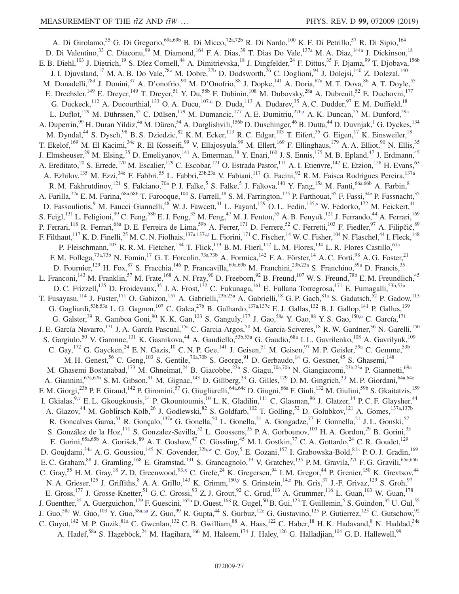<span id="page-26-9"></span><span id="page-26-8"></span><span id="page-26-7"></span><span id="page-26-6"></span><span id="page-26-5"></span><span id="page-26-4"></span><span id="page-26-3"></span><span id="page-26-2"></span><span id="page-26-1"></span><span id="page-26-0"></span>A. Di Girolamo,<sup>35</sup> G. Di Gregorio,<sup>69a,69b</sup> B. Di Micco,<sup>72a,72b</sup> R. Di Nardo,<sup>100</sup> K. F. Di Petrillo,<sup>57</sup> R. Di Sipio,<sup>164</sup> D. Di Valentino,<sup>33</sup> C. Diaconu,<sup>99</sup> M. Diamond,<sup>164</sup> F. A. Dias,<sup>39</sup> T. Dias Do Vale,<sup>137a</sup> M. A. Diaz,<sup>144a</sup> J. Dickinson,<sup>18</sup> E. B. Diehl,<sup>103</sup> J. Dietrich,<sup>19</sup> S. Díez Cornell,<sup>44</sup> A. Dimitrievska,<sup>18</sup> J. Dingfelder,<sup>24</sup> F. Dittus,<sup>35</sup> F. Djama,<sup>99</sup> T. Djobava,<sup>156b</sup> J. I. Djuvsland,<sup>17</sup> M. A. B. Do Vale,<sup>78c</sup> M. Dobre,<sup>27b</sup> D. Dodsworth,<sup>26</sup> C. Doglioni,<sup>94</sup> J. Dolejsi,<sup>140</sup> Z. Dolezal,<sup>140</sup> M. Donadelli,<sup>78d</sup> J. Donini,<sup>37</sup> A. D'onofrio,<sup>90</sup> M. D'Onofrio,<sup>88</sup> J. Dopke,<sup>141</sup> A. Doria,<sup>67a</sup> M. T. Dova,<sup>86</sup> A. T. Doyle,<sup>55</sup> E. Drechsler,<sup>149</sup> E. Dreyer,<sup>149</sup> T. Dreyer,<sup>51</sup> Y. Du,<sup>58b</sup> F. Dubinin,<sup>108</sup> M. Dubovsky,<sup>28a</sup> A. Dubreuil,<sup>52</sup> E. Duchovni,<sup>177</sup> G. Duckeck,<sup>112</sup> A. Ducourthial,<sup>133</sup> O. A. Ducu,<sup>10[7,q](#page-36-16)</sup> D. Duda,<sup>113</sup> A. Dudarev,<sup>35</sup> A. C. Dudder,<sup>97</sup> E. M. Duffield,<sup>18</sup> L. Duflot,<sup>129</sup> M. Dührssen,<sup>35</sup> C. Dülsen,<sup>179</sup> M. Dumancic,<sup>177</sup> A. E. Dumitriu,<sup>27[b,r](#page-36-17)</sup> A. K. Duncan,<sup>55</sup> M. Dunford,<sup>59a</sup> A. Duperrin, <sup>99</sup> H. Duran Yildiz, <sup>4a</sup> M. Düren, <sup>54</sup> A. Durglishvili, <sup>156b</sup> D. Duschinger, <sup>46</sup> B. Dutta, <sup>44</sup> D. Duvnjak, <sup>1</sup> G. Dyckes, <sup>134</sup> M. Dyndal,<sup>44</sup> S. Dysch,<sup>98</sup> B. S. Dziedzic,<sup>82</sup> K. M. Ecker,<sup>113</sup> R. C. Edgar,<sup>103</sup> T. Eifert,<sup>35</sup> G. Eigen,<sup>17</sup> K. Einsweiler,<sup>18</sup> T. Ekelof,<sup>169</sup> M. El Kacimi,<sup>34c</sup> R. El Kosseifi,<sup>99</sup> V. Ellajosyula,<sup>99</sup> M. Ellert,<sup>169</sup> F. Ellinghaus,<sup>179</sup> A. A. Elliot,<sup>90</sup> N. Ellis,<sup>35</sup> J. Elmsheuser,<sup>29</sup> M. Elsing,<sup>35</sup> D. Emeliyanov,<sup>141</sup> A. Emerman,<sup>38</sup> Y. Enari,<sup>160</sup> J. S. Ennis,<sup>175</sup> M. B. Epland,<sup>47</sup> J. Erdmann,<sup>45</sup> A. Ereditato,<sup>20</sup> S. Errede,<sup>170</sup> M. Escalier,<sup>129</sup> C. Escobar,<sup>171</sup> O. Estrada Pastor,<sup>171</sup> A. I. Etienvre,<sup>142</sup> E. Etzion,<sup>158</sup> H. Evans,<sup>63</sup> A. Ezhilov, <sup>135</sup> M. Ezzi, <sup>34e</sup> F. Fabbri, <sup>55</sup> L. Fabbri, <sup>23b, 23a</sup> V. Fabiani, <sup>117</sup> G. Facini, <sup>92</sup> R. M. Faisca Rodrigues Pereira, <sup>137a</sup> R. M. Fakhrutdinov,<sup>121</sup> S. Falciano,<sup>70a</sup> P. J. Falke,<sup>5</sup> S. Falke,<sup>5</sup> J. Faltova,<sup>140</sup> Y. Fang,<sup>15a</sup> M. Fanti,<sup>66a,66b</sup> A. Farbin,<sup>8</sup> A. Farilla,<sup>72a</sup> E. M. Farina,<sup>68a,68b</sup> T. Farooque,<sup>104</sup> S. Farrell,<sup>18</sup> S. M. Farrington,<sup>175</sup> P. Farthouat,<sup>35</sup> F. Fassi,<sup>34e</sup> P. Fassnacht,<sup>35</sup> D. Fassouliotis,<sup>9</sup> M. Faucci Giannelli,<sup>48</sup> W. J. Fawcett,<sup>31</sup> L. Fayard,<sup>129</sup> O. L. Fedin,<sup>135[,s](#page-36-18)</sup> W. Fedorko,<sup>172</sup> M. Feickert,<sup>41</sup> S. Feigl,<sup>131</sup> L. Feligioni,<sup>99</sup> C. Feng,<sup>58b</sup> E. J. Feng,<sup>35</sup> M. Feng,<sup>47</sup> M. J. Fenton,<sup>55</sup> A. B. Fenyuk,<sup>121</sup> J. Ferrando,<sup>44</sup> A. Ferrari,<sup>169</sup> P. Ferrari,<sup>118</sup> R. Ferrari,<sup>68a</sup> D. E. Ferreira de Lima,<sup>59b</sup> A. Ferrer,<sup>171</sup> D. Ferrere,<sup>52</sup> C. Ferretti,<sup>103</sup> F. Fiedler,<sup>97</sup> A. Filipčič,<sup>89</sup> F. Filthaut,<sup>117</sup> K. D. Finelli,<sup>25</sup> M. C. N. Fiolhais,<sup>137a,137[c,t](#page-36-19)</sup> L. Fiorini,<sup>171</sup> C. Fischer,<sup>14</sup> W. C. Fisher,<sup>104</sup> N. Flaschel,<sup>44</sup> I. Fleck,<sup>148</sup> P. Fleischmann,<sup>103</sup> R. R. M. Fletcher,<sup>134</sup> T. Flick,<sup>179</sup> B. M. Flierl,<sup>112</sup> L. M. Flores,<sup>134</sup> L. R. Flores Castillo,<sup>61a</sup> F. M. Follega,<sup>73a,73b</sup> N. Fomin,<sup>17</sup> G. T. Forcolin,<sup>73a,73b</sup> A. Formica,<sup>142</sup> F. A. Förster,<sup>14</sup> A. C. Forti,<sup>98</sup> A. G. Foster,<sup>21</sup> D. Fournier,<sup>129</sup> H. Fox,<sup>87</sup> S. Fracchia,<sup>146</sup> P. Francavilla,<sup>69a,69b</sup> M. Franchini,<sup>23b,23a</sup> S. Franchino,<sup>59a</sup> D. Francis,<sup>35</sup> L. Franconi,<sup>143</sup> M. Franklin,<sup>57</sup> M. Frate,<sup>168</sup> A. N. Fray,<sup>90</sup> D. Freeborn,<sup>92</sup> B. Freund,<sup>107</sup> W. S. Freund,<sup>78b</sup> E. M. Freundlich,<sup>45</sup> D. C. Frizzell,<sup>125</sup> D. Froidevaux,<sup>35</sup> J. A. Frost,<sup>132</sup> C. Fukunaga,<sup>161</sup> E. Fullana Torregrosa,<sup>171</sup> E. Fumagalli,<sup>53b,53a</sup> T. Fusayasu,<sup>114</sup> J. Fuster,<sup>171</sup> O. Gabizon,<sup>157</sup> A. Gabrielli,<sup>23b,23a</sup> A. Gabrielli,<sup>18</sup> G. P. Gach,<sup>81a</sup> S. Gadatsch,<sup>52</sup> P. Gadow,<sup>113</sup> G. Gagliardi,<sup>53b,53a</sup> L. G. Gagnon,<sup>107</sup> C. Galea,<sup>27b</sup> B. Galhardo,<sup>137a,137c</sup> E. J. Gallas,<sup>132</sup> B. J. Gallop,<sup>141</sup> P. Gallus,<sup>139</sup> G. Galster,<sup>39</sup> R. Gamboa Goni,<sup>90</sup> K. K. Gan,<sup>123</sup> S. Ganguly,<sup>177</sup> J. Gao,<sup>58a</sup> Y. Gao,<sup>88</sup> Y. S. Gao,<sup>150[,u](#page-37-0)</sup> C. García,<sup>171</sup> J. E. García Navarro,<sup>171</sup> J. A. García Pascual,<sup>15a</sup> C. Garcia-Argos,<sup>50</sup> M. Garcia-Sciveres,<sup>18</sup> R. W. Gardner,<sup>36</sup> N. Garelli,<sup>150</sup> S. Gargiulo,<sup>50</sup> V. Garonne,<sup>131</sup> K. Gasnikova,<sup>44</sup> A. Gaudiello,<sup>53b,53a</sup> G. Gaudio,<sup>68a</sup> I.L. Gavrilenko,<sup>108</sup> A. Gavrilyuk,<sup>109</sup> C. Gay,  $^{172}$  G. Gaycken,  $^{24}$  E. N. Gazis,  $^{10}$  C. N. P. Gee,  $^{141}$  J. Geisen,  $^{51}$  M. Geisen,  $^{97}$  M. P. Geisler,  $^{59a}$  C. Gemme,  $^{53b}$ M. H. Genest,  $56$  C. Geng,  $^{103}$  S. Gentile,  $^{70a,70b}$  S. George,  $^{91}$  D. Gerbaudo,  $^{14}$  G. Gessner,  $^{45}$  S. Ghasemi,  $^{148}$ M. Ghasemi Bostanabad,<sup>173</sup> M. Ghneimat,<sup>24</sup> B. Giacobbe,<sup>23b</sup> S. Giagu,<sup>70a,70b</sup> N. Giangiacomi,<sup>23b,23a</sup> P. Giannetti,<sup>69a</sup> A. Giannini,<sup>67a,67b</sup> S. M. Gibson,<sup>91</sup> M. Gignac,<sup>143</sup> D. Gillberg,<sup>33</sup> G. Gilles,<sup>179</sup> D. M. Gingrich,<sup>[3,f](#page-36-5)</sup> M. P. Giordani,<sup>64a,64c</sup> F. M. Giorgi,<sup>23b</sup> P. F. Giraud,<sup>142</sup> P. Giromini,<sup>57</sup> G. Giugliarelli,<sup>64a,64c</sup> D. Giugni,<sup>66a</sup> F. Giuli,<sup>132</sup> M. Giulini,<sup>59b</sup> S. Gkaitatzis,<sup>159</sup> I. Gkialas,<sup>9[,v](#page-37-1)</sup> E. L. Gkougkousis,<sup>14</sup> P. Gkountoumis,<sup>10</sup> L. K. Gladilin,<sup>111</sup> C. Glasman,<sup>96</sup> J. Glatzer,<sup>14</sup> P. C. F. Glaysher,<sup>44</sup> A. Glazov,<sup>44</sup> M. Goblirsch-Kolb,<sup>26</sup> J. Godlewski,<sup>82</sup> S. Goldfarb,<sup>102</sup> T. Golling,<sup>52</sup> D. Golubkov,<sup>121</sup> A. Gomes,<sup>137a,137b</sup> R. Goncalves Gama,<sup>51</sup> R. Gonçalo,<sup>137a</sup> G. Gonella,<sup>50</sup> L. Gonella,<sup>21</sup> A. Gongadze,<sup>77</sup> F. Gonnella,<sup>21</sup> J. L. Gonski,<sup>57</sup> S. González de la Hoz,<sup>171</sup> S. Gonzalez-Sevilla,<sup>52</sup> L. Goossens,<sup>35</sup> P. A. Gorbounov,<sup>109</sup> H. A. Gordon,<sup>29</sup> B. Gorini,<sup>35</sup> E. Gorini, <sup>65a,65b</sup> A. Gorišek,  $8^9$  A. T. Goshaw,  $4^7$  C. Gössling,  $4^5$  M. I. Gostkin,  $7^7$  C. A. Gottardo,  $2^4$  C. R. Goudet,  $12^9$ D. Goujdami,<sup>34c</sup> A. G. Goussiou,<sup>145</sup> N. Govender,<sup>32[b,w](#page-37-2)</sup> C. Goy,<sup>5</sup> E. Gozani,<sup>157</sup> I. Grabowska-Bold,<sup>81a</sup> P. O. J. Gradin,<sup>169</sup> E. C. Graham, <sup>88</sup> J. Gramling, <sup>168</sup> E. Gramstad, <sup>131</sup> S. Grancagnolo, <sup>19</sup> V. Gratchev, <sup>135</sup> P. M. Gravila, <sup>27f</sup> F. G. Gravili, <sup>65a,65b</sup> C. Gray,<sup>55</sup> H. M. Gray,<sup>18</sup> Z. D. Greenwood,<sup>9[3,x](#page-37-3)</sup> C. Grefe,<sup>24</sup> K. Gregersen,<sup>94</sup> I. M. Gregor,<sup>44</sup> P. Grenier,<sup>150</sup> K. Grevtsov,<sup>44</sup> N. A. Grieser,  $^{125}$  J. Griffiths,  $^{8}$  A. A. Grillo,  $^{143}$  K. Grimm,  $^{150,y}$  $^{150,y}$  $^{150,y}$  S. Grinstein,  $^{14,z}$  $^{14,z}$  $^{14,z}$  Ph. Gris,  $^{37}$  J.-F. Grivaz,  $^{129}$  S. Groh,  $^{97}$ E. Gross,<sup>177</sup> J. Grosse-Knetter,<sup>51</sup> G. C. Grossi,<sup>93</sup> Z. J. Grout,<sup>92</sup> C. Grud,<sup>103</sup> A. Grummer,<sup>116</sup> L. Guan,<sup>103</sup> W. Guan,<sup>178</sup> J. Guenther,<sup>35</sup> A. Guerguichon,<sup>129</sup> F. Guescini,<sup>165a</sup> D. Guest,<sup>168</sup> R. Gugel,<sup>50</sup> B. Gui,<sup>123</sup> T. Guillemin,<sup>5</sup> S. Guindon,<sup>35</sup> U. Gul,<sup>55</sup> J. Guo,<sup>58c</sup> W. Guo,<sup>103</sup> Y. Guo,<sup>58a[,aa](#page-37-6)</sup> Z. Guo,<sup>99</sup> R. Gupta,<sup>44</sup> S. Gurbuz,<sup>12c</sup> G. Gustavino,<sup>125</sup> P. Gutierrez,<sup>125</sup> C. Gutschow,<sup>92</sup> C. Guyot, <sup>142</sup> M. P. Guzik, <sup>81a</sup> C. Gwenlan, <sup>132</sup> C. B. Gwilliam, <sup>88</sup> A. Haas, <sup>122</sup> C. Haber, <sup>18</sup> H. K. Hadavand, <sup>8</sup> N. Haddad, <sup>34e</sup> A. Hadef,<sup>58a</sup> S. Hageböck,<sup>24</sup> M. Hagihara,<sup>166</sup> M. Haleem,<sup>174</sup> J. Haley,<sup>126</sup> G. Halladjian,<sup>104</sup> G.D. Hallewell,<sup>99</sup>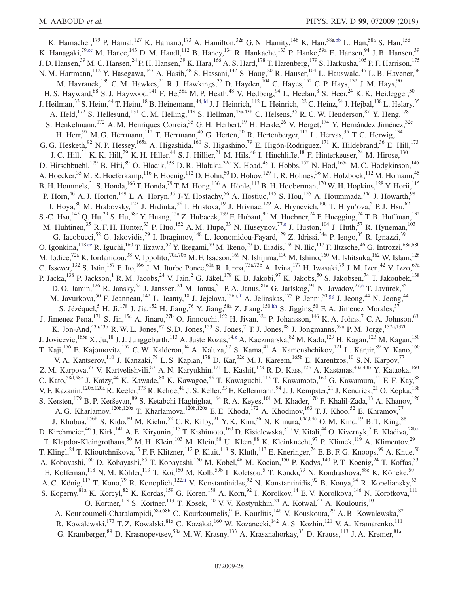<span id="page-27-6"></span><span id="page-27-5"></span><span id="page-27-4"></span><span id="page-27-3"></span><span id="page-27-2"></span><span id="page-27-1"></span><span id="page-27-0"></span>K. Hamacher,<sup>179</sup> P. Hamal,<sup>127</sup> K. Hamano,<sup>173</sup> A. Hamilton,<sup>32a</sup> G. N. Hamity,<sup>146</sup> K. Han,<sup>58a[,bb](#page-37-7)</sup> L. Han,<sup>58a</sup> S. Han,<sup>15d</sup> K. Hanagaki,<sup>79[,cc](#page-37-8)</sup> M. Hance,<sup>143</sup> D. M. Handl,<sup>112</sup> B. Haney,<sup>134</sup> R. Hankache,<sup>133</sup> P. Hanke,<sup>59a</sup> E. Hansen,<sup>94</sup> J. B. Hansen,<sup>39</sup> J. D. Hansen,<sup>39</sup> M. C. Hansen,<sup>24</sup> P. H. Hansen,<sup>39</sup> K. Hara,<sup>166</sup> A. S. Hard,<sup>178</sup> T. Harenberg,<sup>179</sup> S. Harkusha,<sup>105</sup> P. F. Harrison,<sup>175</sup> N. M. Hartmann,  $^{112}$  Y. Hasegawa,  $^{147}$  A. Hasib,  $^{48}$  S. Hassani,  $^{142}$  S. Haug,  $^{20}$  R. Hauser,  $^{104}$  L. Hauswald,  $^{46}$  L. B. Havener,  $^{38}$ M. Havranek,<sup>139</sup> C. M. Hawkes,<sup>21</sup> R. J. Hawkings,<sup>35</sup> D. Hayden,<sup>104</sup> C. Hayes,<sup>152</sup> C. P. Hays,<sup>132</sup> J. M. Hays,<sup>90</sup> H. S. Hayward,<sup>88</sup> S. J. Haywood,<sup>141</sup> F. He,<sup>58a</sup> M. P. Heath,<sup>48</sup> V. Hedberg,<sup>94</sup> L. Heelan,<sup>8</sup> S. Heer,<sup>24</sup> K. K. Heidegger,<sup>50</sup> J. Heilman,<sup>33</sup> S. Heim,<sup>44</sup> T. Heim,<sup>18</sup> B. Heinemann,<sup>4[4,dd](#page-37-9)</sup> J. J. Heinrich,<sup>112</sup> L. Heinrich,<sup>122</sup> C. Heinz,<sup>54</sup> J. Hejbal,<sup>138</sup> L. Helary,<sup>35</sup> A. Held,<sup>172</sup> S. Hellesund,<sup>131</sup> C. M. Helling,<sup>143</sup> S. Hellman,<sup>43a,43b</sup> C. Helsens,<sup>35</sup> R. C. W. Henderson,<sup>87</sup> Y. Heng,<sup>178</sup> S. Henkelmann,<sup>172</sup> A.M. Henriques Correia,<sup>35</sup> G.H. Herbert,<sup>19</sup> H. Herde,<sup>26</sup> V. Herget,<sup>174</sup> Y. Hernández Jiménez,<sup>32c</sup> H. Herr,<sup>97</sup> M. G. Herrmann,<sup>112</sup> T. Herrmann,<sup>46</sup> G. Herten,<sup>50</sup> R. Hertenberger,<sup>112</sup> L. Hervas,<sup>35</sup> T. C. Herwig,<sup>134</sup> G. G. Hesketh,  $92$  N. P. Hessey,  $165a$  A. Higashida,  $160$  S. Higashino,  $79$  E. Higón-Rodriguez,  $171$  K. Hildebrand,  $36$  E. Hill,  $173$ J. C. Hill,<sup>31</sup> K. K. Hill,<sup>29</sup> K. H. Hiller,<sup>44</sup> S. J. Hillier,<sup>21</sup> M. Hils,<sup>46</sup> I. Hinchliffe,<sup>18</sup> F. Hinterkeuser,<sup>24</sup> M. Hirose,<sup>130</sup> D. Hirschbuehl,<sup>179</sup> B. Hiti,<sup>89</sup> O. Hladik,<sup>138</sup> D. R. Hlaluku,<sup>32c</sup> X. Hoad,<sup>48</sup> J. Hobbs,<sup>152</sup> N. Hod,<sup>165a</sup> M. C. Hodgkinson,<sup>146</sup> A. Hoecker,<sup>35</sup> M. R. Hoeferkamp,<sup>116</sup> F. Hoenig,<sup>112</sup> D. Hohn,<sup>50</sup> D. Hohov,<sup>129</sup> T. R. Holmes,<sup>36</sup> M. Holzbock,<sup>112</sup> M. Homann,<sup>45</sup> B. H. Hommels,<sup>31</sup> S. Honda,<sup>166</sup> T. Honda,<sup>79</sup> T. M. Hong,<sup>136</sup> A. Hönle,<sup>113</sup> B. H. Hooberman,<sup>170</sup> W. H. Hopkins,<sup>128</sup> Y. Horii,<sup>115</sup> P. Horn,<sup>46</sup> A. J. Horton,<sup>149</sup> L. A. Horyn,<sup>36</sup> J-Y. Hostachy,<sup>56</sup> A. Hostiuc,<sup>145</sup> S. Hou,<sup>155</sup> A. Hoummada,<sup>34a</sup> J. Howarth,<sup>98</sup> J. Hoya, <sup>86</sup> M. Hrabovsky, <sup>127</sup> J. Hrdinka, <sup>35</sup> I. Hristova, <sup>19</sup> J. Hrivnac, <sup>129</sup> A. Hrynevich, <sup>106</sup> T. Hryn'ova, <sup>5</sup> P. J. Hsu, <sup>62</sup> S.-C. Hsu,<sup>145</sup> Q. Hu,<sup>29</sup> S. Hu,<sup>58c</sup> Y. Huang,<sup>15a</sup> Z. Hubacek,<sup>139</sup> F. Hubaut,<sup>99</sup> M. Huebner,<sup>24</sup> F. Huegging,<sup>24</sup> T. B. Huffman,<sup>132</sup> M. Huhtinen,<sup>35</sup> R. F. H. Hunter,<sup>33</sup> P. Huo,<sup>152</sup> A. M. Hupe,<sup>33</sup> N. Huseynov,<sup>7[7,e](#page-36-4)</sup> J. Huston,<sup>104</sup> J. Huth,<sup>57</sup> R. Hyneman,<sup>103</sup> G. Iacobucci,<sup>52</sup> G. Iakovidis,<sup>29</sup> I. Ibragimov,<sup>148</sup> L. Iconomidou-Fayard,<sup>129</sup> Z. Idrissi,<sup>34e</sup> P. Iengo,<sup>35</sup> R. Ignazzi,<sup>39</sup> O. Igonkina, <sup>11[8,ee](#page-37-10)</sup> R. Iguchi, <sup>160</sup> T. Iizawa, <sup>52</sup> Y. Ikegami, <sup>79</sup> M. Ikeno, <sup>79</sup> D. Iliadis, <sup>159</sup> N. Ilic, <sup>117</sup> F. Iltzsche, <sup>46</sup> G. Introzzi, <sup>68a, 68b</sup> M. Iodice,<sup>72a</sup> K. Iordanidou,<sup>38</sup> V. Ippolito,<sup>70a,70b</sup> M. F. Isacson,<sup>169</sup> N. Ishijima,<sup>130</sup> M. Ishino,<sup>160</sup> M. Ishitsuka,<sup>162</sup> W. Islam,<sup>126</sup> C. Issever,<sup>132</sup> S. Istin,<sup>157</sup> F. Ito,<sup>166</sup> J. M. Iturbe Ponce,<sup>61a</sup> R. Iuppa,<sup>73a,73b</sup> A. Ivina,<sup>177</sup> H. Iwasaki,<sup>79</sup> J. M. Izen,<sup>42</sup> V. Izzo,<sup>67a</sup> P. Jacka,<sup>138</sup> P. Jackson,<sup>1</sup> R. M. Jacobs,<sup>24</sup> V. Jain,<sup>2</sup> G. Jäkel,<sup>179</sup> K. B. Jakobi,<sup>97</sup> K. Jakobs,<sup>50</sup> S. Jakobsen,<sup>74</sup> T. Jakoubek,<sup>138</sup> D. O. Jamin,<sup>126</sup> R. Jansky,<sup>52</sup> J. Janssen,<sup>24</sup> M. Janus,<sup>51</sup> P. A. Janus,<sup>81a</sup> G. Jarlskog,<sup>94</sup> N. Javadov,<sup>7[7,e](#page-36-4)</sup> T. Javůrek,<sup>35</sup> M. Javurkova,<sup>50</sup> F. Jeanneau,<sup>142</sup> L. Jeanty,<sup>18</sup> J. Jejelava,<sup>156[a,ff](#page-37-11)</sup> A. Jelinskas,<sup>175</sup> P. Jenni,<sup>50[,gg](#page-37-12)</sup> J. Jeong,<sup>44</sup> N. Jeong,<sup>44</sup> S. Jézéquel,<sup>5</sup> H. Ji,<sup>178</sup> J. Jia,<sup>152</sup> H. Jiang,<sup>76</sup> Y. Jiang,<sup>58a</sup> Z. Jiang,<sup>150[,hh](#page-37-13)</sup> S. Jiggins,<sup>50</sup> F. A. Jimenez Morales,<sup>37</sup> J. Jimenez Pena, <sup>171</sup> S. Jin, <sup>15c</sup> A. Jinaru, <sup>27b</sup> O. Jinnouchi, <sup>162</sup> H. Jivan, <sup>32c</sup> P. Johansson, <sup>146</sup> K. A. Johns, <sup>7</sup> C. A. Johnson, <sup>63</sup> K. Jon-And,<sup>43a,43b</sup> R. W. L. Jones,<sup>87</sup> S. D. Jones,<sup>153</sup> S. Jones,<sup>7</sup> T. J. Jones,<sup>88</sup> J. Jongmanns,<sup>59a</sup> P. M. Jorge,<sup>137a,137b</sup> J. Jovicevic,<sup>165a</sup> X. Ju,<sup>18</sup> J. J. Junggeburth,<sup>113</sup> A. Juste Rozas,<sup>1[4,z](#page-37-5)</sup> A. Kaczmarska,<sup>82</sup> M. Kado,<sup>129</sup> H. Kagan,<sup>123</sup> M. Kagan,<sup>150</sup> T. Kaji,<sup>176</sup> E. Kajomovitz,<sup>157</sup> C. W. Kalderon,<sup>94</sup> A. Kaluza,<sup>97</sup> S. Kama,<sup>41</sup> A. Kamenshchikov,<sup>121</sup> L. Kanjir,<sup>89</sup> Y. Kano,<sup>160</sup> V. A. Kantserov,<sup>110</sup> J. Kanzaki,<sup>79</sup> L. S. Kaplan,<sup>178</sup> D. Kar,<sup>32c</sup> M. J. Kareem,<sup>165b</sup> E. Karentzos,<sup>10</sup> S. N. Karpov,<sup>77</sup> Z. M. Karpova,<sup>77</sup> V. Kartvelishvili,<sup>87</sup> A. N. Karyukhin,<sup>121</sup> L. Kashif,<sup>178</sup> R. D. Kass,<sup>123</sup> A. Kastanas,<sup>43a,43b</sup> Y. Kataoka,<sup>160</sup> C. Kato,<sup>58d,58c</sup> J. Katzy,<sup>44</sup> K. Kawade,<sup>80</sup> K. Kawagoe,<sup>85</sup> T. Kawaguchi,<sup>115</sup> T. Kawamoto,<sup>160</sup> G. Kawamura,<sup>51</sup> E. F. Kay,<sup>88</sup> V. F. Kazanin,<sup>120b,120a</sup> R. Keeler,<sup>173</sup> R. Kehoe,<sup>41</sup> J. S. Keller,<sup>33</sup> E. Kellermann,<sup>94</sup> J. J. Kempster,<sup>21</sup> J. Kendrick,<sup>21</sup> O. Kepka,<sup>138</sup> S. Kersten,<sup>179</sup> B. P. Kerševan, <sup>89</sup> S. Ketabchi Haghighat, <sup>164</sup> R. A. Keyes, <sup>101</sup> M. Khader, <sup>170</sup> F. Khalil-Zada, <sup>13</sup> A. Khanov, <sup>126</sup> A. G. Kharlamov,<sup>120b,120a</sup> T. Kharlamova,<sup>120b,120a</sup> E. E. Khoda,<sup>172</sup> A. Khodinov,<sup>163</sup> T. J. Khoo,<sup>52</sup> E. Khramov,<sup>77</sup> J. Khubua,<sup>156b</sup> S. Kido,<sup>80</sup> M. Kiehn,<sup>52</sup> C. R. Kilby,<sup>91</sup> Y. K. Kim,<sup>36</sup> N. Kimura,<sup>64a,64c</sup> O. M. Kind,<sup>19</sup> B. T. King,<sup>88</sup> D. Kirchmeier,<sup>46</sup> J. Kirk,<sup>141</sup> A. E. Kiryunin,<sup>113</sup> T. Kishimoto,<sup>160</sup> D. Kisielewska,<sup>81a</sup> V. Kitali,<sup>44</sup> O. Kivernyk,<sup>5</sup> E. Kladiva,<sup>28[b,a](#page-36-0)</sup> T. Klapdor-Kleingrothaus,<sup>50</sup> M. H. Klein,<sup>103</sup> M. Klein,<sup>88</sup> U. Klein,<sup>88</sup> K. Kleinknecht,<sup>97</sup> P. Klimek,<sup>119</sup> A. Klimentov,<sup>29</sup> T. Klingl,<sup>24</sup> T. Klioutchnikova,<sup>35</sup> F. F. Klitzner,<sup>112</sup> P. Kluit,<sup>118</sup> S. Kluth,<sup>113</sup> E. Kneringer,<sup>74</sup> E. B. F. G. Knoops,<sup>99</sup> A. Knue,<sup>50</sup> A. Kobayashi,<sup>160</sup> D. Kobayashi,<sup>85</sup> T. Kobayashi,<sup>160</sup> M. Kobel,<sup>46</sup> M. Kocian,<sup>150</sup> P. Kodys,<sup>140</sup> P. T. Koenig,<sup>24</sup> T. Koffas,<sup>33</sup> E. Koffeman,<sup>118</sup> N. M. Köhler,<sup>113</sup> T. Koi,<sup>150</sup> M. Kolb,<sup>59b</sup> I. Koletsou,<sup>5</sup> T. Kondo,<sup>79</sup> N. Kondrashova,<sup>58c</sup> K. Köneke,<sup>50</sup> A. C. König,<sup>117</sup> T. Kono,<sup>79</sup> R. Konoplich,<sup>122[,ii](#page-37-14)</sup> V. Konstantinides,<sup>92</sup> N. Konstantinidis,<sup>92</sup> B. Konya,<sup>94</sup> R. Kopeliansky,<sup>63</sup> S. Koperny, <sup>81a</sup> K. Korcyl, <sup>82</sup> K. Kordas, <sup>159</sup> G. Koren, <sup>158</sup> A. Korn, <sup>92</sup> I. Korolkov, <sup>14</sup> E. V. Korolkova, <sup>146</sup> N. Korotkova, <sup>111</sup> O. Kortner,  $^{113}$  S. Kortner,  $^{113}$  T. Kosek,  $^{140}$  V. V. Kostyukhin,  $^{24}$  A. Kotwal,  $^{47}$  A. Koulouris,  $^{10}$ A. Kourkoumeli-Charalampidi,<sup>68a,68b</sup> C. Kourkoumelis,<sup>9</sup> E. Kourlitis,<sup>146</sup> V. Kouskoura,<sup>29</sup> A. B. Kowalewska,<sup>82</sup> R. Kowalewski,<sup>173</sup> T. Z. Kowalski,<sup>81a</sup> C. Kozakai,<sup>160</sup> W. Kozanecki,<sup>142</sup> A. S. Kozhin,<sup>121</sup> V. A. Kramarenko,<sup>111</sup> G. Kramberger,<sup>89</sup> D. Krasnopevtsev,<sup>58a</sup> M. W. Krasny,<sup>133</sup> A. Krasznahorkay,<sup>35</sup> D. Krauss,<sup>113</sup> J. A. Kremer,<sup>81a</sup>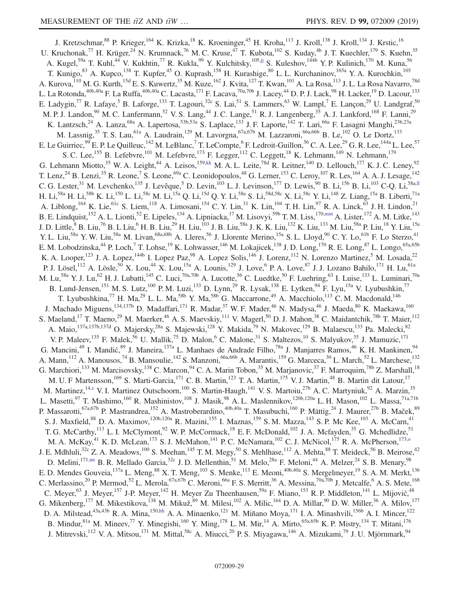<span id="page-28-4"></span><span id="page-28-3"></span><span id="page-28-2"></span><span id="page-28-1"></span><span id="page-28-0"></span>J. Kretzschmar,<sup>88</sup> P. Krieger,<sup>164</sup> K. Krizka,<sup>18</sup> K. Kroeninger,<sup>45</sup> H. Kroha,<sup>113</sup> J. Kroll,<sup>138</sup> J. Kroll,<sup>134</sup> J. Krstic,<sup>16</sup> U. Kruchonak,<sup>77</sup> H. Krüger,<sup>24</sup> N. Krumnack,<sup>76</sup> M. C. Kruse,<sup>47</sup> T. Kubota,<sup>102</sup> S. Kuday,<sup>4b</sup> J. T. Kuechler,<sup>179</sup> S. Kuehn,<sup>35</sup> A. Kugel,<sup>59a</sup> T. Kuhl,<sup>44</sup> V. Kukhtin,<sup>77</sup> R. Kukla,<sup>99</sup> Y. Kulchitsky,<sup>10[5,jj](#page-37-15)</sup> S. Kuleshov,<sup>144b</sup> Y. P. Kulinich,<sup>170</sup> M. Kuna,<sup>56</sup> T. Kunigo,<sup>83</sup> A. Kupco,<sup>138</sup> T. Kupfer,<sup>45</sup> O. Kuprash,<sup>158</sup> H. Kurashige,<sup>80</sup> L. L. Kurchaninov,<sup>165a</sup> Y. A. Kurochkin,<sup>105</sup> A. Kurova,<sup>110</sup> M. G. Kurth,<sup>15d</sup> E. S. Kuwertz,<sup>35</sup> M. Kuze,<sup>162</sup> J. Kvita,<sup>127</sup> T. Kwan,<sup>101</sup> A. La Rosa,<sup>113</sup> J. L. La Rosa Navarro,<sup>78d</sup> L. La Rotonda, $^{40b,40a}$  F. La Ruffa, $^{40b,40a}$  C. Lacasta, $^{171}$  F. Lacava, $^{70a,70b}$  J. Lacey, $^{44}$  D. P. J. Lack, $^{98}$  H. Lacker, $^{19}$  D. Lacour, $^{133}$ E. Ladygin,<sup>77</sup> R. Lafaye,<sup>5</sup> B. Laforge,<sup>133</sup> T. Lagouri,<sup>32c</sup> S. Lai,<sup>51</sup> S. Lammers,<sup>63</sup> W. Lampl,<sup>7</sup> E. Lançon,<sup>29</sup> U. Landgraf,<sup>50</sup> M. P. J. Landon,<sup>90</sup> M. C. Lanfermann,<sup>52</sup> V. S. Lang,<sup>44</sup> J. C. Lange,<sup>51</sup> R. J. Langenberg,<sup>35</sup> A. J. Lankford,<sup>168</sup> F. Lanni,<sup>29</sup> K. Lantzsch,<sup>24</sup> A. Lanza,<sup>68a</sup> A. Lapertosa,<sup>53b,53a</sup> S. Laplace,<sup>133</sup> J. F. Laporte,<sup>142</sup> T. Lari,<sup>66a</sup> F. Lasagni Manghi,<sup>23b,23a</sup> M. Lassnig,<sup>35</sup> T. S. Lau,<sup>61a</sup> A. Laudrain,<sup>129</sup> M. Lavorgna,<sup>67a,67b</sup> M. Lazzaroni,<sup>66a,66b</sup> B. Le,<sup>102</sup> O. Le Dortz,<sup>133</sup> E. Le Guirriec,  $^{99}$  E. P. Le Quilleuc,  $^{142}$  M. LeBlanc,  $^7$  T. LeCompte,  $^6$  F. Ledroit-Guillon,  $^{56}$  C. A. Lee,  $^{29}$  G. R. Lee,  $^{144a}$  L. Lee,  $^{57}$ S. C. Lee,<sup>155</sup> B. Lefebvre,<sup>101</sup> M. Lefebvre,<sup>173</sup> F. Legger,<sup>112</sup> C. Leggett,<sup>18</sup> K. Lehmann,<sup>149</sup> N. Lehmann,<sup>179</sup> G. Lehmann Miotto,<sup>35</sup> W. A. Leight,<sup>44</sup> A. Leisos,<sup>15[9,kk](#page-37-16)</sup> M. A. L. Leite,<sup>78d</sup> R. Leitner,<sup>140</sup> D. Lellouch,<sup>177</sup> K. J. C. Leney,<sup>92</sup> T. Lenz,<sup>24</sup> B. Lenzi,<sup>35</sup> R. Leone,<sup>7</sup> S. Leone,<sup>69a</sup> C. Leonidopoulos,<sup>48</sup> G. Lerner,<sup>153</sup> C. Leroy,<sup>107</sup> R. Les,<sup>164</sup> A. A. J. Lesage,<sup>142</sup> C. G. Lester,<sup>31</sup> M. Levchenko,<sup>135</sup> J. Levêque,<sup>5</sup> D. Levin,<sup>103</sup> L. J. Levinson,<sup>177</sup> D. Lewis,<sup>90</sup> B. Li,<sup>15b</sup> B. Li,<sup>103</sup> C-Q. Li,<sup>58[a,ll](#page-37-17)</sup> H. Li,<sup>58a</sup> H. Li,<sup>58b</sup> K. Li,<sup>150</sup> L. Li,<sup>58c</sup> M. Li,<sup>15a</sup> Q. Li,<sup>15d</sup> Q. Y. Li,<sup>58a</sup> S. Li,<sup>58d,58c</sup> X. Li,<sup>58c</sup> Y. Li,<sup>148</sup> Z. Liang,<sup>15a</sup> B. Liberti,<sup>71a</sup> A. Liblong,  $^{164}$  K. Lie,  $^{61c}$  S. Liem,  $^{118}$  A. Limosani,  $^{154}$  C. Y. Lin,  $^{31}$  K. Lin,  $^{104}$  T. H. Lin,  $^{97}$  R. A. Linck,  $^{63}$  J. H. Lindon,  $^{21}$ B. E. Lindquist,<sup>152</sup> A. L. Lionti,<sup>52</sup> E. Lipeles,<sup>134</sup> A. Lipniacka,<sup>17</sup> M. Lisovyi,<sup>59b</sup> T. M. Liss,<sup>170[,mm](#page-37-18)</sup> A. Lister,<sup>172</sup> A. M. Litke,<sup>143</sup> J. D. Little, <sup>8</sup> B. Liu, <sup>76</sup> B. L Liu, <sup>6</sup> H. B. Liu, <sup>29</sup> H. Liu, <sup>103</sup> J. B. Liu, <sup>58a</sup> J. K. K. Liu, <sup>132</sup> K. Liu, <sup>133</sup> M. Liu, <sup>58a</sup> P. Liu, <sup>18</sup> Y. Liu, <sup>15a</sup> Y. L. Liu,<sup>58a</sup> Y. W. Liu,<sup>58a</sup> M. Livan,<sup>68a,68b</sup> A. Lleres,<sup>56</sup> J. Llorente Merino,<sup>15a</sup> S. L. Lloyd,<sup>90</sup> C. Y. Lo,<sup>61b</sup> F. Lo Sterzo,<sup>41</sup> E. M. Lobodzinska,<sup>44</sup> P. Loch,<sup>7</sup> T. Lohse,<sup>19</sup> K. Lohwasser,<sup>146</sup> M. Lokajicek,<sup>138</sup> J. D. Long,<sup>170</sup> R. E. Long,<sup>87</sup> L. Longo,<sup>65a,65b</sup> K. A. Looper,<sup>123</sup> J. A. Lopez,<sup>144b</sup> I. Lopez Paz,<sup>98</sup> A. Lopez Solis,<sup>146</sup> J. Lorenz,<sup>112</sup> N. Lorenzo Martinez,<sup>5</sup> M. Losada,<sup>22</sup> P. J. Lösel,<sup>112</sup> A. Lösle,<sup>50</sup> X. Lou,<sup>44</sup> X. Lou,<sup>15a</sup> A. Lounis,<sup>129</sup> J. Love,<sup>6</sup> P. A. Love,<sup>87</sup> J. J. Lozano Bahilo,<sup>171</sup> H. Lu,<sup>61a</sup> M. Lu,<sup>58a</sup> Y. J. Lu,<sup>62</sup> H. J. Lubatti,<sup>145</sup> C. Luci,<sup>70a,70b</sup> A. Lucotte,<sup>56</sup> C. Luedtke,<sup>50</sup> F. Luehring,<sup>63</sup> I. Luise,<sup>133</sup> L. Luminari,<sup>70a</sup> B. Lund-Jensen,<sup>151</sup> M. S. Lutz,<sup>100</sup> P. M. Luzi,<sup>133</sup> D. Lynn,<sup>29</sup> R. Lysak,<sup>138</sup> E. Lytken,<sup>94</sup> F. Lyu,<sup>15a</sup> V. Lyubushkin,<sup>77</sup> T. Lyubushkina,<sup>77</sup> H. Ma,<sup>29</sup> L. L. Ma,<sup>58b</sup> Y. Ma,<sup>58b</sup> G. Maccarrone,<sup>49</sup> A. Macchiolo,<sup>113</sup> C. M. Macdonald,<sup>146</sup> J. Machado Miguens,<sup>134,137b</sup> D. Madaffari,<sup>171</sup> R. Madar,<sup>37</sup> W. F. Mader,<sup>46</sup> N. Madysa,<sup>46</sup> J. Maeda,<sup>80</sup> K. Maekawa,<sup>160</sup> S. Maeland,<sup>17</sup> T. Maeno,<sup>29</sup> M. Maerker,<sup>46</sup> A. S. Maevskiy,<sup>111</sup> V. Magerl,<sup>50</sup> D. J. Mahon,<sup>38</sup> C. Maidantchik,<sup>78b</sup> T. Maier,<sup>112</sup> A. Maio,<sup>137a,137b,137d</sup> O. Majersky,<sup>28a</sup> S. Majewski,<sup>128</sup> Y. Makida,<sup>79</sup> N. Makovec,<sup>129</sup> B. Malaescu,<sup>133</sup> Pa. Malecki,<sup>82</sup> V. P. Maleev,<sup>135</sup> F. Malek,<sup>56</sup> U. Mallik,<sup>75</sup> D. Malon,<sup>6</sup> C. Malone,<sup>31</sup> S. Maltezos,<sup>10</sup> S. Malyukov,<sup>35</sup> J. Mamuzic,<sup>171</sup> G. Mancini,<sup>49</sup> I. Mandić,<sup>89</sup> J. Maneira,<sup>137a</sup> L. Manhaes de Andrade Filho,<sup>78a</sup> J. Manjarres Ramos,<sup>46</sup> K. H. Mankinen,<sup>94</sup> A. Mann,<sup>112</sup> A. Manousos,<sup>74</sup> B. Mansoulie,<sup>142</sup> S. Manzoni,<sup>66a,66b</sup> A. Marantis,<sup>159</sup> G. Marceca,<sup>30</sup> L. March,<sup>52</sup> L. Marchese,<sup>132</sup> G. Marchiori,<sup>133</sup> M. Marcisovsky,<sup>138</sup> C. Marcon,<sup>94</sup> C. A. Marin Tobon,<sup>35</sup> M. Marjanovic,<sup>37</sup> F. Marroquim,<sup>78b</sup> Z. Marshall,<sup>18</sup> M. U. F Martensson,<sup>169</sup> S. Marti-Garcia,<sup>171</sup> C. B. Martin,<sup>123</sup> T. A. Martin,<sup>175</sup> V. J. Martin,<sup>48</sup> B. Martin dit Latour,<sup>17</sup> M. Martinez,<sup>14[,z](#page-37-5)</sup> V. I. Martinez Outschoorn,<sup>100</sup> S. Martin-Haugh,<sup>141</sup> V. S. Martoiu,<sup>27b</sup> A. C. Martyniuk,<sup>92</sup> A. Marzin,<sup>35</sup> L. Masetti,<sup>97</sup> T. Mashimo,<sup>160</sup> R. Mashinistov,<sup>108</sup> J. Masik,<sup>98</sup> A. L. Maslennikov,<sup>120b,120a</sup> L. H. Mason,<sup>102</sup> L. Massa,<sup>71a,71b</sup> P. Massarotti,<sup>67a,67b</sup> P. Mastrandrea,<sup>152</sup> A. Mastroberardino,<sup>40b,40a</sup> T. Masubuchi,<sup>160</sup> P. Mättig,<sup>24</sup> J. Maurer,<sup>27b</sup> B. Maček,<sup>89</sup> S. J. Maxfield,<sup>88</sup> D. A. Maximov,<sup>120b,120a</sup> R. Mazini,<sup>155</sup> I. Maznas,<sup>159</sup> S. M. Mazza,<sup>143</sup> S. P. Mc Kee,<sup>103</sup> A. McCarn,<sup>41</sup> T. G. McCarthy,<sup>113</sup> L. I. McClymont,<sup>92</sup> W. P. McCormack,<sup>18</sup> E. F. McDonald,<sup>102</sup> J. A. Mcfayden,<sup>35</sup> G. Mchedlidze,<sup>51</sup> M. A. McKay,<sup>41</sup> K. D. McLean,<sup>173</sup> S. J. McMahon,<sup>141</sup> P. C. McNamara,<sup>102</sup> C. J. McNicol,<sup>175</sup> R. A. McPherson,<sup>173,0</sup> J. E. Mdhluli,<sup>32c</sup> Z. A. Meadows,<sup>100</sup> S. Meehan,<sup>145</sup> T. M. Megy,<sup>50</sup> S. Mehlhase,<sup>112</sup> A. Mehta,<sup>88</sup> T. Meideck,<sup>56</sup> B. Meirose,<sup>42</sup> D. Melini,<sup>171[,nn](#page-37-19)</sup> B. R. Mellado Garcia,<sup>32c</sup> J. D. Mellenthin,<sup>51</sup> M. Melo,<sup>28a</sup> F. Meloni,<sup>44</sup> A. Melzer,<sup>24</sup> S. B. Menary,<sup>98</sup> E. D. Mendes Gouveia, <sup>137a</sup> L. Meng, <sup>88</sup> X. T. Meng, <sup>103</sup> S. Menke, <sup>113</sup> E. Meoni, <sup>40b, 40a</sup> S. Mergelmeyer, <sup>19</sup> S. A. M. Merkt, <sup>136</sup> C. Merlassino,<sup>20</sup> P. Mermod,<sup>52</sup> L. Merola,<sup>67a,67b</sup> C. Meroni,<sup>66a</sup> F. S. Merritt,<sup>36</sup> A. Messina,<sup>70a,70b</sup> J. Metcalfe,<sup>6</sup> A. S. Mete,<sup>168</sup> C. Meyer,<sup>63</sup> J. Meyer,<sup>157</sup> J-P. Meyer,<sup>142</sup> H. Meyer Zu Theenhausen,<sup>59a</sup> F. Miano,<sup>153</sup> R. P. Middleton,<sup>141</sup> L. Mijović,<sup>48</sup> G. Mikenberg, <sup>177</sup> M. Mikestikova, <sup>138</sup> M. Mikuž, <sup>89</sup> M. Milesi, <sup>102</sup> A. Milic, <sup>164</sup> D. A. Millar, <sup>90</sup> D. W. Miller, <sup>36</sup> A. Milov, <sup>177</sup> D. A. Milstead,<sup>43a,43b</sup> R. A. Mina,<sup>150[,hh](#page-37-13)</sup> A. A. Minaenko,<sup>121</sup> M. Miñano Moya,<sup>171</sup> I. A. Minashvili,<sup>156b</sup> A. I. Mincer,<sup>122</sup> B. Mindur, <sup>81a</sup> M. Mineev, <sup>77</sup> Y. Minegishi, <sup>160</sup> Y. Ming, <sup>178</sup> L. M. Mir, <sup>14</sup> A. Mirto, <sup>65a, 65b</sup> K. P. Mistry, <sup>134</sup> T. Mitani, <sup>176</sup> J. Mitrevski,<sup>112</sup> V. A. Mitsou,<sup>171</sup> M. Mittal,<sup>58c</sup> A. Miucci,<sup>20</sup> P. S. Miyagawa,<sup>146</sup> A. Mizukami,<sup>79</sup> J. U. Mjörnmark,<sup>94</sup>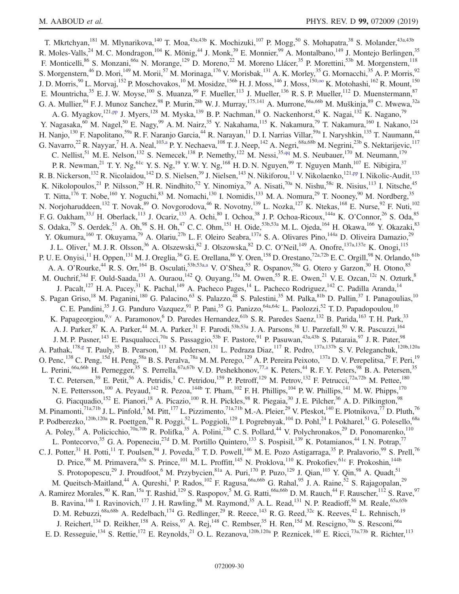<span id="page-29-2"></span><span id="page-29-1"></span><span id="page-29-0"></span>T. Mkrtchyan,<sup>181</sup> M. Mlynarikova,<sup>140</sup> T. Moa,<sup>43a,43b</sup> K. Mochizuki,<sup>107</sup> P. Mogg,<sup>50</sup> S. Mohapatra,<sup>38</sup> S. Molander,<sup>43a,43b</sup> R. Moles-Valls,<sup>24</sup> M. C. Mondragon,<sup>104</sup> K. Mönig,<sup>44</sup> J. Monk,<sup>39</sup> E. Monnier,<sup>99</sup> A. Montalbano,<sup>149</sup> J. Montejo Berlingen,<sup>35</sup> F. Monticelli,<sup>86</sup> S. Monzani,<sup>66a</sup> N. Morange,<sup>129</sup> D. Moreno,<sup>22</sup> M. Moreno Llácer,<sup>35</sup> P. Morettini,<sup>53b</sup> M. Morgenstern,<sup>118</sup> S. Morgenstern,<sup>46</sup> D. Mori,<sup>149</sup> M. Morii,<sup>57</sup> M. Morinaga,<sup>176</sup> V. Morisbak,<sup>131</sup> A. K. Morley,<sup>35</sup> G. Mornacchi,<sup>35</sup> A. P. Morris,<sup>92</sup> J. D. Morris,<sup>90</sup> L. Morvaj,<sup>152</sup> P. Moschovakos,<sup>10</sup> M. Mosidze,<sup>156b</sup> H. J. Moss,<sup>146</sup> J. Moss,<sup>150,00</sup> K. Motohashi,<sup>162</sup> R. Mount,<sup>150</sup> E. Mountricha,  $35$  E. J. W. Moyse,  $100$  S. Muanza,  $99$  F. Mueller,  $113$  J. Mueller,  $136$  R. S. P. Mueller,  $112$  D. Muenstermann,  $87$ G. A. Mullier, <sup>94</sup> F. J. Munoz Sanchez, <sup>98</sup> P. Murin, <sup>28b</sup> W. J. Murray, <sup>175,141</sup> A. Murrone, <sup>66a, 66b</sup> M. Muškinja, <sup>89</sup> C. Mwewa, <sup>32a</sup> A. G. Myagkov,<sup>12[1,pp](#page-37-21)</sup> J. Myers,<sup>128</sup> M. Myska,<sup>139</sup> B. P. Nachman,<sup>18</sup> O. Nackenhorst,<sup>45</sup> K. Nagai,<sup>132</sup> K. Nagano,<sup>79</sup> Y. Nagasaka,<sup>60</sup> M. Nagel,<sup>50</sup> E. Nagy,<sup>99</sup> A. M. Nairz,<sup>35</sup> Y. Nakahama,<sup>115</sup> K. Nakamura,<sup>79</sup> T. Nakamura,<sup>160</sup> I. Nakano,<sup>124</sup> H. Nanjo,<sup>130</sup> F. Napolitano,<sup>59a</sup> R. F. Naranjo Garcia,<sup>44</sup> R. Narayan,<sup>11</sup> D. I. Narrias Villar,<sup>59a</sup> I. Naryshkin,<sup>135</sup> T. Naumann,<sup>44</sup> G. Navarro,<sup>22</sup> R. Nayyar,<sup>7</sup> H. A. Neal,<sup>103[,a](#page-36-0)</sup> P. Y. Nechaeva,<sup>108</sup> T. J. Neep,<sup>142</sup> A. Negri,<sup>68a,68b</sup> M. Negrini,<sup>23b</sup> S. Nektarijevic,<sup>117</sup> C. Nellist,<sup>51</sup> M. E. Nelson,<sup>132</sup> S. Nemecek,<sup>138</sup> P. Nemethy,<sup>122</sup> M. Nessi,<sup>3[5,qq](#page-37-22)</sup> M. S. Neubauer,<sup>170</sup> M. Neumann,<sup>179</sup> P. R. Newman,<sup>21</sup> T. Y. Ng,<sup>61c</sup> Y. S. Ng,<sup>19</sup> Y. W. Y. Ng,<sup>168</sup> H. D. N. Nguyen,<sup>99</sup> T. Nguyen Manh,<sup>107</sup> E. Nibigira,<sup>37</sup> R. B. Nickerson,<sup>132</sup> R. Nicolaidou,<sup>142</sup> D. S. Nielsen,<sup>39</sup> J. Nielsen,<sup>143</sup> N. Nikiforou,<sup>11</sup> V. Nikolaenko,<sup>12[1,pp](#page-37-21)</sup> I. Nikolic-Audit,<sup>133</sup> K. Nikolopoulos,<sup>21</sup> P. Nilsson,<sup>29</sup> H. R. Nindhito,<sup>52</sup> Y. Ninomiya,<sup>79</sup> A. Nisati,<sup>70a</sup> N. Nishu,<sup>58c</sup> R. Nisius,<sup>113</sup> I. Nitsche,<sup>45</sup> T. Nitta,<sup>176</sup> T. Nobe,<sup>160</sup> Y. Noguchi,<sup>83</sup> M. Nomachi,<sup>130</sup> I. Nomidis,<sup>133</sup> M. A. Nomura,<sup>29</sup> T. Nooney,<sup>90</sup> M. Nordberg,<sup>35</sup> N. Norjoharuddeen,<sup>132</sup> T. Novak,<sup>89</sup> O. Novgorodova,<sup>46</sup> R. Novotny,<sup>139</sup> L. Nozka,<sup>127</sup> K. Ntekas,<sup>168</sup> E. Nurse,<sup>92</sup> F. Nuti,<sup>102</sup> F. G. Oakham,  $33,15$  H. Oberlack,  $113$  J. Ocariz,  $133$  A. Ochi,  $80$  I. Ochoa,  $38$  J. P. Ochoa-Ricoux,  $144a$  K. O'Connor,  $26$  S. Oda,  $85$ S. Odaka,  $^{79}$  S. Oerdek,  $^{51}$  A. Oh,  $^{98}$  S. H. Oh,  $^{47}$  C. C. Ohm,  $^{151}$  H. Oide,  $^{53b,53a}$  M. L. Ojeda,  $^{164}$  H. Okawa,  $^{166}$  Y. Okazaki,  $^{83}$ Y. Okumura,<sup>160</sup> T. Okuyama,<sup>79</sup> A. Olariu,<sup>27b</sup> L. F. Oleiro Seabra,<sup>137a</sup> S. A. Olivares Pino,<sup>144a</sup> D. Oliveira Damazio,<sup>29</sup> J. L. Oliver,<sup>1</sup> M. J. R. Olsson,<sup>36</sup> A. Olszewski,<sup>82</sup> J. Olszowska,<sup>82</sup> D. C. O'Neil,<sup>149</sup> A. Onofre,<sup>137a,137e</sup> K. Onogi,<sup>115</sup> P. U. E. Onyisi,<sup>11</sup> H. Oppen,<sup>131</sup> M. J. Oreglia,<sup>36</sup> G. E. Orellana,<sup>86</sup> Y. Oren,<sup>158</sup> D. Orestano,<sup>72a,72b</sup> E. C. Orgill,<sup>98</sup> N. Orlando,<sup>61b</sup> A. A. O'Rourke,<sup>44</sup> R. S. Orr,<sup>164</sup> B. Osculati,<sup>53b,53a[,a](#page-36-0)</sup> V. O'Shea,<sup>55</sup> R. Ospanov,<sup>58a</sup> G. Otero y Garzon,<sup>30</sup> H. Otono,<sup>85</sup> M. Ouchrif,<sup>34d</sup> F. Ould-Saada,<sup>131</sup> A. Ouraou,<sup>142</sup> Q. Ouyang,<sup>15a</sup> M. Owen,<sup>55</sup> R. E. Owen,<sup>21</sup> V. E. Ozcan,<sup>12c</sup> N. Ozturk,<sup>8</sup> J. Pacalt,<sup>127</sup> H. A. Pacey,<sup>31</sup> K. Pachal,<sup>149</sup> A. Pacheco Pages,<sup>14</sup> L. Pacheco Rodriguez,<sup>142</sup> C. Padilla Aranda,<sup>14</sup> S. Pagan Griso,<sup>18</sup> M. Paganini,<sup>180</sup> G. Palacino,<sup>63</sup> S. Palazzo,<sup>48</sup> S. Palestini,<sup>35</sup> M. Palka,<sup>81b</sup> D. Pallin,<sup>37</sup> I. Panagoulias,<sup>10</sup> C. E. Pandini,<sup>35</sup> J. G. Panduro Vazquez,<sup>91</sup> P. Pani,<sup>35</sup> G. Panizzo,<sup>64a,64c</sup> L. Paolozzi,<sup>52</sup> T. D. Papadopoulou,<sup>10</sup> K. Papageorgiou,<sup>9[,v](#page-37-1)</sup> A. Paramonov,<sup>6</sup> D. Paredes Hernandez,<sup>61b</sup> S. R. Paredes Saenz,<sup>132</sup> B. Parida,<sup>163</sup> T. H. Park,<sup>33</sup> A. J. Parker,<sup>87</sup> K. A. Parker,<sup>44</sup> M. A. Parker,<sup>31</sup> F. Parodi,<sup>53b,53a</sup> J. A. Parsons,<sup>38</sup> U. Parzefall,<sup>50</sup> V. R. Pascuzzi,<sup>164</sup> J. M. P. Pasner,<sup>143</sup> E. Pasqualucci,<sup>70a</sup> S. Passaggio,<sup>53b</sup> F. Pastore,<sup>91</sup> P. Pasuwan,<sup>43a,43b</sup> S. Pataraia,<sup>97</sup> J. R. Pater,<sup>98</sup> A. Pathak,<sup>178[,g](#page-36-6)</sup> T. Pauly,<sup>35</sup> B. Pearson,<sup>113</sup> M. Pedersen,<sup>131</sup> L. Pedraza Diaz,<sup>117</sup> R. Pedro,<sup>137a,137b</sup> S. V. Peleganchuk,<sup>120b,120a</sup> O. Penc,<sup>138</sup> C. Peng,<sup>15d</sup> H. Peng,<sup>58a</sup> B. S. Peralva,<sup>78a</sup> M. M. Perego,<sup>129</sup> A. P. Pereira Peixoto,<sup>137a</sup> D. V. Perepelitsa,<sup>29</sup> F. Peri,<sup>19</sup> L. Perini,<sup>66a,66b</sup> H. Pernegger,<sup>35</sup> S. Perrella,<sup>67a,67b</sup> V. D. Peshekhonov,<sup>77[,a](#page-36-0)</sup> K. Peters,<sup>44</sup> R. F. Y. Peters,<sup>98</sup> B. A. Petersen,<sup>35</sup> T. C. Petersen,<sup>39</sup> E. Petit,<sup>56</sup> A. Petridis,<sup>1</sup> C. Petridou,<sup>159</sup> P. Petroff,<sup>129</sup> M. Petrov,<sup>132</sup> F. Petrucci,<sup>72a,72b</sup> M. Pettee,<sup>180</sup> N. E. Pettersson,<sup>100</sup> A. Peyaud,<sup>142</sup> R. Pezoa,<sup>144b</sup> T. Pham,<sup>102</sup> F. H. Phillips,<sup>104</sup> P. W. Phillips,<sup>141</sup> M. W. Phipps,<sup>170</sup> G. Piacquadio, <sup>152</sup> E. Pianori, <sup>18</sup> A. Picazio, <sup>100</sup> R. H. Pickles, <sup>98</sup> R. Piegaia, <sup>30</sup> J. E. Pilcher, <sup>36</sup> A. D. Pilkington, <sup>98</sup> M. Pinamonti,<sup>71a,71b</sup> J. L. Pinfold,<sup>3</sup> M. Pitt,<sup>177</sup> L. Pizzimento,<sup>71a,71b</sup> M.-A. Pleier,<sup>29</sup> V. Pleskot,<sup>140</sup> E. Plotnikova,<sup>77</sup> D. Pluth,<sup>76</sup> P. Podberezko,<sup>120b,120a</sup> R. Poettgen,<sup>94</sup> R. Poggi,<sup>52</sup> L. Poggioli,<sup>129</sup> I. Pogrebnyak,<sup>104</sup> D. Pohl,<sup>24</sup> I. Pokharel,<sup>51</sup> G. Polesello,<sup>68a</sup> A. Poley,<sup>18</sup> A. Policicchio,<sup>70a,70b</sup> R. Polifka,<sup>35</sup> A. Polini,<sup>23b</sup> C. S. Pollard,<sup>44</sup> V. Polychronakos,<sup>29</sup> D. Ponomarenko,<sup>110</sup> L. Pontecorvo,<sup>35</sup> G. A. Popeneciu,<sup>27d</sup> D. M. Portillo Quintero,<sup>133</sup> S. Pospisil,<sup>139</sup> K. Potamianos,<sup>44</sup> I. N. Potrap,<sup>77</sup> C. J. Potter,<sup>31</sup> H. Potti,<sup>11</sup> T. Poulsen,<sup>94</sup> J. Poveda,<sup>35</sup> T. D. Powell,<sup>146</sup> M. E. Pozo Astigarraga,<sup>35</sup> P. Pralavorio,<sup>99</sup> S. Prell,<sup>76</sup> D. Price,<sup>98</sup> M. Primavera,<sup>65a</sup> S. Prince,<sup>101</sup> M. L. Proffitt,<sup>145</sup> N. Proklova,<sup>110</sup> K. Prokofiev,<sup>61c</sup> F. Prokoshin,<sup>144b</sup> S. Protopopescu,<sup>29</sup> J. Proudfoot,<sup>6</sup> M. Przybycien,<sup>81a</sup> A. Puri,<sup>170</sup> P. Puzo,<sup>129</sup> J. Qian,<sup>103</sup> Y. Qin,<sup>98</sup> A. Quadt,<sup>51</sup> M. Queitsch-Maitland,<sup>44</sup> A. Qureshi,<sup>1</sup> P. Rados,<sup>102</sup> F. Ragusa,<sup>66a,66b</sup> G. Rahal,<sup>95</sup> J. A. Raine,<sup>52</sup> S. Rajagopalan,<sup>29</sup> A. Ramirez Morales,<sup>90</sup> K. Ran,<sup>15a</sup> T. Rashid,<sup>129</sup> S. Raspopov,<sup>5</sup> M. G. Ratti,<sup>66a,66b</sup> D. M. Rauch,<sup>44</sup> F. Rauscher,<sup>112</sup> S. Rave,<sup>97</sup> B. Ravina,<sup>146</sup> I. Ravinovich,<sup>177</sup> J. H. Rawling,<sup>98</sup> M. Raymond,<sup>35</sup> A. L. Read,<sup>131</sup> N. P. Readioff,<sup>56</sup> M. Reale,<sup>65a,65b</sup> D. M. Rebuzzi,<sup>68a,68b</sup> A. Redelbach,<sup>174</sup> G. Redlinger,<sup>29</sup> R. Reece,<sup>143</sup> R. G. Reed,<sup>32c</sup> K. Reeves,<sup>42</sup> L. Rehnisch,<sup>19</sup> J. Reichert,  $^{134}$  D. Reikher,  $^{158}$  A. Reiss,  $^{97}$  A. Rej,  $^{148}$  C. Rembser,  $^{35}$  H. Ren,  $^{15d}$  M. Rescigno,  $^{70a}$  S. Resconi,  $^{66a}$ E. D. Resseguie,<sup>134</sup> S. Rettie,<sup>172</sup> E. Reynolds,<sup>21</sup> O. L. Rezanova,<sup>120b,120a</sup> P. Reznicek,<sup>140</sup> E. Ricci,<sup>73a,73b</sup> R. Richter,<sup>113</sup>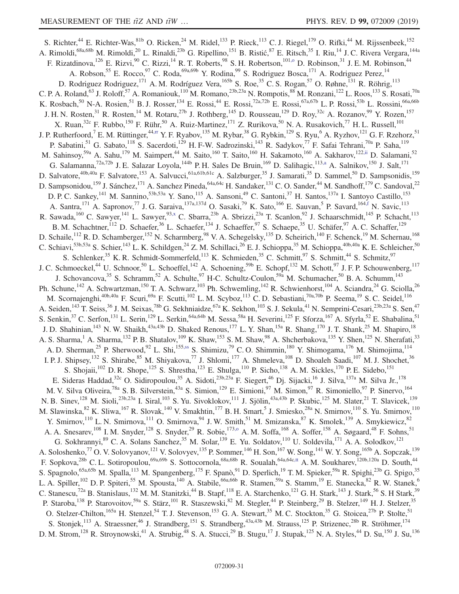<span id="page-30-2"></span><span id="page-30-1"></span><span id="page-30-0"></span>S. Richter,<sup>44</sup> E. Richter-Was,  $81b$  O. Ricken,  $24$  M. Ridel,  $133$  P. Rieck,  $113$  C. J. Riegel,  $179$  O. Rifki,  $44$  M. Rijssenbeek,  $152$ A. Rimoldi,<sup>68a,68b</sup> M. Rimoldi,<sup>20</sup> L. Rinaldi,<sup>23b</sup> G. Ripellino,<sup>151</sup> B. Ristić,<sup>87</sup> E. Ritsch,<sup>35</sup> I. Riu,<sup>14</sup> J. C. Rivera Vergara,<sup>144a</sup> F. Rizatdinova,<sup>126</sup> E. Rizvi,<sup>90</sup> C. Rizzi,<sup>14</sup> R. T. Roberts,<sup>98</sup> S. H. Robertson,<sup>101,0</sup> D. Robinson,<sup>31</sup> J. E. M. Robinson,<sup>44</sup> A. Robson, <sup>55</sup> E. Rocco, <sup>97</sup> C. Roda, <sup>69a, 69b</sup> Y. Rodina, <sup>99</sup> S. Rodriguez Bosca, <sup>171</sup> A. Rodriguez Perez, <sup>14</sup> D. Rodriguez Rodriguez,<sup>171</sup> A. M. Rodríguez Vera,<sup>165b</sup> S. Roe,<sup>35</sup> C. S. Rogan,<sup>57</sup> O. Røhne,<sup>131</sup> R. Röhrig,<sup>113</sup> C. P. A. Roland,<sup>63</sup> J. Roloff,<sup>57</sup> A. Romaniouk,<sup>110</sup> M. Romano,<sup>23b,23a</sup> N. Rompotis,<sup>88</sup> M. Ronzani,<sup>122</sup> L. Roos,<sup>133</sup> S. Rosati,<sup>70a</sup> K. Rosbach,<sup>50</sup> N-A. Rosien,<sup>51</sup> B. J. Rosser,<sup>134</sup> E. Rossi,<sup>44</sup> E. Rossi,<sup>72a,72b</sup> E. Rossi,<sup>67a,67b</sup> L. P. Rossi,<sup>53b</sup> L. Rossini,<sup>66a,66b</sup> J. H. N. Rosten,<sup>31</sup> R. Rosten,<sup>14</sup> M. Rotaru,<sup>27b</sup> J. Rothberg,<sup>145</sup> D. Rousseau,<sup>129</sup> D. Roy,<sup>32c</sup> A. Rozanov,<sup>99</sup> Y. Rozen,<sup>157</sup> X. Ruan,  $32c$  F. Rubbo,  $150$  F. Rühr,  $50$  A. Ruiz-Martinez,  $171$  Z. Rurikova,  $50$  N. A. Rusakovich,  $77$  H. L. Russell,  $101$ J. P. Rutherfoord,<sup>7</sup> E. M. Rüttinger,<sup>44[,rr](#page-37-23)</sup> Y. F. Ryabov,<sup>135</sup> M. Rybar,<sup>38</sup> G. Rybkin,<sup>129</sup> S. Ryu,<sup>6</sup> A. Ryzhov,<sup>121</sup> G. F. Rzehorz,<sup>51</sup> P. Sabatini,<sup>51</sup> G. Sabato,<sup>118</sup> S. Sacerdoti,<sup>129</sup> H. F-W. Sadrozinski,<sup>143</sup> R. Sadykov,<sup>77</sup> F. Safai Tehrani,<sup>70a</sup> P. Saha,<sup>119</sup> M. Sahinsoy,<sup>59a</sup> A. Sahu,<sup>179</sup> M. Saimpert,<sup>44</sup> M. Saito,<sup>160</sup> T. Saito,<sup>160</sup> H. Sakamoto,<sup>160</sup> A. Sakharov,<sup>122[,ii](#page-37-14)</sup> D. Salamani,<sup>52</sup> G. Salamanna,<sup>72a,72b</sup> J. E. Salazar Loyola,<sup>144b</sup> P. H. Sales De Bruin,<sup>169</sup> D. Salihagic,<sup>113[,a](#page-36-0)</sup> A. Salnikov,<sup>150</sup> J. Salt,<sup>171</sup> D. Salvatore,<sup>40b,40a</sup> F. Salvatore,<sup>153</sup> A. Salvucci,<sup>61a,61b,61c</sup> A. Salzburger,<sup>35</sup> J. Samarati,<sup>35</sup> D. Sammel,<sup>50</sup> D. Sampsonidis,<sup>159</sup> D. Sampsonidou,<sup>159</sup> J. Sánchez,<sup>171</sup> A. Sanchez Pineda,<sup>64a,64c</sup> H. Sandaker,<sup>131</sup> C. O. Sander,<sup>44</sup> M. Sandhoff,<sup>179</sup> C. Sandoval,<sup>22</sup> D. P. C. Sankey,<sup>141</sup> M. Sannino,<sup>53b,53a</sup> Y. Sano,<sup>115</sup> A. Sansoni,<sup>49</sup> C. Santoni,<sup>37</sup> H. Santos,<sup>137a</sup> I. Santoyo Castillo,<sup>153</sup> A. Santra,<sup>171</sup> A. Sapronov,<sup>77</sup> J. G. Saraiva,<sup>137a,137d</sup> O. Sasaki,<sup>79</sup> K. Sato,<sup>166</sup> E. Sauvan,<sup>5</sup> P. Savard,<sup>16[4,f](#page-36-5)</sup> N. Savic,<sup>113</sup> R. Sawada, <sup>160</sup> C. Sawyer, <sup>141</sup> L. Sawyer, <sup>9[3,x](#page-37-3)</sup> C. Sbarra, <sup>23b</sup> A. Sbrizzi, <sup>23a</sup> T. Scanlon, <sup>92</sup> J. Schaarschmidt, <sup>145</sup> P. Schacht, <sup>113</sup> B. M. Schachtner, <sup>112</sup> D. Schaefer, <sup>36</sup> L. Schaefer, <sup>134</sup> J. Schaeffer, <sup>97</sup> S. Schaepe, <sup>35</sup> U. Schäfer, <sup>97</sup> A. C. Schaffer, <sup>129</sup> D. Schaile,<sup>112</sup> R. D. Schamberger,<sup>152</sup> N. Scharmberg,<sup>98</sup> V. A. Schegelsky,<sup>135</sup> D. Scheirich,<sup>140</sup> F. Schenck,<sup>19</sup> M. Schernau,<sup>168</sup> C. Schiavi,<sup>53b,53a</sup> S. Schier,<sup>143</sup> L. K. Schildgen,<sup>24</sup> Z. M. Schillaci,<sup>26</sup> E. J. Schioppa,<sup>35</sup> M. Schioppa,<sup>40b,40a</sup> K. E. Schleicher,<sup>50</sup> S. Schlenker,<sup>35</sup> K. R. Schmidt-Sommerfeld,<sup>113</sup> K. Schmieden,<sup>35</sup> C. Schmitt,<sup>97</sup> S. Schmitt,<sup>44</sup> S. Schmitz,<sup>97</sup> J. C. Schmoeckel,<sup>44</sup> U. Schnoor,<sup>50</sup> L. Schoeffel,<sup>142</sup> A. Schoening,<sup>59b</sup> E. Schopf,<sup>132</sup> M. Schott,<sup>97</sup> J. F. P. Schouwenberg,<sup>117</sup> J. Schovancova,  $35$  S. Schramm,  $52$  A. Schulte,  $97$  H-C. Schultz-Coulon,  $59a$  M. Schumacher,  $50$  B. A. Schumm,  $143$ Ph. Schune,<sup>142</sup> A. Schwartzman,<sup>150</sup> T. A. Schwarz,<sup>103</sup> Ph. Schwemling,<sup>142</sup> R. Schwienhorst,<sup>104</sup> A. Sciandra,<sup>24</sup> G. Sciolla,<sup>26</sup> M. Scornajenghi,<sup>40b,40a</sup> F. Scuri,<sup>69a</sup> F. Scutti,<sup>102</sup> L.M. Scyboz,<sup>113</sup> C.D. Sebastiani,<sup>70a,70b</sup> P. Seema,<sup>19</sup> S.C. Seidel,<sup>116</sup> A. Seiden,<sup>143</sup> T. Seiss,<sup>36</sup> J. M. Seixas,<sup>78b</sup> G. Sekhniaidze,<sup>67a</sup> K. Sekhon,<sup>103</sup> S. J. Sekula,<sup>41</sup> N. Semprini-Cesari,<sup>23b,23a</sup> S. Sen,<sup>47</sup> S. Senkin,<sup>37</sup> C. Serfon,<sup>131</sup> L. Serin,<sup>129</sup> L. Serkin,<sup>64a,64b</sup> M. Sessa,<sup>58a</sup> H. Severini,<sup>125</sup> F. Sforza,<sup>167</sup> A. Sfyrla,<sup>52</sup> E. Shabalina,<sup>51</sup> J. D. Shahinian,<sup>143</sup> N. W. Shaikh,<sup>43a,43b</sup> D. Shaked Renous,<sup>177</sup> L. Y. Shan,<sup>15a</sup> R. Shang,<sup>170</sup> J. T. Shank,<sup>25</sup> M. Shapiro,<sup>18</sup> A. S. Sharma,<sup>1</sup> A. Sharma,<sup>132</sup> P. B. Shatalov,<sup>109</sup> K. Shaw,<sup>153</sup> S. M. Shaw,<sup>98</sup> A. Shcherbakova,<sup>135</sup> Y. Shen,<sup>125</sup> N. Sherafati,<sup>33</sup> A. D. Sherman,<sup>25</sup> P. Sherwood,<sup>92</sup> L. Shi,<sup>155[,ss](#page-37-24)</sup> S. Shimizu,<sup>79</sup> C. O. Shimmin,<sup>180</sup> Y. Shimogama,<sup>176</sup> M. Shimojima,<sup>114</sup> I. P. J. Shipsey,<sup>132</sup> S. Shirabe,<sup>85</sup> M. Shiyakova,<sup>77</sup> J. Shlomi,<sup>177</sup> A. Shmeleva,<sup>108</sup> D. Shoaleh Saadi,<sup>107</sup> M. J. Shochet,<sup>36</sup> S. Shojaii,<sup>102</sup> D. R. Shope,<sup>125</sup> S. Shrestha,<sup>123</sup> E. Shulga,<sup>110</sup> P. Sicho,<sup>138</sup> A. M. Sickles,<sup>170</sup> P. E. Sidebo,<sup>151</sup> E. Sideras Haddad,<sup>32c</sup> O. Sidiropoulou,<sup>35</sup> A. Sidoti,<sup>23b,23a</sup> F. Siegert,<sup>46</sup> Dj. Sijacki,<sup>16</sup> J. Silva,<sup>137a</sup> M. Silva Jr.,<sup>178</sup> M. V. Silva Oliveira,<sup>78a</sup> S. B. Silverstein,<sup>43a</sup> S. Simion,<sup>129</sup> E. Simioni,<sup>97</sup> M. Simon,<sup>97</sup> R. Simoniello,<sup>97</sup> P. Sinervo,<sup>164</sup> N. B. Sinev,<sup>128</sup> M. Sioli,<sup>23b,23a</sup> I. Siral,<sup>103</sup> S. Yu. Sivoklokov,<sup>111</sup> J. Sjölin,<sup>43a,43b</sup> P. Skubic,<sup>125</sup> M. Slater,<sup>21</sup> T. Slavicek,<sup>139</sup> M. Slawinska,  $82$  K. Sliwa,  $167$  R. Slovak,  $140$  V. Smakhtin,  $177$  B. H. Smart,  $5$  J. Smiesko,  $28a$  N. Smirnov,  $110$  S. Yu. Smirnov,  $110$ Y. Smirnov,<sup>110</sup> L. N. Smirnova,<sup>111</sup> O. Smirnova,<sup>94</sup> J. W. Smith,<sup>51</sup> M. Smizanska,<sup>87</sup> K. Smolek,<sup>139</sup> A. Smykiewicz,<sup>82</sup> A. A. Snesarev,<sup>108</sup> I. M. Snyder,<sup>128</sup> S. Snyder,<sup>29</sup> R. Sobie,<sup>17[3,o](#page-36-14)</sup> A. M. Soffa,<sup>168</sup> A. Soffer,<sup>158</sup> A. Søgaard,<sup>48</sup> F. Sohns,<sup>51</sup> G. Sokhrannyi,<sup>89</sup> C. A. Solans Sanchez,<sup>35</sup> M. Solar,<sup>139</sup> E. Yu. Soldatov,<sup>110</sup> U. Soldevila,<sup>171</sup> A. A. Solodkov,<sup>121</sup> A. Soloshenko,<sup>77</sup> O. V. Solovyanov,<sup>121</sup> V. Solovyev,<sup>135</sup> P. Sommer,<sup>146</sup> H. Son,<sup>167</sup> W. Song,<sup>141</sup> W. Y. Song,<sup>165b</sup> A. Sopczak,<sup>139</sup> F. Sopkova,<sup>28b</sup> C. L. Sotiropoulou,<sup>69a,69b</sup> S. Sottocornola,<sup>68a,68b</sup> R. Soualah,<sup>64a,64c[,tt](#page-37-25)</sup> A. M. Soukharev,<sup>120b,120a</sup> D. South,<sup>44</sup> S. Spagnolo,<sup>65a,65b</sup> M. Spalla,<sup>113</sup> M. Spangenberg,<sup>175</sup> F. Spanò,<sup>91</sup> D. Sperlich,<sup>19</sup> T. M. Spieker,<sup>59a</sup> R. Spighi,<sup>23b</sup> G. Spigo,<sup>35</sup> L. A. Spiller,<sup>102</sup> D. P. Spiteri,<sup>55</sup> M. Spousta,<sup>140</sup> A. Stabile,<sup>66a,66b</sup> R. Stamen,<sup>59a</sup> S. Stamm,<sup>19</sup> E. Stanecka,<sup>82</sup> R. W. Stanek,<sup>6</sup> C. Stanescu,<sup>72a</sup> B. Stanislaus,<sup>132</sup> M. M. Stanitzki,<sup>44</sup> B. Stapf,<sup>118</sup> E. A. Starchenko,<sup>121</sup> G. H. Stark,<sup>143</sup> J. Stark,<sup>56</sup> S. H Stark,<sup>39</sup> P. Staroba,<sup>138</sup> P. Starovoitov,<sup>59a</sup> S. Stärz,<sup>101</sup> R. Staszewski,<sup>82</sup> M. Stegler,<sup>44</sup> P. Steinberg,<sup>29</sup> B. Stelzer,<sup>149</sup> H. J. Stelzer,<sup>35</sup> O. Stelzer-Chilton,  $165a$  H. Stenzel,  $54$  T. J. Stevenson,  $153$  G. A. Stewart,  $35$  M. C. Stockton,  $35$  G. Stoicea,  $27b$  P. Stolte,  $51$ S. Stonjek,<sup>113</sup> A. Straessner,<sup>46</sup> J. Strandberg,<sup>151</sup> S. Strandberg,<sup>43a,43b</sup> M. Strauss,<sup>125</sup> P. Strizenec,<sup>28b</sup> R. Ströhmer,<sup>174</sup> D. M. Strom,<sup>128</sup> R. Stroynowski,<sup>41</sup> A. Strubig,<sup>48</sup> S. A. Stucci,<sup>29</sup> B. Stugu,<sup>17</sup> J. Stupak,<sup>125</sup> N. A. Styles,<sup>44</sup> D. Su,<sup>150</sup> J. Su,<sup>136</sup>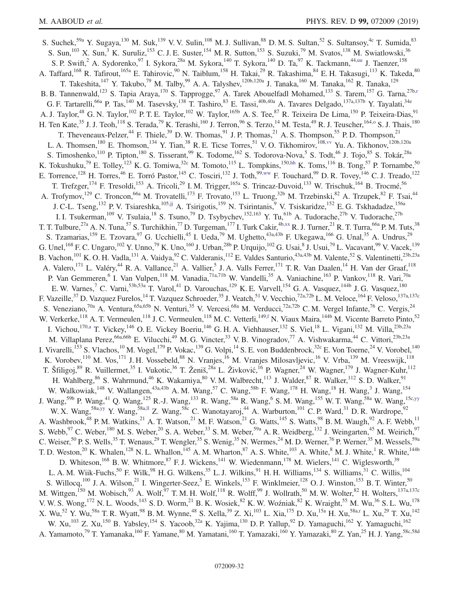<span id="page-31-4"></span><span id="page-31-3"></span><span id="page-31-2"></span><span id="page-31-1"></span><span id="page-31-0"></span>S. Suchek,<sup>59a</sup> Y. Sugaya,<sup>130</sup> M. Suk,<sup>139</sup> V. V. Sulin,<sup>108</sup> M. J. Sullivan,<sup>88</sup> D. M. S. Sultan,<sup>52</sup> S. Sultansoy,<sup>4c</sup> T. Sumida,<sup>83</sup> S. Sun,<sup>103</sup> X. Sun,<sup>3</sup> K. Suruliz,<sup>153</sup> C. J. E. Suster,<sup>154</sup> M. R. Sutton,<sup>153</sup> S. Suzuki,<sup>79</sup> M. Svatos,<sup>138</sup> M. Swiatlowski,<sup>36</sup> S. P. Swift,<sup>2</sup> A. Sydorenko,<sup>97</sup> I. Sykora,<sup>28a</sup> M. Sykora,<sup>140</sup> T. Sykora,<sup>140</sup> D. Ta,<sup>97</sup> K. Tackmann,<sup>44[,uu](#page-37-26)</sup> J. Taenzer,<sup>158</sup> A. Taffard,<sup>168</sup> R. Tafirout,<sup>165a</sup> E. Tahirovic,<sup>90</sup> N. Taiblum,<sup>158</sup> H. Takai,<sup>29</sup> R. Takashima,<sup>84</sup> E. H. Takasugi,<sup>113</sup> K. Takeda,<sup>80</sup> T. Takeshita,<sup>147</sup> Y. Takubo,<sup>79</sup> M. Talby,<sup>99</sup> A. A. Talyshev,<sup>120b,120a</sup> J. Tanaka,<sup>160</sup> M. Tanaka,<sup>162</sup> R. Tanaka,<sup>129</sup> B. B. Tannenwald,<sup>123</sup> S. Tapia Araya,<sup>170</sup> S. Tapprogge,<sup>97</sup> A. Tarek Abouelfadl Mohamed,<sup>133</sup> S. Tarem,<sup>157</sup> G. Tarna,<sup>27b[,r](#page-36-17)</sup> G. F. Tartarelli,<sup>66a</sup> P. Tas,<sup>140</sup> M. Tasevsky,<sup>138</sup> T. Tashiro,<sup>83</sup> E. Tassi,<sup>40b,40a</sup> A. Tavares Delgado,<sup>137a,137b</sup> Y. Tayalati,<sup>34e</sup> A. J. Taylor,<sup>48</sup> G. N. Taylor,<sup>102</sup> P. T. E. Taylor,<sup>102</sup> W. Taylor,<sup>165b</sup> A. S. Tee,<sup>87</sup> R. Teixeira De Lima,<sup>150</sup> P. Teixeira-Dias,<sup>91</sup> H. Ten Kate,<sup>35</sup> J. J. Teoh,<sup>118</sup> S. Terada,<sup>79</sup> K. Terashi,<sup>160</sup> J. Terron,<sup>96</sup> S. Terzo,<sup>14</sup> M. Testa,<sup>49</sup> R. J. Teuscher,<sup>164,0</sup> S. J. Thais,<sup>180</sup> T. Theveneaux-Pelzer,<sup>44</sup> F. Thiele,<sup>39</sup> D. W. Thomas,<sup>91</sup> J. P. Thomas,<sup>21</sup> A. S. Thompson,<sup>55</sup> P. D. Thompson,<sup>21</sup> L. A. Thomsen,<sup>180</sup> E. Thomson,<sup>134</sup> Y. Tian,<sup>38</sup> R. E. Ticse Torres,<sup>51</sup> V. O. Tikhomirov,<sup>108[,vv](#page-37-27)</sup> Yu. A. Tikhonov,<sup>120b,120a</sup> S. Timoshenko,<sup>110</sup> P. Tipton,<sup>180</sup> S. Tisserant,<sup>99</sup> K. Todome,<sup>162</sup> S. Todorova-Nova,<sup>5</sup> S. Todt,<sup>46</sup> J. Tojo,<sup>85</sup> S. Tokár,<sup>28a</sup> K. Tokushuku,<sup>79</sup> E. Tolley,<sup>123</sup> K. G. Tomiwa,<sup>32c</sup> M. Tomoto,<sup>115</sup> L. Tompkins,<sup>150[,hh](#page-37-13)</sup> K. Toms,<sup>116</sup> B. Tong,<sup>57</sup> P. Tornambe,<sup>50</sup> E. Torrence,<sup>128</sup> H. Torres,<sup>46</sup> E. Torró Pastor,<sup>145</sup> C. Tosciri,<sup>132</sup> J. Toth,<sup>99[,ww](#page-37-28)</sup> F. Touchard,<sup>99</sup> D. R. Tovey,<sup>146</sup> C. J. Treado,<sup>122</sup> T. Trefzger,<sup>174</sup> F. Tresoldi,<sup>153</sup> A. Tricoli,<sup>29</sup> I.M. Trigger,<sup>165a</sup> S. Trincaz-Duvoid,<sup>133</sup> W. Trischuk,<sup>164</sup> B. Trocmé,<sup>56</sup> A. Trofymov,<sup>129</sup> C. Troncon,<sup>66a</sup> M. Trovatelli,<sup>173</sup> F. Trovato,<sup>153</sup> L. Truong,<sup>32b</sup> M. Trzebinski,<sup>82</sup> A. Trzupek,<sup>82</sup> F. Tsai,<sup>44</sup> J. C-L. Tseng,<sup>132</sup> P. V. Tsiareshka,<sup>10[5,jj](#page-37-15)</sup> A. Tsirigotis,<sup>159</sup> N. Tsirintanis,<sup>9</sup> V. Tsiskaridze,<sup>152</sup> E. G. Tskhadadze,<sup>156a</sup> I. I. Tsukerman,<sup>109</sup> V. Tsulaia,<sup>18</sup> S. Tsuno,<sup>79</sup> D. Tsybychev,<sup>152,163</sup> Y. Tu,<sup>61b</sup> A. Tudorache,<sup>27b</sup> V. Tudorache,<sup>27b</sup> T. T. Tulbure,<sup>27a</sup> A. N. Tuna,<sup>57</sup> S. Turchikhin,<sup>77</sup> D. Turgeman,<sup>177</sup> I. Turk Cakir,<sup>4[b,xx](#page-37-29)</sup> R. J. Turner,<sup>21</sup> R. T. Turra,<sup>66a</sup> P. M. Tuts,<sup>38</sup> S. Tzamarias,<sup>159</sup> E. Tzovara,<sup>97</sup> G. Ucchielli,<sup>45</sup> I. Ueda,<sup>79</sup> M. Ughetto,<sup>43a,43b</sup> F. Ukegawa,<sup>166</sup> G. Unal,<sup>35</sup> A. Undrus,<sup>29</sup> G. Unel,<sup>168</sup> F. C. Ungaro,<sup>102</sup> Y. Unno,<sup>79</sup> K. Uno,<sup>160</sup> J. Urban,<sup>28b</sup> P. Urquijo,<sup>102</sup> G. Usai,<sup>8</sup> J. Usui,<sup>79</sup> L. Vacavant,<sup>99</sup> V. Vacek,<sup>139</sup> B. Vachon, <sup>101</sup> K. O. H. Vadla, <sup>131</sup> A. Vaidya, <sup>92</sup> C. Valderanis, <sup>112</sup> E. Valdes Santurio, <sup>43a, 43b</sup> M. Valente, <sup>52</sup> S. Valentinetti, <sup>23b, 23a</sup> A. Valero,<sup>171</sup> L. Valéry,<sup>44</sup> R. A. Vallance,<sup>21</sup> A. Vallier,<sup>5</sup> J. A. Valls Ferrer,<sup>171</sup> T. R. Van Daalen,<sup>14</sup> H. Van der Graaf,<sup>118</sup> P. Van Gemmeren, <sup>6</sup> I. Van Vulpen, <sup>118</sup> M. Vanadia, <sup>71a,71b</sup> W. Vandelli, <sup>35</sup> A. Vaniachine, <sup>163</sup> P. Vankov, <sup>118</sup> R. Vari, <sup>70a</sup> E. W. Varnes,<sup>7</sup> C. Varni,<sup>53b,53a</sup> T. Varol,<sup>41</sup> D. Varouchas,<sup>129</sup> K. E. Varvell,<sup>154</sup> G. A. Vasquez,<sup>144b</sup> J. G. Vasquez,<sup>180</sup> F. Vazeille,<sup>37</sup> D. Vazquez Furelos,<sup>14</sup> T. Vazquez Schroeder,<sup>35</sup> J. Veatch,<sup>51</sup> V. Vecchio,<sup>72a,72b</sup> L. M. Veloce,<sup>164</sup> F. Veloso,<sup>137a,137c</sup> S. Veneziano,<sup>70a</sup> A. Ventura,<sup>65a,65b</sup> N. Venturi,<sup>35</sup> V. Vercesi,<sup>68a</sup> M. Verducci,<sup>72a,72b</sup> C. M. Vergel Infante,<sup>76</sup> C. Vergis,<sup>24</sup> W. Verkerke,<sup>118</sup> A. T. Vermeulen,<sup>118</sup> J. C. Vermeulen,<sup>118</sup> M. C. Vetterli,<sup>149[,f](#page-36-5)</sup> N. Viaux Maira,<sup>144b</sup> M. Vicente Barreto Pinto,<sup>52</sup> I. Vichou,<sup>170[,a](#page-36-0)</sup> T. Vickey,<sup>146</sup> O. E. Vickey Boeriu,<sup>146</sup> G. H. A. Viehhauser,<sup>132</sup> S. Viel,<sup>18</sup> L. Vigani,<sup>132</sup> M. Villa,<sup>23b,23a</sup> M. Villaplana Perez,<sup>66a,66b</sup> E. Vilucchi,<sup>49</sup> M. G. Vincter,<sup>33</sup> V. B. Vinogradov,<sup>77</sup> A. Vishwakarma,<sup>44</sup> C. Vittori,<sup>23b,23a</sup> I. Vivarelli,<sup>153</sup> S. Vlachos,<sup>10</sup> M. Vogel,<sup>179</sup> P. Vokac,<sup>139</sup> G. Volpi,<sup>14</sup> S. E. von Buddenbrock,<sup>32c</sup> E. Von Toerne,<sup>24</sup> V. Vorobel,<sup>140</sup> K. Vorobev,<sup>110</sup> M. Vos,<sup>171</sup> J. H. Vossebeld,<sup>88</sup> N. Vranjes,<sup>16</sup> M. Vranjes Milosavljevic,<sup>16</sup> V. Vrba,<sup>139</sup> M. Vreeswijk,<sup>118</sup> T. Šfiligoj,<sup>89</sup> R. Vuillermet,<sup>35</sup> I. Vukotic,<sup>36</sup> T. Ženiš,<sup>28a</sup> L. Živković,<sup>16</sup> P. Wagner,<sup>24</sup> W. Wagner,<sup>179</sup> J. Wagner-Kuhr,<sup>112</sup> H. Wahlberg,  $86$  S. Wahrmund,  $46$  K. Wakamiya,  $80$  V. M. Walbrecht,  $113$  J. Walder,  $87$  R. Walker,  $112$  S. D. Walker,  $91$ W. Walkowiak,<sup>148</sup> V. Wallangen,<sup>43a,43b</sup> A. M. Wang,<sup>57</sup> C. Wang,<sup>58b</sup> F. Wang,<sup>178</sup> H. Wang,<sup>18</sup> H. Wang,<sup>3</sup> J. Wang,<sup>154</sup> J. Wang,<sup>59b</sup> P. Wang,<sup>41</sup> Q. Wang,<sup>125</sup> R.-J. Wang,<sup>133</sup> R. Wang,<sup>58a</sup> R. Wang,<sup>6</sup> S. M. Wang,<sup>155</sup> W. T. Wang,<sup>58a</sup> W. Wang,<sup>15[c,yy](#page-37-30)</sup> W. X. Wang,<sup>58a[,yy](#page-37-30)</sup> Y. Wang,<sup>58a[,ll](#page-37-17)</sup> Z. Wang,<sup>58c</sup> C. Wanotayaroj,<sup>44</sup> A. Warburton,<sup>101</sup> C. P. Ward,<sup>31</sup> D. R. Wardrope,<sup>92</sup> A. Washbrook,<sup>48</sup> P. M. Watkins,<sup>21</sup> A. T. Watson,<sup>21</sup> M. F. Watson,<sup>21</sup> G. Watts,<sup>145</sup> S. Watts,<sup>98</sup> B. M. Waugh,<sup>92</sup> A. F. Webb,<sup>11</sup> S. Webb,  $97$  C. Weber,  $180$  M. S. Weber,  $20$  S. A. Weber,  $33$  S. M. Weber,  $59a$  A. R. Weidberg,  $132$  J. Weingarten,  $45$  M. Weirich,  $97$ C. Weiser,<sup>50</sup> P. S. Wells,<sup>35</sup> T. Wenaus,<sup>29</sup> T. Wengler,<sup>35</sup> S. Wenig,<sup>35</sup> N. Wermes,<sup>24</sup> M. D. Werner,<sup>76</sup> P. Werner,<sup>35</sup> M. Wessels,<sup>59a</sup> T. D. Weston,<sup>20</sup> K. Whalen,<sup>128</sup> N. L. Whallon,<sup>145</sup> A. M. Wharton,<sup>87</sup> A. S. White,<sup>103</sup> A. White,<sup>8</sup> M. J. White,<sup>1</sup> R. White,<sup>144b</sup> D. Whiteson,<sup>168</sup> B. W. Whitmore,<sup>87</sup> F. J. Wickens,<sup>141</sup> W. Wiedenmann,<sup>178</sup> M. Wielers,<sup>141</sup> C. Wiglesworth,<sup>39</sup> L. A. M. Wiik-Fuchs,  $^{50}$  F. Wilk,  $^{98}$  H. G. Wilkens,  $^{35}$  L. J. Wilkins,  $^{91}$  H. H. Williams,  $^{134}$  S. Williams,  $^{31}$  C. Willis,  $^{104}$ S. Willocq,  $^{100}$  J. A. Wilson,  $^{21}$  I. Wingerter-Seez,  $^5$  E. Winkels,  $^{153}$  F. Winklmeier,  $^{128}$  O. J. Winston,  $^{153}$  B. T. Winter,  $^{50}$ M. Wittgen,<sup>150</sup> M. Wobisch,<sup>93</sup> A. Wolf,<sup>97</sup> T.M. H. Wolf,<sup>118</sup> R. Wolff,<sup>99</sup> J. Wollrath,<sup>50</sup> M. W. Wolter,<sup>82</sup> H. Wolters,<sup>137a,137c</sup> V. W. S. Wong,<sup>172</sup> N. L. Woods,<sup>143</sup> S. D. Worm,<sup>21</sup> B. K. Wosiek,<sup>82</sup> K. W. Woźniak,<sup>82</sup> K. Wraight,<sup>55</sup> M. Wu,<sup>36</sup> S. L. Wu,<sup>178</sup> X. Wu,<sup>52</sup> Y. Wu,<sup>58a</sup> T. R. Wyatt,<sup>98</sup> B. M. Wynne,<sup>48</sup> S. Xella,<sup>39</sup> Z. Xi,<sup>103</sup> L. Xia,<sup>175</sup> D. Xu,<sup>15a</sup> H. Xu,<sup>58[a,r](#page-36-17)</sup> L. Xu,<sup>29</sup> T. Xu,<sup>142</sup> W. Xu,<sup>103</sup> Z. Xu,<sup>150</sup> B. Yabsley,<sup>154</sup> S. Yacoob,<sup>32a</sup> K. Yajima,<sup>130</sup> D. P. Yallup,<sup>92</sup> D. Yamaguchi,<sup>162</sup> Y. Yamaguchi,<sup>162</sup> A. Yamamoto,<sup>79</sup> T. Yamanaka,<sup>160</sup> F. Yamane,<sup>80</sup> M. Yamatani,<sup>160</sup> T. Yamazaki,<sup>160</sup> Y. Yamazaki,<sup>80</sup> Z. Yan,<sup>25</sup> H. J. Yang,<sup>58c,58d</sup>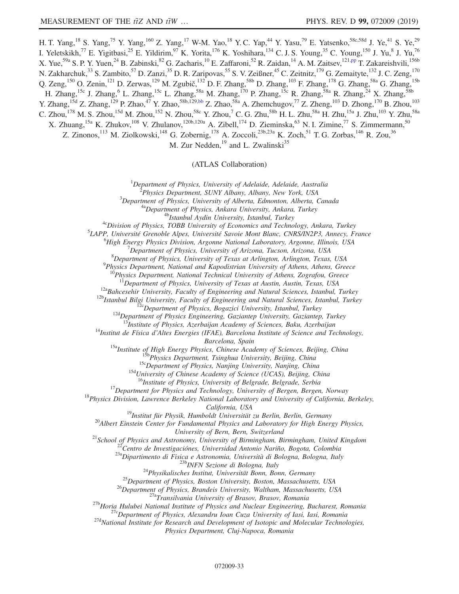H. T. Yang,<sup>18</sup> S. Yang,<sup>75</sup> Y. Yang,<sup>160</sup> Z. Yang,<sup>17</sup> W-M. Yao,<sup>18</sup> Y. C. Yap,<sup>44</sup> Y. Yasu,<sup>79</sup> E. Yatsenko,<sup>58c,58d</sup> J. Ye,<sup>41</sup> S. Ye,<sup>29</sup> I. Yeletskikh,<sup>77</sup> E. Yigitbasi,<sup>25</sup> E. Yildirim,<sup>97</sup> K. Yorita,<sup>176</sup> K. Yoshihara,<sup>134</sup> C. J. S. Young,<sup>35</sup> C. Young,<sup>150</sup> J. Yu,<sup>8</sup> J. Yu,<sup>76</sup> X. Yue,<sup>59a</sup> S. P. Y. Yuen,<sup>24</sup> B. Zabinski,<sup>82</sup> G. Zacharis,<sup>10</sup> E. Zaffaroni,<sup>52</sup> R. Zaidan,<sup>14</sup> A. M. Zaitsev,<sup>121[,pp](#page-37-21)</sup> T. Zakareishvili,<sup>156b</sup> N. Zakharchuk,<sup>33</sup> S. Zambito,<sup>57</sup> D. Zanzi,<sup>35</sup> D. R. Zaripovas,<sup>55</sup> S. V. Zeißner,<sup>45</sup> C. Zeitnitz,<sup>179</sup> G. Zemaityte,<sup>132</sup> J. C. Zeng,<sup>170</sup> Q. Zeng,<sup>150</sup> O. Zenin,<sup>121</sup> D. Zerwas,<sup>129</sup> M. Zgubič,<sup>132</sup> D. F. Zhang,<sup>58b</sup> D. Zhang,<sup>103</sup> F. Zhang,<sup>178</sup> G. Zhang,<sup>58a</sup> G. Zhang,<sup>15b</sup> H. Zhang,<sup>15c</sup> J. Zhang,<sup>6</sup> L. Zhang,<sup>15c</sup> L. Zhang,<sup>58a</sup> M. Zhang,<sup>170</sup> P. Zhang,<sup>15c</sup> R. Zhang,<sup>58a</sup> R. Zhang,<sup>24</sup> X. Zhang,<sup>58b</sup> Y. Zhang,<sup>15d</sup> Z. Zhang,<sup>129</sup> P. Zhao,<sup>47</sup> Y. Zhao,<sup>58b,129[,bb](#page-37-7)</sup> Z. Zhao,<sup>58a</sup> A. Zhemchugov,<sup>77</sup> Z. Zheng,<sup>103</sup> D. Zhong,<sup>170</sup> B. Zhou,<sup>103</sup> C. Zhou,<sup>178</sup> M. S. Zhou,<sup>15d</sup> M. Zhou,<sup>152</sup> N. Zhou,<sup>58c</sup> Y. Zhou,<sup>7</sup> C. G. Zhu,<sup>58b</sup> H. L. Zhu,<sup>58a</sup> H. Zhu,<sup>15a</sup> J. Zhu,<sup>103</sup> Y. Zhu,<sup>58a</sup> X. Zhuang,<sup>15a</sup> K. Zhukov,<sup>108</sup> V. Zhulanov,<sup>120b,120a</sup> A. Zibell,<sup>174</sup> D. Zieminska,<sup>63</sup> N. I. Zimine,<sup>77</sup> S. Zimmermann,<sup>50</sup> Z. Zinonos,<sup>113</sup> M. Ziolkowski,<sup>148</sup> G. Zobernig,<sup>178</sup> A. Zoccoli,<sup>23b,23a</sup> K. Zoch,<sup>51</sup> T. G. Zorbas,<sup>146</sup> R. Zou,<sup>36</sup> M. Zur Nedden,<sup>19</sup> and L. Zwalinski<sup>35</sup>

(ATLAS Collaboration)

<sup>1</sup>Department of Physics, University of Adelaide, Adelaide, Australia<br><sup>2</sup> Physics Department, SUNY Albany, Albany, New York, USA

<sup>2</sup>Physics Department, SUNY Albany, Albany, New York, USA<br><sup>3</sup>Department of Physics, University of Alberta, Edmonton, Alberta, Canada

<sup>4a</sup>Department of Physics, Ankara University, Ankara, Turkey<br><sup>46</sup> Estanbul Aydin University, Istanbul, Turkey<br><sup>4c</sup>Division of Physics, TOBB University of Economics and Technology, Ankara, Turkey

 ${}^{5}$ LAPP, Université Grenoble Alpes, Université Savoie Mont Blanc, CNRS/IN2P3, Annecy, France

<sup>6</sup>High Energy Physics Division, Argonne National Laboratory, Argonne, Illinois, USA

 $^{7}$ Department of Physics, University of Arizona, Tucson, Arizona, USA

 ${}^{8}$ Department of Physics, University of Texas at Arlington, Arlington, Texas, USA

 $^{9}$ Physics Department, National and Kapodistrian University of Athens, Athens, Greece

Physics Department, National Technical University of Athens, Zografou, Greece<sup>11</sup>Department of Physics, University of Texas at Austin, Austin, Texas, USA

<sup>12a</sup>Bahcesehir University, Faculty of Engineering and Natural Sciences, Istanbul, Turkey<br><sup>12b</sup>Istanbul Bilgi University, Faculty of Engineering and Natural Sciences, Istanbul, Turkey<br><sup>12c</sup>Department of Physics, Bogazici

<sup>13</sup>Institute of Physics, Azerbaijan Academy of Sciences, Baku, Azerbaijan  $14$ Institut de Física d'Altes Energies (IFAE), Barcelona Institute of Science and Technology,

Barcelona, Spain<br>
<sup>15a</sup>Institute of High Energy Physics, Chinese Academy of Sciences, Beijing, China<br>
<sup>15b</sup>Physics Department, Tsinghua University, Beijing, China<br>
<sup>15c</sup>Department of Physics, Nanjing University, Nanjing, C

<sup>16</sup>Institute of Physics, University of Belgrade, Belgrade, Serbia<sup>17</sup>Department for Physics and Technology, University of Bergen, Bergen, Norway<sup>18</sup>Physics Division, Lawrence Berkeley National Laboratory and University of

California, USA<br><sup>19</sup>Institut für Physik, Humboldt Universität zu Berlin, Berlin, Germany<br><sup>20</sup>Albert Einstein Center for Fundamental Physics and Laboratory for High Energy Physics,

University of Bern, Bern, Switzerland<br>
<sup>21</sup>School of Physics and Astronomy, University of Birmingham, Birmingham, United Kingdom<br>
<sup>22</sup>Centro de Investigaciónes, Universidad Antonio Nariño, Bogota, Colombia<br>
<sup>23</sup>aDipartime

Physics Department, Cluj-Napoca, Romania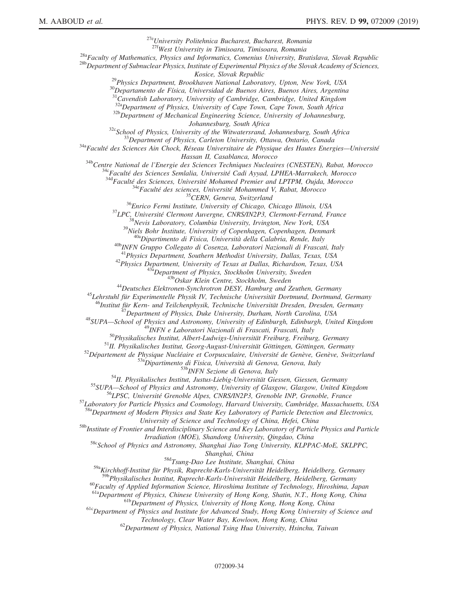<sup>27e</sup>University Politehnica Bucharest, Bucharest, Romania<br><sup>27f</sup>West University in Timisoara, Timisoara, Romania <sup>28a</sup>Faculty of Mathematics, Physics and Informatics, Comenius University, Bratislava, Slovak Republic<br><sup>28b</sup>Department of Subnuclear Physics, Institute of Experimental Physics of the Slovak Academy of Sciences,<br>Kosice, Sl <sup>29</sup>Physics Department, Brookhaven National Laboratory, Upton, New York, USA  ${}^{30}$ Departamento de Física, Universidad de Buenos Aires, Buenos Aires, Argentina  $31$ Cavendish Laboratory, University of Cambridge, Cambridge, United Kingdom  $32a$ Department of Physics, University of Cape Town, Cape Town, South Africa  $32b$ Department of Mechanical Engineering Science, University of Johannesburg, South Africa <sup>32c</sup>School of Physics, University of the Witwatersrand, Johannesburg, South Africa<br><sup>33</sup>Department of Physics, Carleton University, Ottawa, Ontario, Canada<br><sup>34a</sup>Faculté des Sciences Ain Chock, Réseau Universitaire de Phys Hassan II, Casablanca, Morocco<br>
<sup>346</sup>Centre National de l'Energie des Sciences Techniques Nucleaires (CNESTEN), Rabat, Morocco<br>
<sup>346</sup>Faculté des Sciences, Université Mohamed Premier and LPTPM, Oujda, Morocco<br>
<sup>346</sup>Faculté <sup>42</sup>Physics Department, University of Texas at Dallas, Richardson, Texas, USA<br><sup>43</sup><sub>43a</sub> Department of Physics, Stockholm University, Sweden<br><sup>43b</sup>Oskar Klein Centre, Stockholm, Sweden<br><sup>44</sup>Deutsches Elektronen-Synchrotron D <sup>46</sup>Institut für Kern- und Teilchenphysik, Technische Universität Dresden, Dresden, Germany<br>
<sup>47</sup>Department of Physics, Duke University, Durham, North Carolina, USA<br>
<sup>48</sup>SUPA—School of Physics and Astronomy, University of  ${}^a$ Department of Modern Physics and State Key Laboratory of Particle Detection and Electronics,<br>University of Science and Technology of China, Hefei, China <sup>58b</sup>Institute of Frontier and Interdisciplinary Science and Key Laboratory of Particle Physics and Particle Irradiation (MOE), Shandong University, Qingdao, China<br><sup>58c</sup>School of Physics and Astronomy, Shanghai Jiao Tong University, KLPPAC-MoE, SKLPPC, Shanghai, China<br><sup>58d</sup>Tsung-Dao Lee Institute, Shanghai, China <sup>59a</sup>Kirchhoff-Institut für Physik, Ruprecht-Karls-Universität Heidelberg, Heidelberg, Germany<br><sup>59b</sup>Physikalisches Institut, Ruprecht-Karls-Universität Heidelberg, Heidelberg, Germany  $^{60}$ Faculty of Applied Information Science, Hiroshima Institute of Technology, Hiroshima, Japan<br> $^{61a}$ Department of Physics, Chinese University of Hong Kong, Shatin, N.T., Hong Kong, China <sup>61b</sup>Department of Physics, University of Hong Kong, Hong Kong, China<br><sup>61c</sup>Department of Physics and Institute for Advanced Study, Hong Kong University of Science and<br>Technology, Clear Water Bay, Kowloon, Hong Kong, China  $^{62}$ Department of Physics, National Tsing Hua University, Hsinchu, Taiwan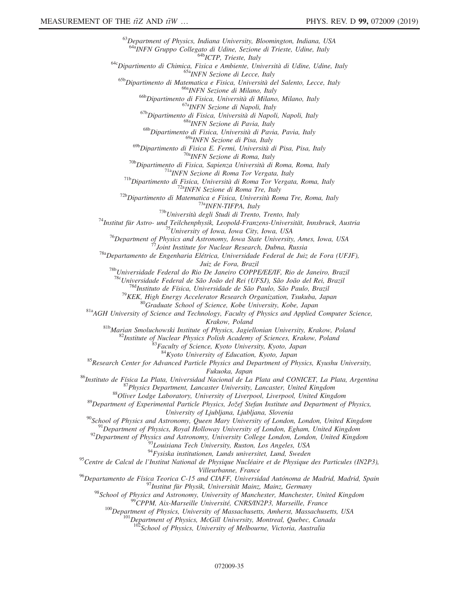$^{63}$ Department of Physics, Indiana University, Bloomington, Indiana, USA<br> $^{643}$ INFN Gruppo Collegato di Udine, Sezione di Trieste, Udine, Italy <sup>642</sup><br>
<sup>642</sup>Dipartimento di Chimica, Fisica e Ambiente, Università di Udine, Ualy<br>
<sup>642</sup>Dipartimento di Chimica, Fisica e Ambiente, Università di Udine, Udine, Italy<br>
<sup>652</sup>Dipartimento di Matematica e Fisica, Università d <sup>68b</sup>Dipartimento di Fisica, Università di Pavia, Pavia, Italy<br><sup>69a</sup>INFN Sezione di Pisa, Italy <sup>69b</sup>Dipartimento di Fisica E. Fermi, Università di Pisa, Pisa, Italy<br>
<sup>70b</sup>Dipartimento di Fisica, Sapienza Università di Roma, Roma, Italy<br>
<sup>70b</sup>Dipartimento di Fisica, Sapienza Università di Roma, Roma, Italy<br>
<sup>71b</sup>Dip Juiz de Fora, Brazil<br><sup>78b</sup>Universidade Federal do Rio De Janeiro COPPE/EE/IF, Rio de Janeiro, Brazil<sup>78c</sup>Universidade Federal de São João del Rei (UFSJ), São João del Rei, Brazil <sup>78d</sup>Instituto de Física, Universidade de São Paulo, São Paulo, Brazil<br><sup>79</sup>KEK, High Energy Accelerator Research Organization, Tsukuba, Japan<br><sup>80</sup>Graduate School of Science, Kobe University, Kobe, Japan<br><sup>81a</sup>AGH Universit *Krakow, Poland*<br><sup>81b</sup>Marian Smoluchowski Institute of Physics, Jagiellonian University, Krakow, Poland<br><sup>82</sup>Institute of Nuclear Physics Polish Academy of Sciences, Krakow, Poland<br><sup>82</sup>*Faculty of Science, Kyoto University,* <sup>85</sup>Research Center for Advanced Particle Physics and Department of Physics, Kyushu University, Fukuoka, Japan<br><sup>86</sup>Instituto de Física La Plata, Universidad Nacional de La Plata and CONICET, La Plata, Argentina<br><sup>87</sup>Physics Department, Lancaster University, Lancaster, United Kingdom<br><sup>88</sup>Oliver Lodge Laboratory, Univer University of Ljubljana, Ljubljana, Slovenia<br><sup>90</sup>School of Physics and Astronomy, Queen Mary University of London, London, United Kingdom<br><sup>91</sup>Department of Physics, Royal Holloway University of London, Egham, United Kingd <sup>95</sup>Centre de Calcul de l'Institut National de Physique Nucléaire et de Physique des Particules (IN2P3), Villeurbanne, France<br><sup>96</sup>Departamento de Física Teorica C-15 and CIAFF, Universidad Autónoma de Madrid, Madrid, Spain <sup>97</sup> Institut für Physik, Universität Mainz, Mainz, Germany<br><sup>98</sup> School of Physics and Astronomy, University of Manchester, Manchester, United Kingdom<br><sup>99</sup> CPPM, Aix-Marseille Université, CNRS/IN2P3, Marseille, France<br><sup>10</sup>

 $102$ School of Physics, University of Melbourne, Victoria, Australia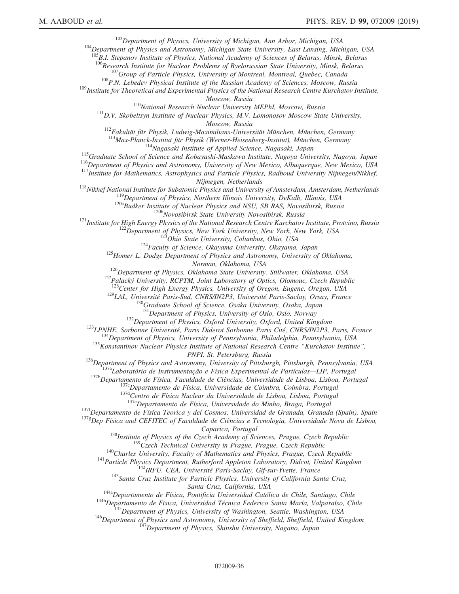$103$   $103$   $Department$  of Physics, University of Michigan, Ann Arbor, Michigan, USA  $104$   $Department$  of Physics and Astronomy, Michigan State University, East Lansing, Michigan, USA

 $^{105}B.$ I. Stepanov Institute of Physics, National Academy of Sciences of Belarus, Minsk, Belarus<br> $^{106}$ Research Institute for Nuclear Problems of Byelorussian State University, Minsk, Belarus

<sup>107</sup> Group of Particle Physics, University of Montreal, Montreal, Quebec, Canada<br><sup>108</sup>P.N. Lebedev Physical Institute of the Russian Academy of Sciences, Moscow, Russia<br><sup>109</sup>Institute for Theoretical and Experimental Phy

Moscow, Russia<br><sup>110</sup>National Research Nuclear University MEPhI, Moscow, Russia<br><sup>111</sup>D.V. Skobeltsyn Institute of Nuclear Physics, M.V. Lomonosov Moscow State University,<br>Moscow, Russia

<sup>112</sup>Fakultät für Physik, Ludwig-Maximilians-Universität München, München, Germany<br><sup>113</sup>Max-Planck-Institut für Physik (Werner-Heisenberg-Institut), München, Germany

<sup>114</sup>Nagasaki Institute of Applied Science, Nagasaki, Japan<br><sup>115</sup>Graduate School of Science and Kobayashi-Maskawa Institute, Nagoya University, Nagoya, Japan<br><sup>116</sup>Department of Physics and Astronomy, University of New Mex

<sup>118</sup>Nikhef National Institute for Subatomic Physics and University of Amsterdam, Amsterdam, Netherlands<br><sup>119</sup>Department of Physics, Northern Illinois University, DeKalb, Illinois, USA<br><sup>120a</sup>Budker Institute of Nuclear Phy

Norman, Oklahoma, USA<br><sup>126</sup>Department of Physics, Oklahoma State University, Stillwater, Oklahoma, USA<br><sup>127</sup>Palacký University, RCPTM, Joint Laboratory of Optics, Olomouc, Czech Republic<br><sup>128</sup>Center for High Energy Physics

<sup>129</sup>CAL, Universite Paris-Sud, CNRS/IN2P3, Universite Paris-Saclay, Orsay, France<br><sup>130</sup>Graduate School of Science, Osaka University, Osaka, Japan<sup>131</sup>Department of Physics, University of Oslo, Oslo, Norway

<sup>132</sup>Department of Physics, Oxford University, Oxford, United Kingdom<br><sup>133</sup>LPNHE, Sorbonne Université, Paris Diderot Sorbonne Paris Cité, CNRS/IN2P3, Paris, France<br><sup>134</sup>Department of Physics, University of Pennsylvania, P

*PNPI*, *St. Petersburg, Russia*<br><sup>136</sup>Department of Physics and Astronomy, University of Pittsburgh, Pittsburgh, Pennsylvania, USA<br><sup>137a</sup>Laboratório de Instrumentação e Física Experimental de Partículas—LIP, Portugal<br><sup>137</sup>

<sup>137f</sup>Departamento de Física Teorica y del Cosmos, Universidad de Granada, Granada (Spain), Spain

 $137\frac{g}{c}$ Dep Física and CEFITEC of Faculdade de Ciências e Tecnologia, Universidade Nova de Lisboa,

Caparica, Portugal<br><sup>138</sup>Institute of Physics of the Czech Academy of Sciences, Prague, Czech Republic<br><sup>139</sup>Czech Technical University in Prague, Prague, Czech Republic<br><sup>140</sup>Charles University, Faculty of Mathematics and Ph

Santa Cruz, California, USA<br><sup>144</sup>a Departamento de Física, Pontificia Universidad Católica de Chile, Santiago, Chile<br><sup>144b</sup> Departamento de Física, Universidad Técnica Federico Santa María, Valparaíso, Chile<br><sup>145</sup> Departme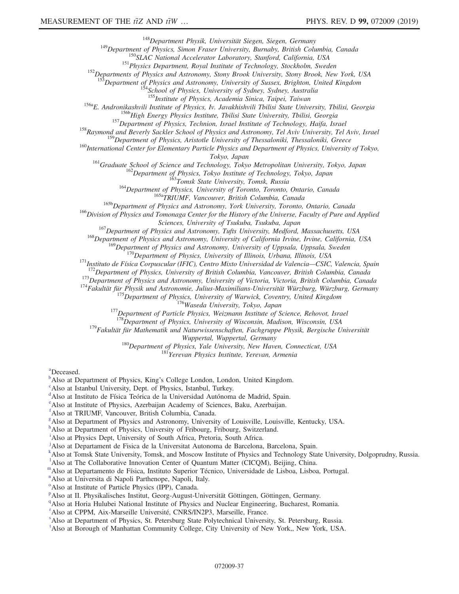<sup>148</sup>Department Physik, Universität Siegen, Siegen, Germany<br><sup>149</sup>Department of Physics, Simon Fraser University, Burnaby, British Columbia, Canada<br><sup>150</sup>SLAC National Accelerator Laboratory, Stanford, California, USA<br><sup>151</sup>

<sup>153</sup>Department of Physics and Astronomy, University of Sussex, Brighton, United Kingdom<br><sup>154</sup>School of Physics, University of Sydney, Sydney, Australia<br><sup>155</sup>Institute of Physics, Academia Sinica, Taipei, Taiwan

<sup>156a</sup>E. Andronikashvili Institute of Physics, Iv. Javakhishvili Tbilisi State University, Tbilisi, Georgia<br><sup>156b</sup>High Energy Physics Institute, Tbilisi State University, Tbilisi, Georgia<br><sup>157</sup>Department of Physics, Techn

 $160$ International Center for Elementary Particle Physics and Department of Physics, University of Tokyo,

Tokyo, Japan<br><sup>161</sup>Graduate School of Science and Technology, Tokyo Metropolitan University, Tokyo, Japan<br><sup>162</sup>Department of Physics, Tokyo Institute of Technology, Tokyo, Japan<br><sup>163</sup>Tomsk State University, Tomsk, Russia<br><sup>1</sup>

<sup>167</sup>Department of Physics and Astronomy, Tufts University, Medford, Massachusetts, USA<br><sup>168</sup>Department of Physics and Astronomy, University of California Irvine, Irvine, California, USA<br><sup>169</sup>Department of Physics and Ast

<sup>170</sup>Department of Physics, University of Illinois, Urbana, Illinois, USA<br><sup>171</sup>Instituto de Física Corpuscular (IFIC), Centro Mixto Universidad de Valencia—CSIC, Valencia, Spain<br><sup>172</sup>Department of Physics, University of B

179 Fakultät für Mathematik und Naturwissenschaften, Fachgruppe Physik, Bergische Universität

Wuppertal, Wuppertal, Germany<br><sup>180</sup>Department of Physics, Yale University, New Haven, Connecticut, USA<br><sup>181</sup>Yerevan Physics Institute, Yerevan, Armenia

<span id="page-36-0"></span>[a](#page-24-2) Deceased.

<span id="page-36-1"></span> $\mu^b$  $\mu^b$ Also at Department of Physi[c](#page-24-4)s, King's College London, London, United Kingdom.

<span id="page-36-2"></span><sup>c</sup>Also at Istanbul University, Dept. of Physics, Istanbul, Turkey.

<span id="page-36-3"></span><sup>[d](#page-24-5)</sup>Also at Instituto de Física Teórica de la Universidad Autónoma de Madrid, Spain.

<span id="page-36-4"></span>[e](#page-24-5) Also at Institute of Physics, Azerbaijan Academy of Sciences, Baku, Azerbaijan.

<span id="page-36-5"></span>[f](#page-24-6) Also at TRIUMF, Vancouver, British Columbia, Canada.

<span id="page-36-6"></span>[g](#page-24-7) Also at Department of Physics and Astronomy, University of Louisville, Louisville, Kentucky, USA.

<span id="page-36-7"></span>[h](#page-24-8) Also at Department of Physics, University of Fribourg, Fribourg, Switzerland.

<span id="page-36-8"></span><sup>[i](#page-25-0)</sup>Also at Physics Dept, University of South Africa, Pretoria, South Africa.

<span id="page-36-9"></span>[j](#page-25-1) Also at Departament de Fisica de la Universitat Autonoma de Barcelona, Barcelona, Spain.

<span id="page-36-10"></span><sup>[k](#page-25-2)</sup>Also at Tomsk State University, Tomsk, and Moscow Institute of Physics and Technology State University, Dolgoprudny, Russia.

<span id="page-36-11"></span><sup>1</sup>A[l](#page-25-3)so at The Collaborative Innovation Center of Quantum Matter (CICQM), Beijing, China.

<span id="page-36-12"></span><sup>[m](#page-25-4)</sup>Also at Departame[n](#page-25-5)to de Física, Instituto Superior Técnico, Universidade de Lisboa, Lisboa, Portugal.

<span id="page-36-13"></span>Also at Universita di Napoli Parthenope, Napoli, Italy.

<span id="page-36-14"></span><sup>[o](#page-25-6)</sup> Also at Institute of Particle Physics (IPP), Canada.

<span id="page-36-15"></span><su[p](#page-25-7)>p</sup>Also at II. Physikalisches Institut, Georg-August-Universität Göttingen, Göttingen, Germany.

<span id="page-36-16"></span><sup>[q](#page-26-0)</sup>Also at Horia Hulubei National Institute of Physics and Nuclear Engineering, Bucharest, Romania.

<span id="page-36-17"></span><sup>[r](#page-26-1)</[s](#page-26-2)up> Also at CPPM, Aix-Marseille Université, CNRS/IN2P3, Marseille, France.<br><sup>8</sup> Also et Department of Physics, S.t. Petersburg State Polytechnical University

<span id="page-36-18"></span><sup>8</sup> Also at Department of Physics, St. Petersburg State Polytechnical University, St. Petersburg, Russia.

<span id="page-36-19"></span><sup>[t](#page-26-3)</sup>Also at Borough of Manhattan Community College, City University of New York,, New York, USA.